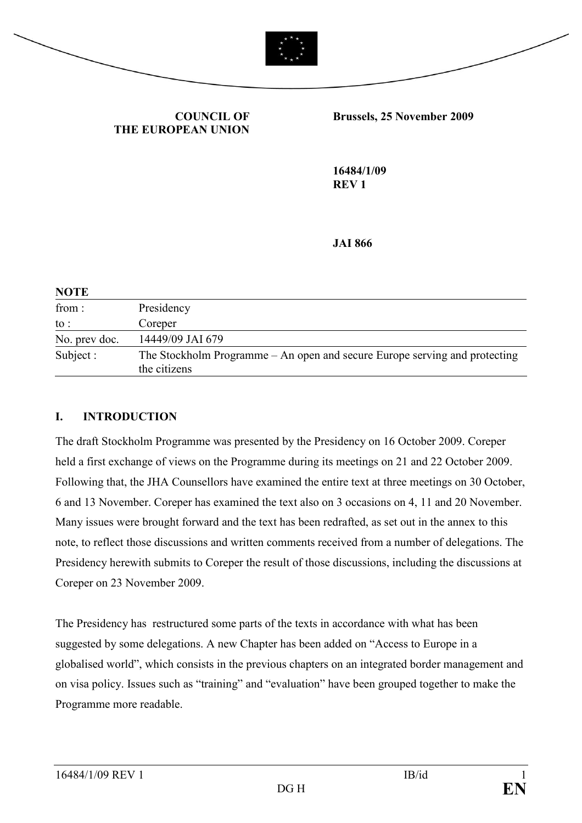



#### COUNCIL OF THE EUROPEAN UNION

Brussels, 25 November 2009

16484/1/09 REV 1

JAI 866

| <b>NOTE</b>       |                                                                                            |
|-------------------|--------------------------------------------------------------------------------------------|
| from:             | Presidency                                                                                 |
| $\mathfrak{to}$ : | Coreper                                                                                    |
| No. prev doc.     | 14449/09 JAI 679                                                                           |
| Subject :         | The Stockholm Programme – An open and secure Europe serving and protecting<br>the citizens |

### I. INTRODUCTION

The draft Stockholm Programme was presented by the Presidency on 16 October 2009. Coreper held a first exchange of views on the Programme during its meetings on 21 and 22 October 2009. Following that, the JHA Counsellors have examined the entire text at three meetings on 30 October, 6 and 13 November. Coreper has examined the text also on 3 occasions on 4, 11 and 20 November. Many issues were brought forward and the text has been redrafted, as set out in the annex to this note, to reflect those discussions and written comments received from a number of delegations. The Presidency herewith submits to Coreper the result of those discussions, including the discussions at Coreper on 23 November 2009.

The Presidency has restructured some parts of the texts in accordance with what has been suggested by some delegations. A new Chapter has been added on "Access to Europe in a globalised world", which consists in the previous chapters on an integrated border management and on visa policy. Issues such as "training" and "evaluation" have been grouped together to make the Programme more readable.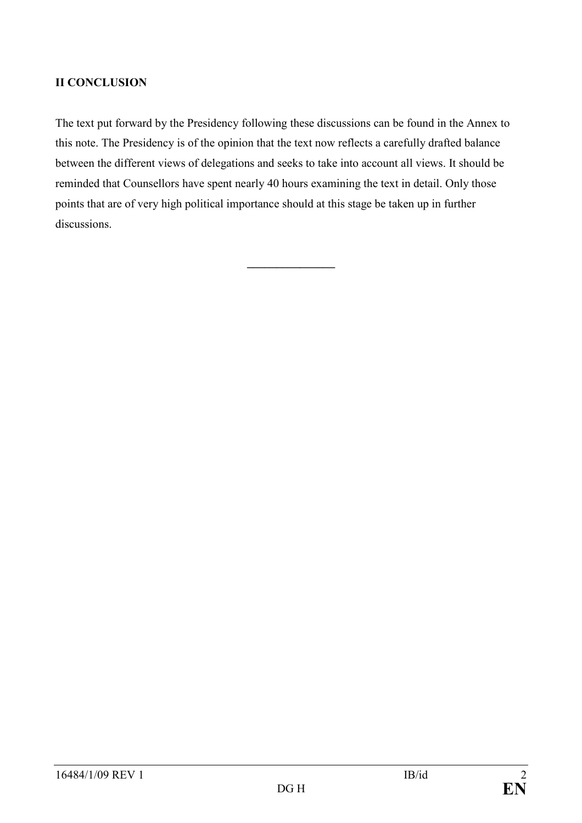### II CONCLUSION

The text put forward by the Presidency following these discussions can be found in the Annex to this note. The Presidency is of the opinion that the text now reflects a carefully drafted balance between the different views of delegations and seeks to take into account all views. It should be reminded that Counsellors have spent nearly 40 hours examining the text in detail. Only those points that are of very high political importance should at this stage be taken up in further discussions.

 $\overline{\phantom{a}}$  , where  $\overline{\phantom{a}}$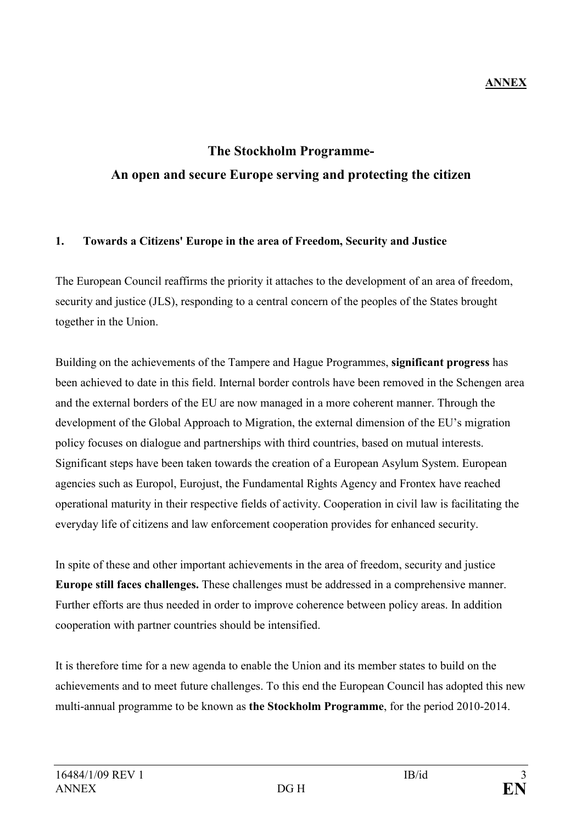# The Stockholm Programme-An open and secure Europe serving and protecting the citizen

# 1. Towards a Citizens' Europe in the area of Freedom, Security and Justice

The European Council reaffirms the priority it attaches to the development of an area of freedom, security and justice (JLS), responding to a central concern of the peoples of the States brought together in the Union.

Building on the achievements of the Tampere and Hague Programmes, significant progress has been achieved to date in this field. Internal border controls have been removed in the Schengen area and the external borders of the EU are now managed in a more coherent manner. Through the development of the Global Approach to Migration, the external dimension of the EU's migration policy focuses on dialogue and partnerships with third countries, based on mutual interests. Significant steps have been taken towards the creation of a European Asylum System. European agencies such as Europol, Eurojust, the Fundamental Rights Agency and Frontex have reached operational maturity in their respective fields of activity. Cooperation in civil law is facilitating the everyday life of citizens and law enforcement cooperation provides for enhanced security.

In spite of these and other important achievements in the area of freedom, security and justice Europe still faces challenges. These challenges must be addressed in a comprehensive manner. Further efforts are thus needed in order to improve coherence between policy areas. In addition cooperation with partner countries should be intensified.

It is therefore time for a new agenda to enable the Union and its member states to build on the achievements and to meet future challenges. To this end the European Council has adopted this new multi-annual programme to be known as the Stockholm Programme, for the period 2010-2014.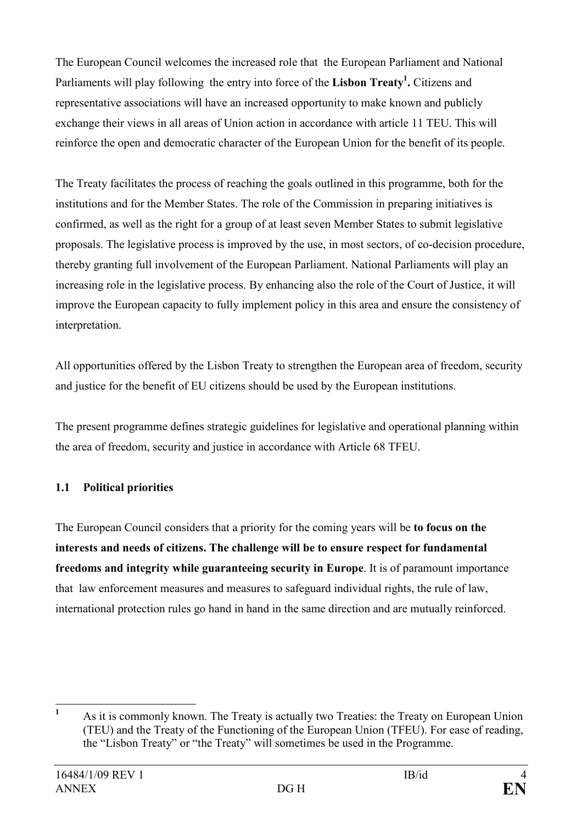The European Council welcomes the increased role that the European Parliament and National Parliaments will play following the entry into force of the Lisbon  $Treaty<sup>1</sup>$ . Citizens and representative associations will have an increased opportunity to make known and publicly exchange their views in all areas of Union action in accordance with article 11 TEU. This will reinforce the open and democratic character of the European Union for the benefit of its people.

The Treaty facilitates the process of reaching the goals outlined in this programme, both for the institutions and for the Member States. The role of the Commission in preparing initiatives is confirmed, as well as the right for a group of at least seven Member States to submit legislative proposals. The legislative process is improved by the use, in most sectors, of co-decision procedure, thereby granting full involvement of the European Parliament. National Parliaments will play an increasing role in the legislative process. By enhancing also the role of the Court of Justice, it will improve the European capacity to fully implement policy in this area and ensure the consistency of interpretation.

All opportunities offered by the Lisbon Treaty to strengthen the European area of freedom, security and justice for the benefit of EU citizens should be used by the European institutions.

The present programme defines strategic guidelines for legislative and operational planning within the area of freedom, security and justice in accordance with Article 68 TFEU.

# 1.1 Political priorities

The European Council considers that a priority for the coming years will be to focus on the interests and needs of citizens. The challenge will be to ensure respect for fundamental freedoms and integrity while guaranteeing security in Europe. It is of paramount importance that law enforcement measures and measures to safeguard individual rights, the rule of law, international protection rules go hand in hand in the same direction and are mutually reinforced.

 $\frac{1}{1}$  As it is commonly known. The Treaty is actually two Treaties: the Treaty on European Union (TEU) and the Treaty of the Functioning of the European Union (TFEU). For ease of reading, the "Lisbon Treaty" or "the Treaty" will sometimes be used in the Programme.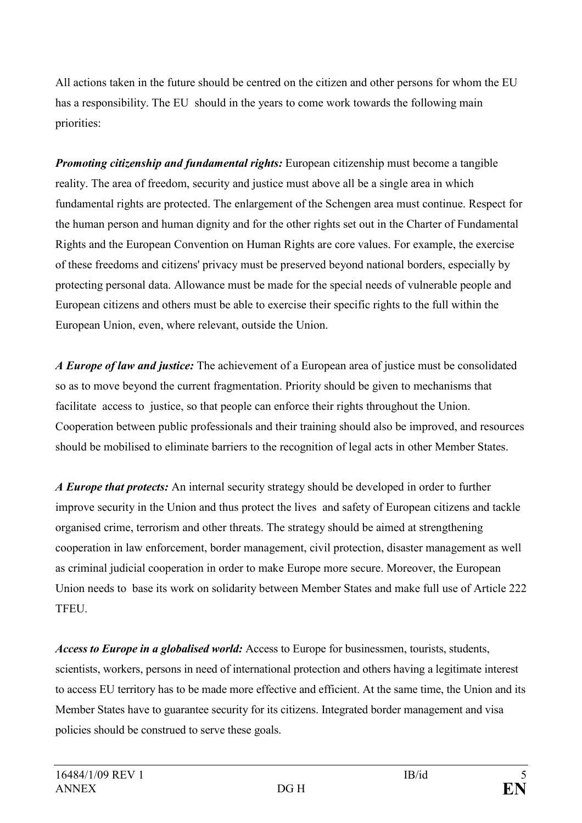All actions taken in the future should be centred on the citizen and other persons for whom the EU has a responsibility. The EU should in the years to come work towards the following main priorities:

**Promoting citizenship and fundamental rights:** European citizenship must become a tangible reality. The area of freedom, security and justice must above all be a single area in which fundamental rights are protected. The enlargement of the Schengen area must continue. Respect for the human person and human dignity and for the other rights set out in the Charter of Fundamental Rights and the European Convention on Human Rights are core values. For example, the exercise of these freedoms and citizens' privacy must be preserved beyond national borders, especially by protecting personal data. Allowance must be made for the special needs of vulnerable people and European citizens and others must be able to exercise their specific rights to the full within the European Union, even, where relevant, outside the Union.

A Europe of law and justice: The achievement of a European area of justice must be consolidated so as to move beyond the current fragmentation. Priority should be given to mechanisms that facilitate access to justice, so that people can enforce their rights throughout the Union. Cooperation between public professionals and their training should also be improved, and resources should be mobilised to eliminate barriers to the recognition of legal acts in other Member States.

A Europe that protects: An internal security strategy should be developed in order to further improve security in the Union and thus protect the lives and safety of European citizens and tackle organised crime, terrorism and other threats. The strategy should be aimed at strengthening cooperation in law enforcement, border management, civil protection, disaster management as well as criminal judicial cooperation in order to make Europe more secure. Moreover, the European Union needs to base its work on solidarity between Member States and make full use of Article 222 **TFEU** 

Access to Europe in a globalised world: Access to Europe for businessmen, tourists, students, scientists, workers, persons in need of international protection and others having a legitimate interest to access EU territory has to be made more effective and efficient. At the same time, the Union and its Member States have to guarantee security for its citizens. Integrated border management and visa policies should be construed to serve these goals.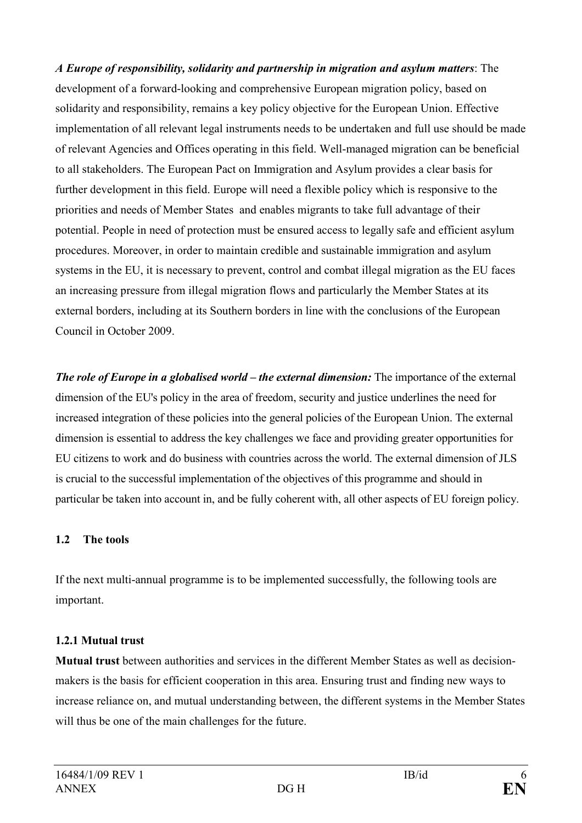A Europe of responsibility, solidarity and partnership in migration and asylum matters: The development of a forward-looking and comprehensive European migration policy, based on solidarity and responsibility, remains a key policy objective for the European Union. Effective implementation of all relevant legal instruments needs to be undertaken and full use should be made of relevant Agencies and Offices operating in this field. Well-managed migration can be beneficial to all stakeholders. The European Pact on Immigration and Asylum provides a clear basis for further development in this field. Europe will need a flexible policy which is responsive to the priorities and needs of Member States and enables migrants to take full advantage of their potential. People in need of protection must be ensured access to legally safe and efficient asylum procedures. Moreover, in order to maintain credible and sustainable immigration and asylum systems in the EU, it is necessary to prevent, control and combat illegal migration as the EU faces an increasing pressure from illegal migration flows and particularly the Member States at its external borders, including at its Southern borders in line with the conclusions of the European Council in October 2009.

The role of Europe in a globalised world – the external dimension: The importance of the external dimension of the EU's policy in the area of freedom, security and justice underlines the need for increased integration of these policies into the general policies of the European Union. The external dimension is essential to address the key challenges we face and providing greater opportunities for EU citizens to work and do business with countries across the world. The external dimension of JLS is crucial to the successful implementation of the objectives of this programme and should in particular be taken into account in, and be fully coherent with, all other aspects of EU foreign policy.

# 1.2 The tools

If the next multi-annual programme is to be implemented successfully, the following tools are important.

### 1.2.1 Mutual trust

Mutual trust between authorities and services in the different Member States as well as decisionmakers is the basis for efficient cooperation in this area. Ensuring trust and finding new ways to increase reliance on, and mutual understanding between, the different systems in the Member States will thus be one of the main challenges for the future.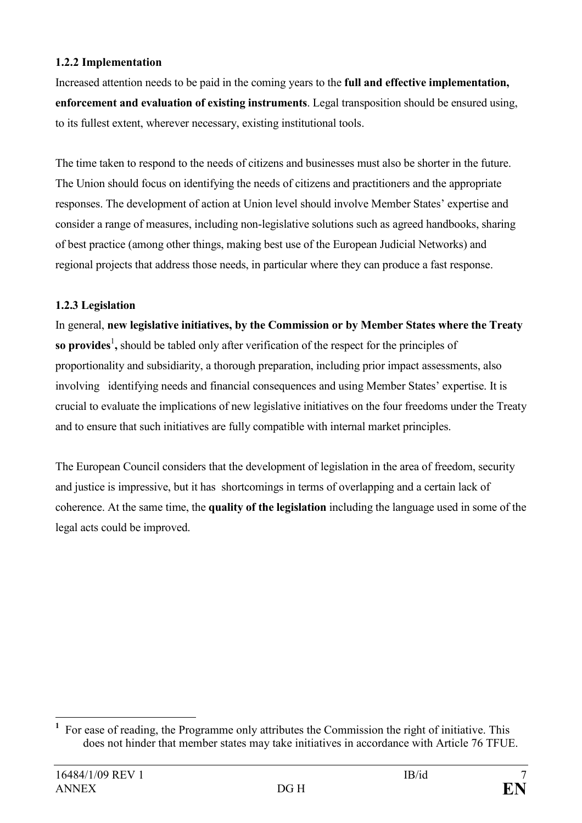### 1.2.2 Implementation

Increased attention needs to be paid in the coming years to the full and effective implementation, enforcement and evaluation of existing instruments. Legal transposition should be ensured using, to its fullest extent, wherever necessary, existing institutional tools.

The time taken to respond to the needs of citizens and businesses must also be shorter in the future. The Union should focus on identifying the needs of citizens and practitioners and the appropriate responses. The development of action at Union level should involve Member States' expertise and consider a range of measures, including non-legislative solutions such as agreed handbooks, sharing of best practice (among other things, making best use of the European Judicial Networks) and regional projects that address those needs, in particular where they can produce a fast response.

### 1.2.3 Legislation

In general, new legislative initiatives, by the Commission or by Member States where the Treaty so provides<sup>1</sup>, should be tabled only after verification of the respect for the principles of proportionality and subsidiarity, a thorough preparation, including prior impact assessments, also involving identifying needs and financial consequences and using Member States' expertise. It is crucial to evaluate the implications of new legislative initiatives on the four freedoms under the Treaty and to ensure that such initiatives are fully compatible with internal market principles.

The European Council considers that the development of legislation in the area of freedom, security and justice is impressive, but it has shortcomings in terms of overlapping and a certain lack of coherence. At the same time, the quality of the legislation including the language used in some of the legal acts could be improved.

 $\overline{a}$ <sup>1</sup> For ease of reading, the Programme only attributes the Commission the right of initiative. This does not hinder that member states may take initiatives in accordance with Article 76 TFUE.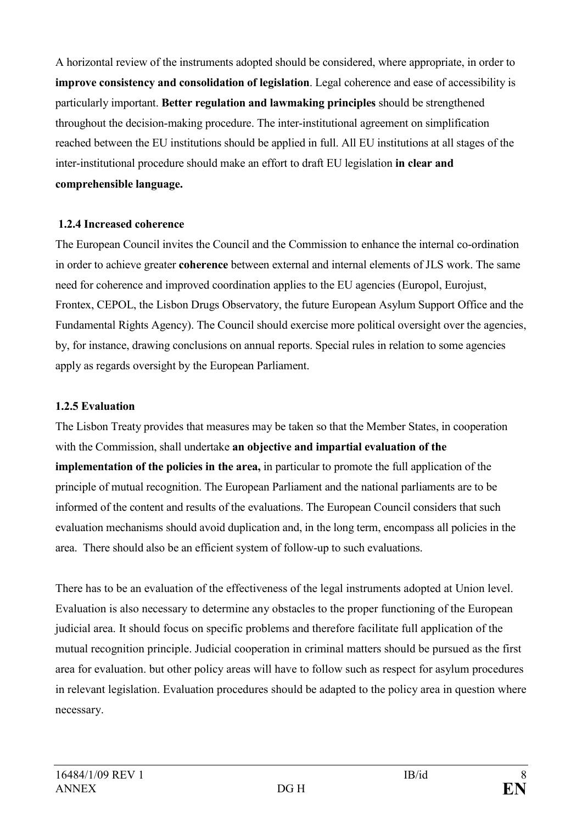A horizontal review of the instruments adopted should be considered, where appropriate, in order to improve consistency and consolidation of legislation. Legal coherence and ease of accessibility is particularly important. Better regulation and lawmaking principles should be strengthened throughout the decision-making procedure. The inter-institutional agreement on simplification reached between the EU institutions should be applied in full. All EU institutions at all stages of the inter-institutional procedure should make an effort to draft EU legislation in clear and comprehensible language.

### 1.2.4 Increased coherence

The European Council invites the Council and the Commission to enhance the internal co-ordination in order to achieve greater coherence between external and internal elements of JLS work. The same need for coherence and improved coordination applies to the EU agencies (Europol, Eurojust, Frontex, CEPOL, the Lisbon Drugs Observatory, the future European Asylum Support Office and the Fundamental Rights Agency). The Council should exercise more political oversight over the agencies, by, for instance, drawing conclusions on annual reports. Special rules in relation to some agencies apply as regards oversight by the European Parliament.

### 1.2.5 Evaluation

The Lisbon Treaty provides that measures may be taken so that the Member States, in cooperation with the Commission, shall undertake an objective and impartial evaluation of the implementation of the policies in the area, in particular to promote the full application of the principle of mutual recognition. The European Parliament and the national parliaments are to be informed of the content and results of the evaluations. The European Council considers that such evaluation mechanisms should avoid duplication and, in the long term, encompass all policies in the area. There should also be an efficient system of follow-up to such evaluations.

There has to be an evaluation of the effectiveness of the legal instruments adopted at Union level. Evaluation is also necessary to determine any obstacles to the proper functioning of the European judicial area. It should focus on specific problems and therefore facilitate full application of the mutual recognition principle. Judicial cooperation in criminal matters should be pursued as the first area for evaluation. but other policy areas will have to follow such as respect for asylum procedures in relevant legislation. Evaluation procedures should be adapted to the policy area in question where necessary.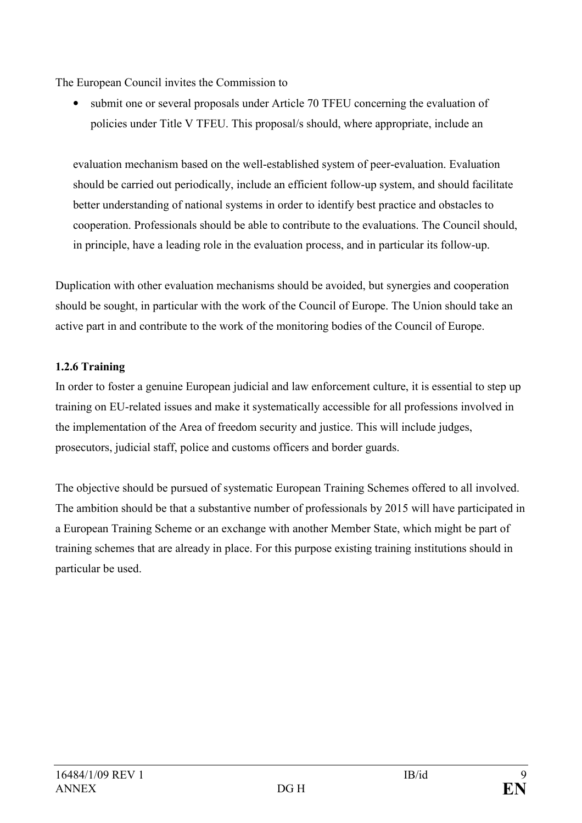The European Council invites the Commission to

• submit one or several proposals under Article 70 TFEU concerning the evaluation of policies under Title V TFEU. This proposal/s should, where appropriate, include an

evaluation mechanism based on the well-established system of peer-evaluation. Evaluation should be carried out periodically, include an efficient follow-up system, and should facilitate better understanding of national systems in order to identify best practice and obstacles to cooperation. Professionals should be able to contribute to the evaluations. The Council should, in principle, have a leading role in the evaluation process, and in particular its follow-up.

Duplication with other evaluation mechanisms should be avoided, but synergies and cooperation should be sought, in particular with the work of the Council of Europe. The Union should take an active part in and contribute to the work of the monitoring bodies of the Council of Europe.

# 1.2.6 Training

In order to foster a genuine European judicial and law enforcement culture, it is essential to step up training on EU-related issues and make it systematically accessible for all professions involved in the implementation of the Area of freedom security and justice. This will include judges, prosecutors, judicial staff, police and customs officers and border guards.

The objective should be pursued of systematic European Training Schemes offered to all involved. The ambition should be that a substantive number of professionals by 2015 will have participated in a European Training Scheme or an exchange with another Member State, which might be part of training schemes that are already in place. For this purpose existing training institutions should in particular be used.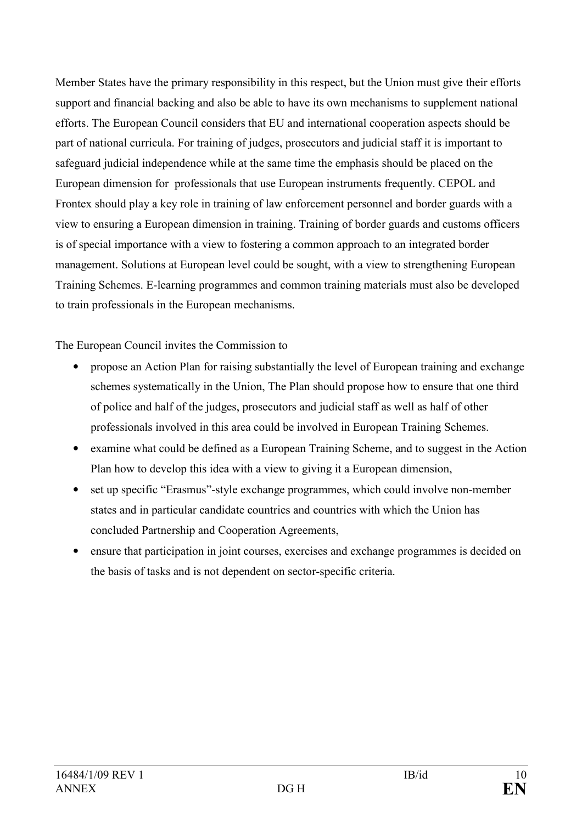Member States have the primary responsibility in this respect, but the Union must give their efforts support and financial backing and also be able to have its own mechanisms to supplement national efforts. The European Council considers that EU and international cooperation aspects should be part of national curricula. For training of judges, prosecutors and judicial staff it is important to safeguard judicial independence while at the same time the emphasis should be placed on the European dimension for professionals that use European instruments frequently. CEPOL and Frontex should play a key role in training of law enforcement personnel and border guards with a view to ensuring a European dimension in training. Training of border guards and customs officers is of special importance with a view to fostering a common approach to an integrated border management. Solutions at European level could be sought, with a view to strengthening European Training Schemes. E-learning programmes and common training materials must also be developed to train professionals in the European mechanisms.

The European Council invites the Commission to

- propose an Action Plan for raising substantially the level of European training and exchange schemes systematically in the Union, The Plan should propose how to ensure that one third of police and half of the judges, prosecutors and judicial staff as well as half of other professionals involved in this area could be involved in European Training Schemes.
- examine what could be defined as a European Training Scheme, and to suggest in the Action Plan how to develop this idea with a view to giving it a European dimension,
- set up specific "Erasmus"-style exchange programmes, which could involve non-member states and in particular candidate countries and countries with which the Union has concluded Partnership and Cooperation Agreements,
- ensure that participation in joint courses, exercises and exchange programmes is decided on the basis of tasks and is not dependent on sector-specific criteria.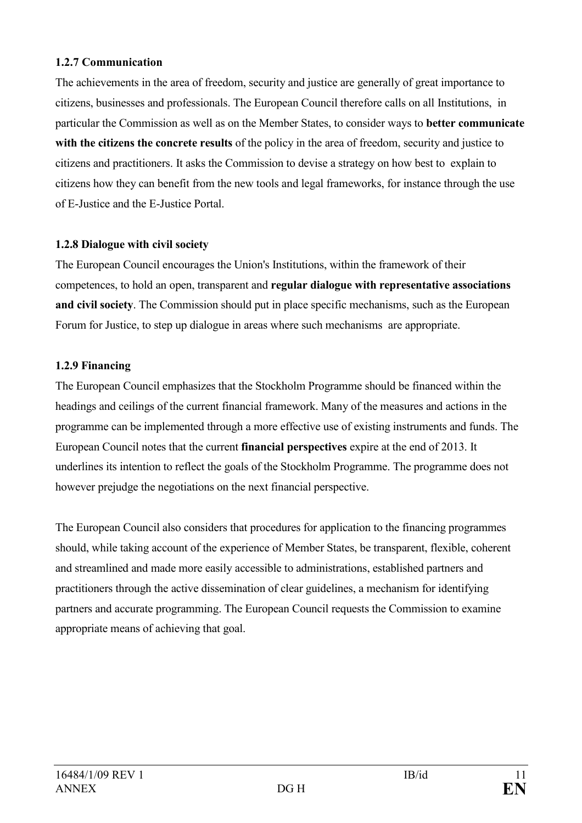### 1.2.7 Communication

The achievements in the area of freedom, security and justice are generally of great importance to citizens, businesses and professionals. The European Council therefore calls on all Institutions, in particular the Commission as well as on the Member States, to consider ways to better communicate with the citizens the concrete results of the policy in the area of freedom, security and justice to citizens and practitioners. It asks the Commission to devise a strategy on how best to explain to citizens how they can benefit from the new tools and legal frameworks, for instance through the use of E-Justice and the E-Justice Portal.

### 1.2.8 Dialogue with civil society

The European Council encourages the Union's Institutions, within the framework of their competences, to hold an open, transparent and regular dialogue with representative associations and civil society. The Commission should put in place specific mechanisms, such as the European Forum for Justice, to step up dialogue in areas where such mechanisms are appropriate.

# 1.2.9 Financing

The European Council emphasizes that the Stockholm Programme should be financed within the headings and ceilings of the current financial framework. Many of the measures and actions in the programme can be implemented through a more effective use of existing instruments and funds. The European Council notes that the current financial perspectives expire at the end of 2013. It underlines its intention to reflect the goals of the Stockholm Programme. The programme does not however prejudge the negotiations on the next financial perspective.

The European Council also considers that procedures for application to the financing programmes should, while taking account of the experience of Member States, be transparent, flexible, coherent and streamlined and made more easily accessible to administrations, established partners and practitioners through the active dissemination of clear guidelines, a mechanism for identifying partners and accurate programming. The European Council requests the Commission to examine appropriate means of achieving that goal.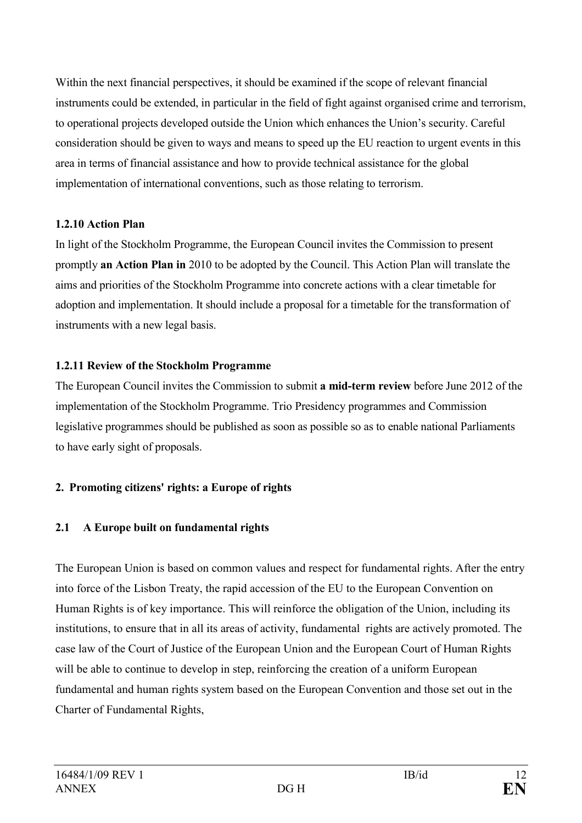Within the next financial perspectives, it should be examined if the scope of relevant financial instruments could be extended, in particular in the field of fight against organised crime and terrorism, to operational projects developed outside the Union which enhances the Union's security. Careful consideration should be given to ways and means to speed up the EU reaction to urgent events in this area in terms of financial assistance and how to provide technical assistance for the global implementation of international conventions, such as those relating to terrorism.

# 1.2.10 Action Plan

In light of the Stockholm Programme, the European Council invites the Commission to present promptly an Action Plan in 2010 to be adopted by the Council. This Action Plan will translate the aims and priorities of the Stockholm Programme into concrete actions with a clear timetable for adoption and implementation. It should include a proposal for a timetable for the transformation of instruments with a new legal basis.

# 1.2.11 Review of the Stockholm Programme

The European Council invites the Commission to submit a mid-term review before June 2012 of the implementation of the Stockholm Programme. Trio Presidency programmes and Commission legislative programmes should be published as soon as possible so as to enable national Parliaments to have early sight of proposals.

# 2. Promoting citizens' rights: a Europe of rights

# 2.1 A Europe built on fundamental rights

The European Union is based on common values and respect for fundamental rights. After the entry into force of the Lisbon Treaty, the rapid accession of the EU to the European Convention on Human Rights is of key importance. This will reinforce the obligation of the Union, including its institutions, to ensure that in all its areas of activity, fundamental rights are actively promoted. The case law of the Court of Justice of the European Union and the European Court of Human Rights will be able to continue to develop in step, reinforcing the creation of a uniform European fundamental and human rights system based on the European Convention and those set out in the Charter of Fundamental Rights,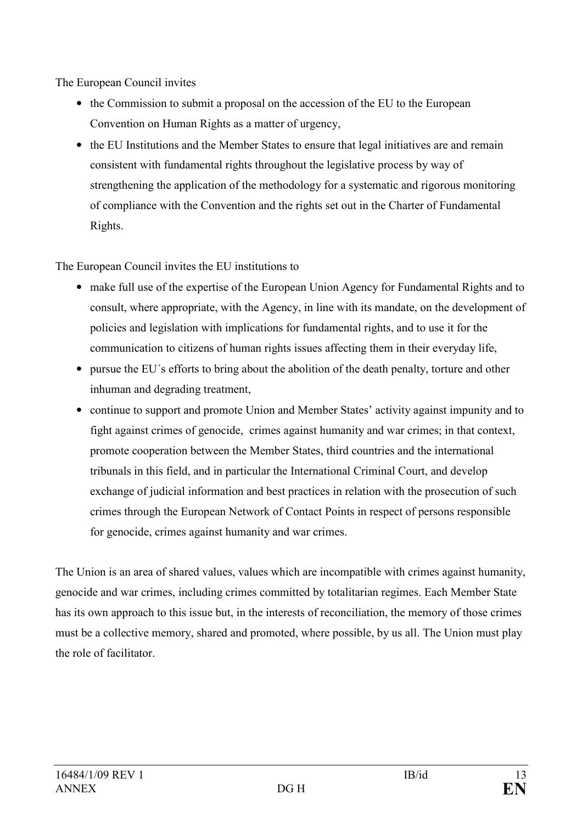The European Council invites

- the Commission to submit a proposal on the accession of the EU to the European Convention on Human Rights as a matter of urgency,
- the EU Institutions and the Member States to ensure that legal initiatives are and remain consistent with fundamental rights throughout the legislative process by way of strengthening the application of the methodology for a systematic and rigorous monitoring of compliance with the Convention and the rights set out in the Charter of Fundamental Rights.

The European Council invites the EU institutions to

- make full use of the expertise of the European Union Agency for Fundamental Rights and to consult, where appropriate, with the Agency, in line with its mandate, on the development of policies and legislation with implications for fundamental rights, and to use it for the communication to citizens of human rights issues affecting them in their everyday life,
- pursue the EU's efforts to bring about the abolition of the death penalty, torture and other inhuman and degrading treatment,
- continue to support and promote Union and Member States' activity against impunity and to fight against crimes of genocide, crimes against humanity and war crimes; in that context, promote cooperation between the Member States, third countries and the international tribunals in this field, and in particular the International Criminal Court, and develop exchange of judicial information and best practices in relation with the prosecution of such crimes through the European Network of Contact Points in respect of persons responsible for genocide, crimes against humanity and war crimes.

The Union is an area of shared values, values which are incompatible with crimes against humanity, genocide and war crimes, including crimes committed by totalitarian regimes. Each Member State has its own approach to this issue but, in the interests of reconciliation, the memory of those crimes must be a collective memory, shared and promoted, where possible, by us all. The Union must play the role of facilitator.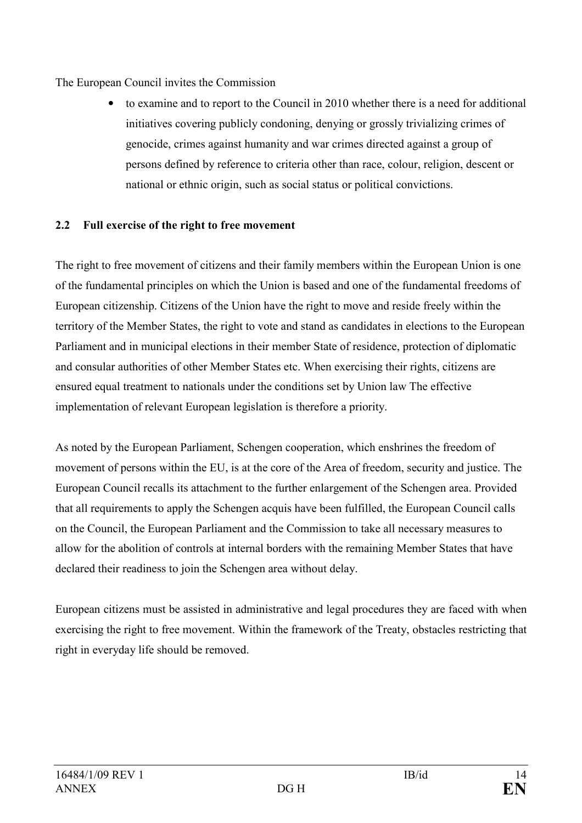The European Council invites the Commission

• to examine and to report to the Council in 2010 whether there is a need for additional initiatives covering publicly condoning, denying or grossly trivializing crimes of genocide, crimes against humanity and war crimes directed against a group of persons defined by reference to criteria other than race, colour, religion, descent or national or ethnic origin, such as social status or political convictions.

# 2.2 Full exercise of the right to free movement

The right to free movement of citizens and their family members within the European Union is one of the fundamental principles on which the Union is based and one of the fundamental freedoms of European citizenship. Citizens of the Union have the right to move and reside freely within the territory of the Member States, the right to vote and stand as candidates in elections to the European Parliament and in municipal elections in their member State of residence, protection of diplomatic and consular authorities of other Member States etc. When exercising their rights, citizens are ensured equal treatment to nationals under the conditions set by Union law The effective implementation of relevant European legislation is therefore a priority.

As noted by the European Parliament, Schengen cooperation, which enshrines the freedom of movement of persons within the EU, is at the core of the Area of freedom, security and justice. The European Council recalls its attachment to the further enlargement of the Schengen area. Provided that all requirements to apply the Schengen acquis have been fulfilled, the European Council calls on the Council, the European Parliament and the Commission to take all necessary measures to allow for the abolition of controls at internal borders with the remaining Member States that have declared their readiness to join the Schengen area without delay.

European citizens must be assisted in administrative and legal procedures they are faced with when exercising the right to free movement. Within the framework of the Treaty, obstacles restricting that right in everyday life should be removed.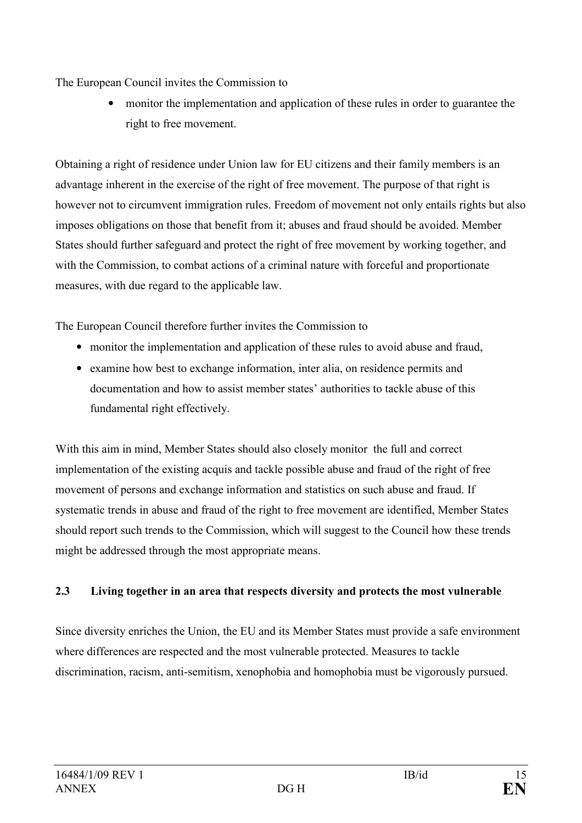The European Council invites the Commission to

• monitor the implementation and application of these rules in order to guarantee the right to free movement.

Obtaining a right of residence under Union law for EU citizens and their family members is an advantage inherent in the exercise of the right of free movement. The purpose of that right is however not to circumvent immigration rules. Freedom of movement not only entails rights but also imposes obligations on those that benefit from it; abuses and fraud should be avoided. Member States should further safeguard and protect the right of free movement by working together, and with the Commission, to combat actions of a criminal nature with forceful and proportionate measures, with due regard to the applicable law.

The European Council therefore further invites the Commission to

- monitor the implementation and application of these rules to avoid abuse and fraud,
- examine how best to exchange information, inter alia, on residence permits and documentation and how to assist member states' authorities to tackle abuse of this fundamental right effectively.

With this aim in mind, Member States should also closely monitor the full and correct implementation of the existing acquis and tackle possible abuse and fraud of the right of free movement of persons and exchange information and statistics on such abuse and fraud. If systematic trends in abuse and fraud of the right to free movement are identified, Member States should report such trends to the Commission, which will suggest to the Council how these trends might be addressed through the most appropriate means.

# 2.3 Living together in an area that respects diversity and protects the most vulnerable

Since diversity enriches the Union, the EU and its Member States must provide a safe environment where differences are respected and the most vulnerable protected. Measures to tackle discrimination, racism, anti-semitism, xenophobia and homophobia must be vigorously pursued.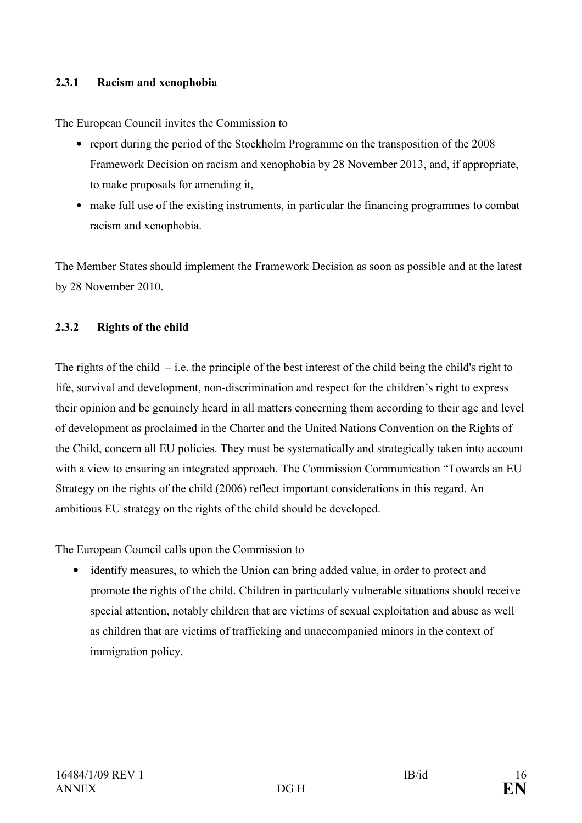# 2.3.1 Racism and xenophobia

The European Council invites the Commission to

- report during the period of the Stockholm Programme on the transposition of the 2008 Framework Decision on racism and xenophobia by 28 November 2013, and, if appropriate, to make proposals for amending it,
- make full use of the existing instruments, in particular the financing programmes to combat racism and xenophobia.

The Member States should implement the Framework Decision as soon as possible and at the latest by 28 November 2010.

### 2.3.2 Rights of the child

The rights of the child  $-$  i.e. the principle of the best interest of the child being the child's right to life, survival and development, non-discrimination and respect for the children's right to express their opinion and be genuinely heard in all matters concerning them according to their age and level of development as proclaimed in the Charter and the United Nations Convention on the Rights of the Child, concern all EU policies. They must be systematically and strategically taken into account with a view to ensuring an integrated approach. The Commission Communication "Towards an EU Strategy on the rights of the child (2006) reflect important considerations in this regard. An ambitious EU strategy on the rights of the child should be developed.

The European Council calls upon the Commission to

• identify measures, to which the Union can bring added value, in order to protect and promote the rights of the child. Children in particularly vulnerable situations should receive special attention, notably children that are victims of sexual exploitation and abuse as well as children that are victims of trafficking and unaccompanied minors in the context of immigration policy.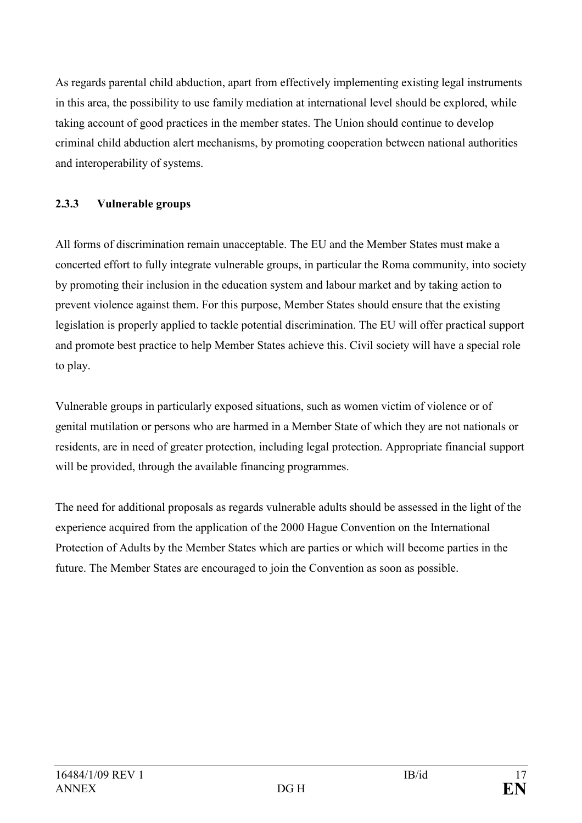As regards parental child abduction, apart from effectively implementing existing legal instruments in this area, the possibility to use family mediation at international level should be explored, while taking account of good practices in the member states. The Union should continue to develop criminal child abduction alert mechanisms, by promoting cooperation between national authorities and interoperability of systems.

# 2.3.3 Vulnerable groups

All forms of discrimination remain unacceptable. The EU and the Member States must make a concerted effort to fully integrate vulnerable groups, in particular the Roma community, into society by promoting their inclusion in the education system and labour market and by taking action to prevent violence against them. For this purpose, Member States should ensure that the existing legislation is properly applied to tackle potential discrimination. The EU will offer practical support and promote best practice to help Member States achieve this. Civil society will have a special role to play.

Vulnerable groups in particularly exposed situations, such as women victim of violence or of genital mutilation or persons who are harmed in a Member State of which they are not nationals or residents, are in need of greater protection, including legal protection. Appropriate financial support will be provided, through the available financing programmes.

The need for additional proposals as regards vulnerable adults should be assessed in the light of the experience acquired from the application of the 2000 Hague Convention on the International Protection of Adults by the Member States which are parties or which will become parties in the future. The Member States are encouraged to join the Convention as soon as possible.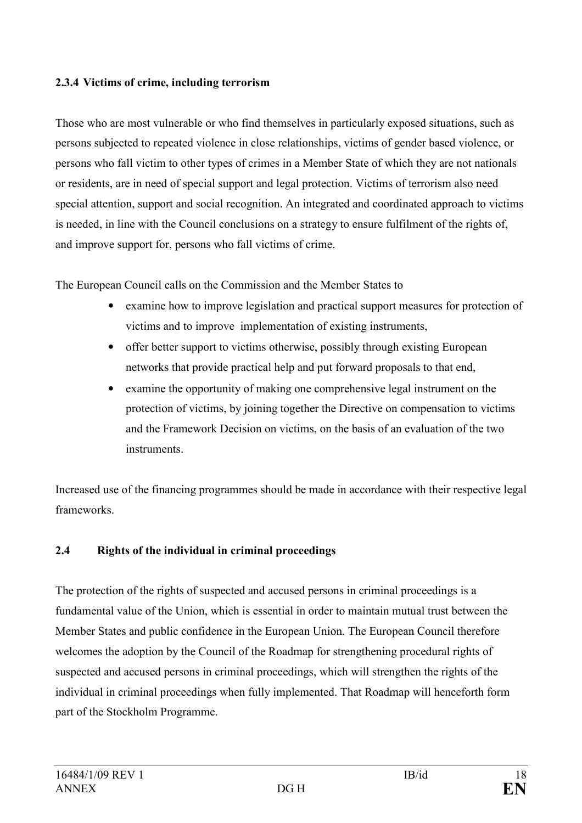# 2.3.4 Victims of crime, including terrorism

Those who are most vulnerable or who find themselves in particularly exposed situations, such as persons subjected to repeated violence in close relationships, victims of gender based violence, or persons who fall victim to other types of crimes in a Member State of which they are not nationals or residents, are in need of special support and legal protection. Victims of terrorism also need special attention, support and social recognition. An integrated and coordinated approach to victims is needed, in line with the Council conclusions on a strategy to ensure fulfilment of the rights of, and improve support for, persons who fall victims of crime.

The European Council calls on the Commission and the Member States to

- examine how to improve legislation and practical support measures for protection of victims and to improve implementation of existing instruments,
- offer better support to victims otherwise, possibly through existing European networks that provide practical help and put forward proposals to that end,
- examine the opportunity of making one comprehensive legal instrument on the protection of victims, by joining together the Directive on compensation to victims and the Framework Decision on victims, on the basis of an evaluation of the two instruments.

Increased use of the financing programmes should be made in accordance with their respective legal frameworks.

# 2.4 Rights of the individual in criminal proceedings

The protection of the rights of suspected and accused persons in criminal proceedings is a fundamental value of the Union, which is essential in order to maintain mutual trust between the Member States and public confidence in the European Union. The European Council therefore welcomes the adoption by the Council of the Roadmap for strengthening procedural rights of suspected and accused persons in criminal proceedings, which will strengthen the rights of the individual in criminal proceedings when fully implemented. That Roadmap will henceforth form part of the Stockholm Programme.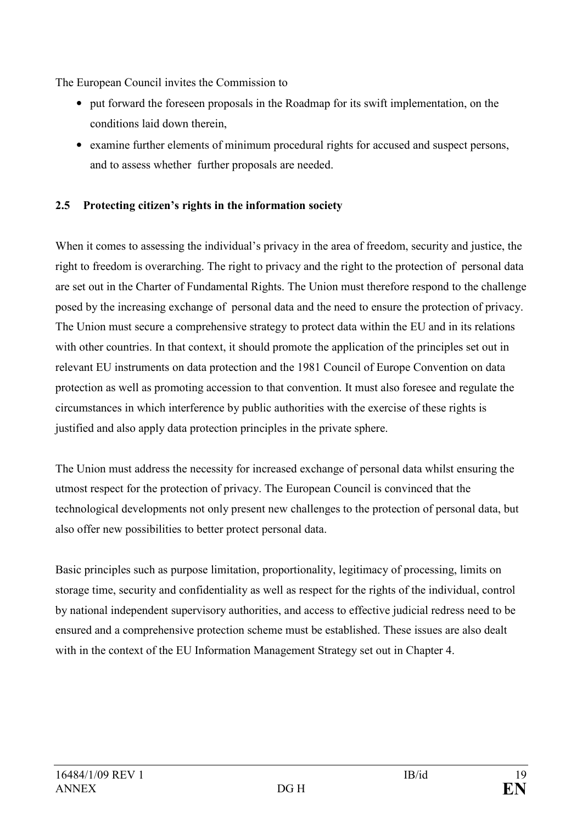The European Council invites the Commission to

- put forward the foreseen proposals in the Roadmap for its swift implementation, on the conditions laid down therein,
- examine further elements of minimum procedural rights for accused and suspect persons, and to assess whether further proposals are needed.

### 2.5 Protecting citizen's rights in the information society

When it comes to assessing the individual's privacy in the area of freedom, security and justice, the right to freedom is overarching. The right to privacy and the right to the protection of personal data are set out in the Charter of Fundamental Rights. The Union must therefore respond to the challenge posed by the increasing exchange of personal data and the need to ensure the protection of privacy. The Union must secure a comprehensive strategy to protect data within the EU and in its relations with other countries. In that context, it should promote the application of the principles set out in relevant EU instruments on data protection and the 1981 Council of Europe Convention on data protection as well as promoting accession to that convention. It must also foresee and regulate the circumstances in which interference by public authorities with the exercise of these rights is justified and also apply data protection principles in the private sphere.

The Union must address the necessity for increased exchange of personal data whilst ensuring the utmost respect for the protection of privacy. The European Council is convinced that the technological developments not only present new challenges to the protection of personal data, but also offer new possibilities to better protect personal data.

Basic principles such as purpose limitation, proportionality, legitimacy of processing, limits on storage time, security and confidentiality as well as respect for the rights of the individual, control by national independent supervisory authorities, and access to effective judicial redress need to be ensured and a comprehensive protection scheme must be established. These issues are also dealt with in the context of the EU Information Management Strategy set out in Chapter 4.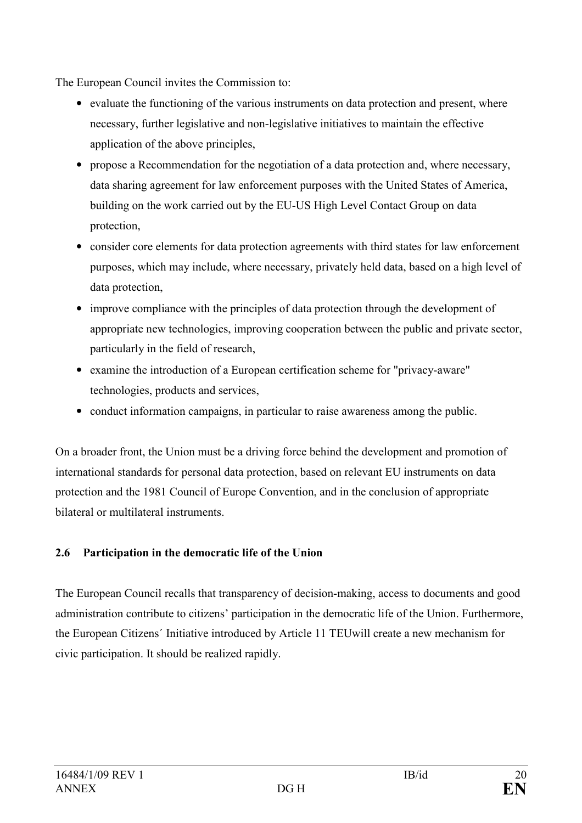The European Council invites the Commission to:

- evaluate the functioning of the various instruments on data protection and present, where necessary, further legislative and non-legislative initiatives to maintain the effective application of the above principles,
- propose a Recommendation for the negotiation of a data protection and, where necessary, data sharing agreement for law enforcement purposes with the United States of America, building on the work carried out by the EU-US High Level Contact Group on data protection,
- consider core elements for data protection agreements with third states for law enforcement purposes, which may include, where necessary, privately held data, based on a high level of data protection,
- improve compliance with the principles of data protection through the development of appropriate new technologies, improving cooperation between the public and private sector, particularly in the field of research,
- examine the introduction of a European certification scheme for "privacy-aware" technologies, products and services,
- conduct information campaigns, in particular to raise awareness among the public.

On a broader front, the Union must be a driving force behind the development and promotion of international standards for personal data protection, based on relevant EU instruments on data protection and the 1981 Council of Europe Convention, and in the conclusion of appropriate bilateral or multilateral instruments.

# 2.6 Participation in the democratic life of the Union

The European Council recalls that transparency of decision-making, access to documents and good administration contribute to citizens' participation in the democratic life of the Union. Furthermore, the European Citizens´ Initiative introduced by Article 11 TEUwill create a new mechanism for civic participation. It should be realized rapidly.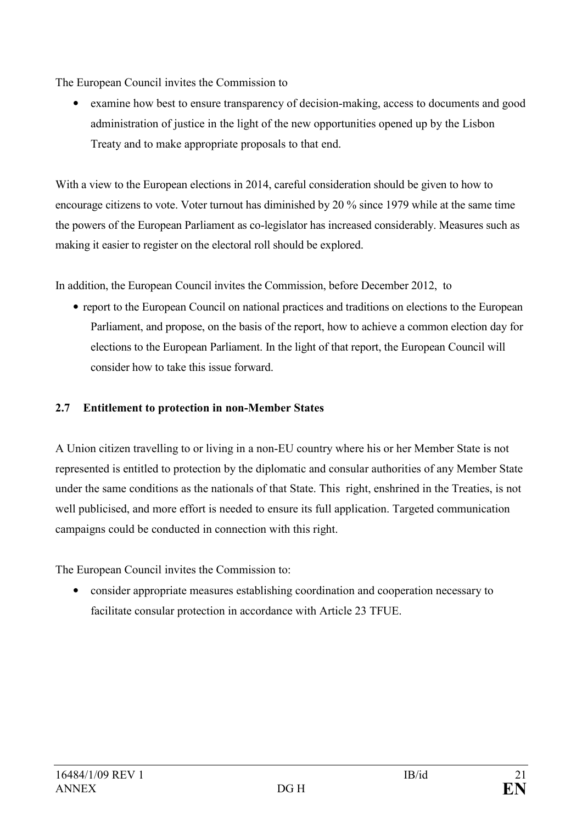The European Council invites the Commission to

examine how best to ensure transparency of decision-making, access to documents and good administration of justice in the light of the new opportunities opened up by the Lisbon Treaty and to make appropriate proposals to that end.

With a view to the European elections in 2014, careful consideration should be given to how to encourage citizens to vote. Voter turnout has diminished by 20 % since 1979 while at the same time the powers of the European Parliament as co-legislator has increased considerably. Measures such as making it easier to register on the electoral roll should be explored.

In addition, the European Council invites the Commission, before December 2012, to

• report to the European Council on national practices and traditions on elections to the European Parliament, and propose, on the basis of the report, how to achieve a common election day for elections to the European Parliament. In the light of that report, the European Council will consider how to take this issue forward.

# 2.7 Entitlement to protection in non-Member States

A Union citizen travelling to or living in a non-EU country where his or her Member State is not represented is entitled to protection by the diplomatic and consular authorities of any Member State under the same conditions as the nationals of that State. This right, enshrined in the Treaties, is not well publicised, and more effort is needed to ensure its full application. Targeted communication campaigns could be conducted in connection with this right.

The European Council invites the Commission to:

• consider appropriate measures establishing coordination and cooperation necessary to facilitate consular protection in accordance with Article 23 TFUE.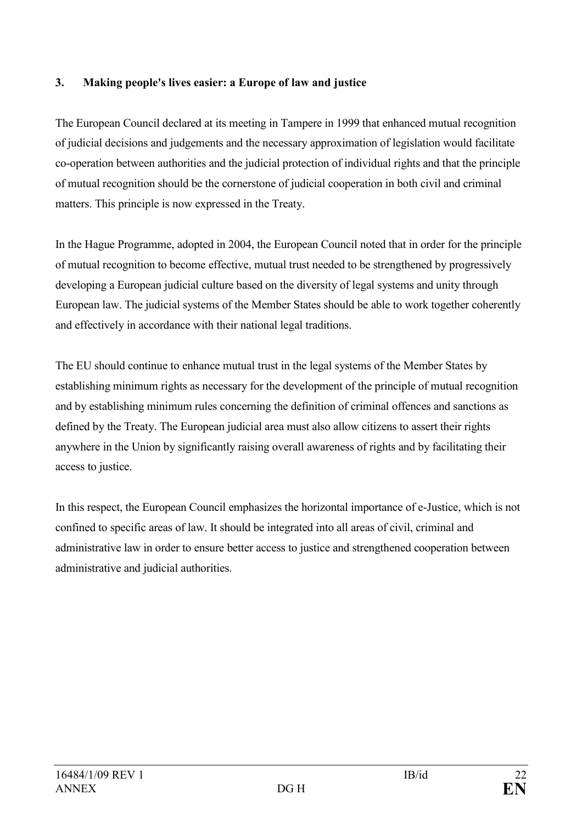# 3. Making people's lives easier: a Europe of law and justice

The European Council declared at its meeting in Tampere in 1999 that enhanced mutual recognition of judicial decisions and judgements and the necessary approximation of legislation would facilitate co-operation between authorities and the judicial protection of individual rights and that the principle of mutual recognition should be the cornerstone of judicial cooperation in both civil and criminal matters. This principle is now expressed in the Treaty.

In the Hague Programme, adopted in 2004, the European Council noted that in order for the principle of mutual recognition to become effective, mutual trust needed to be strengthened by progressively developing a European judicial culture based on the diversity of legal systems and unity through European law. The judicial systems of the Member States should be able to work together coherently and effectively in accordance with their national legal traditions.

The EU should continue to enhance mutual trust in the legal systems of the Member States by establishing minimum rights as necessary for the development of the principle of mutual recognition and by establishing minimum rules concerning the definition of criminal offences and sanctions as defined by the Treaty. The European judicial area must also allow citizens to assert their rights anywhere in the Union by significantly raising overall awareness of rights and by facilitating their access to justice.

In this respect, the European Council emphasizes the horizontal importance of e-Justice, which is not confined to specific areas of law. It should be integrated into all areas of civil, criminal and administrative law in order to ensure better access to justice and strengthened cooperation between administrative and judicial authorities.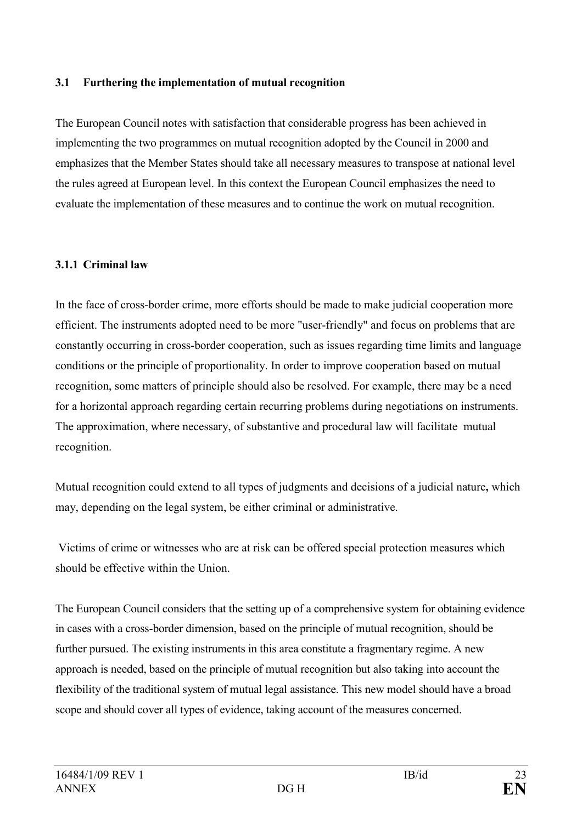#### 3.1 Furthering the implementation of mutual recognition

The European Council notes with satisfaction that considerable progress has been achieved in implementing the two programmes on mutual recognition adopted by the Council in 2000 and emphasizes that the Member States should take all necessary measures to transpose at national level the rules agreed at European level. In this context the European Council emphasizes the need to evaluate the implementation of these measures and to continue the work on mutual recognition.

### 3.1.1 Criminal law

In the face of cross-border crime, more efforts should be made to make judicial cooperation more efficient. The instruments adopted need to be more "user-friendly" and focus on problems that are constantly occurring in cross-border cooperation, such as issues regarding time limits and language conditions or the principle of proportionality. In order to improve cooperation based on mutual recognition, some matters of principle should also be resolved. For example, there may be a need for a horizontal approach regarding certain recurring problems during negotiations on instruments. The approximation, where necessary, of substantive and procedural law will facilitate mutual recognition.

Mutual recognition could extend to all types of judgments and decisions of a judicial nature, which may, depending on the legal system, be either criminal or administrative.

 Victims of crime or witnesses who are at risk can be offered special protection measures which should be effective within the Union.

The European Council considers that the setting up of a comprehensive system for obtaining evidence in cases with a cross-border dimension, based on the principle of mutual recognition, should be further pursued. The existing instruments in this area constitute a fragmentary regime. A new approach is needed, based on the principle of mutual recognition but also taking into account the flexibility of the traditional system of mutual legal assistance. This new model should have a broad scope and should cover all types of evidence, taking account of the measures concerned.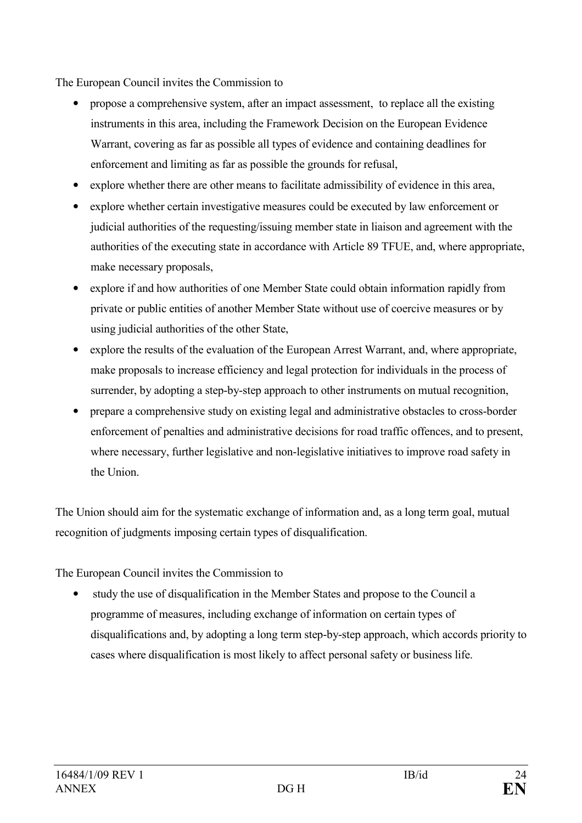The European Council invites the Commission to

- propose a comprehensive system, after an impact assessment, to replace all the existing instruments in this area, including the Framework Decision on the European Evidence Warrant, covering as far as possible all types of evidence and containing deadlines for enforcement and limiting as far as possible the grounds for refusal,
- explore whether there are other means to facilitate admissibility of evidence in this area,
- explore whether certain investigative measures could be executed by law enforcement or judicial authorities of the requesting/issuing member state in liaison and agreement with the authorities of the executing state in accordance with Article 89 TFUE, and, where appropriate, make necessary proposals,
- explore if and how authorities of one Member State could obtain information rapidly from private or public entities of another Member State without use of coercive measures or by using judicial authorities of the other State,
- explore the results of the evaluation of the European Arrest Warrant, and, where appropriate, make proposals to increase efficiency and legal protection for individuals in the process of surrender, by adopting a step-by-step approach to other instruments on mutual recognition,
- prepare a comprehensive study on existing legal and administrative obstacles to cross-border enforcement of penalties and administrative decisions for road traffic offences, and to present, where necessary, further legislative and non-legislative initiatives to improve road safety in the Union.

The Union should aim for the systematic exchange of information and, as a long term goal, mutual recognition of judgments imposing certain types of disqualification.

The European Council invites the Commission to

• study the use of disqualification in the Member States and propose to the Council a programme of measures, including exchange of information on certain types of disqualifications and, by adopting a long term step-by-step approach, which accords priority to cases where disqualification is most likely to affect personal safety or business life.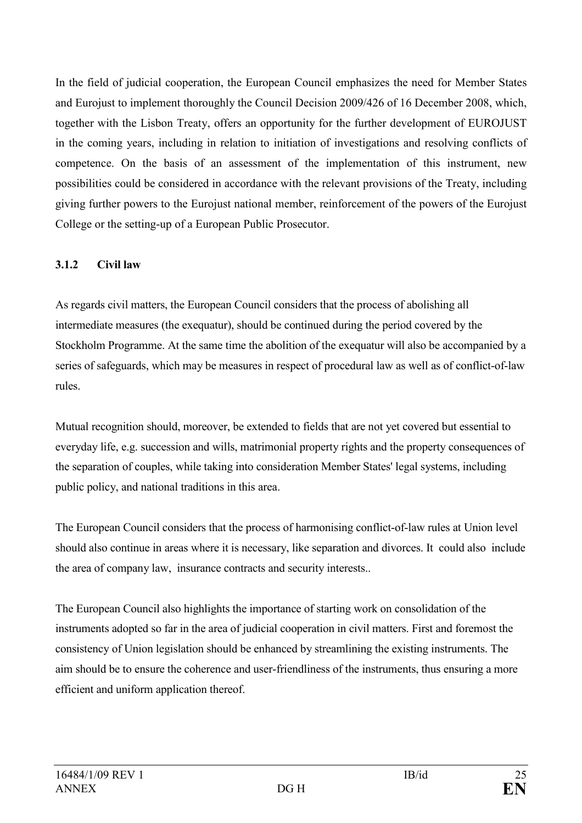In the field of judicial cooperation, the European Council emphasizes the need for Member States and Eurojust to implement thoroughly the Council Decision 2009/426 of 16 December 2008, which, together with the Lisbon Treaty, offers an opportunity for the further development of EUROJUST in the coming years, including in relation to initiation of investigations and resolving conflicts of competence. On the basis of an assessment of the implementation of this instrument, new possibilities could be considered in accordance with the relevant provisions of the Treaty, including giving further powers to the Eurojust national member, reinforcement of the powers of the Eurojust College or the setting-up of a European Public Prosecutor.

# 3.1.2 Civil law

As regards civil matters, the European Council considers that the process of abolishing all intermediate measures (the exequatur), should be continued during the period covered by the Stockholm Programme. At the same time the abolition of the exequatur will also be accompanied by a series of safeguards, which may be measures in respect of procedural law as well as of conflict-of-law rules.

Mutual recognition should, moreover, be extended to fields that are not yet covered but essential to everyday life, e.g. succession and wills, matrimonial property rights and the property consequences of the separation of couples, while taking into consideration Member States' legal systems, including public policy, and national traditions in this area.

The European Council considers that the process of harmonising conflict-of-law rules at Union level should also continue in areas where it is necessary, like separation and divorces. It could also include the area of company law, insurance contracts and security interests..

The European Council also highlights the importance of starting work on consolidation of the instruments adopted so far in the area of judicial cooperation in civil matters. First and foremost the consistency of Union legislation should be enhanced by streamlining the existing instruments. The aim should be to ensure the coherence and user-friendliness of the instruments, thus ensuring a more efficient and uniform application thereof.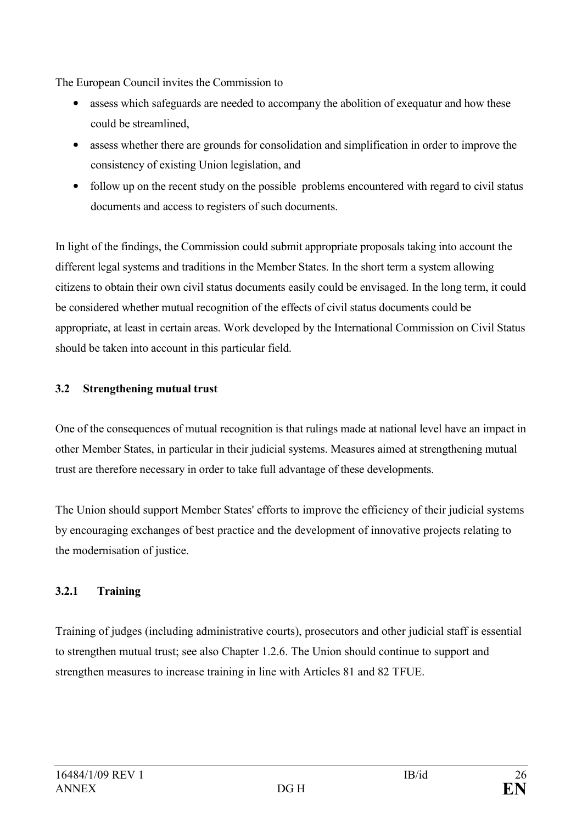The European Council invites the Commission to

- assess which safeguards are needed to accompany the abolition of exequatur and how these could be streamlined,
- assess whether there are grounds for consolidation and simplification in order to improve the consistency of existing Union legislation, and
- follow up on the recent study on the possible problems encountered with regard to civil status documents and access to registers of such documents.

In light of the findings, the Commission could submit appropriate proposals taking into account the different legal systems and traditions in the Member States. In the short term a system allowing citizens to obtain their own civil status documents easily could be envisaged. In the long term, it could be considered whether mutual recognition of the effects of civil status documents could be appropriate, at least in certain areas. Work developed by the International Commission on Civil Status should be taken into account in this particular field.

# 3.2 Strengthening mutual trust

One of the consequences of mutual recognition is that rulings made at national level have an impact in other Member States, in particular in their judicial systems. Measures aimed at strengthening mutual trust are therefore necessary in order to take full advantage of these developments.

The Union should support Member States' efforts to improve the efficiency of their judicial systems by encouraging exchanges of best practice and the development of innovative projects relating to the modernisation of justice.

# 3.2.1 Training

Training of judges (including administrative courts), prosecutors and other judicial staff is essential to strengthen mutual trust; see also Chapter 1.2.6. The Union should continue to support and strengthen measures to increase training in line with Articles 81 and 82 TFUE.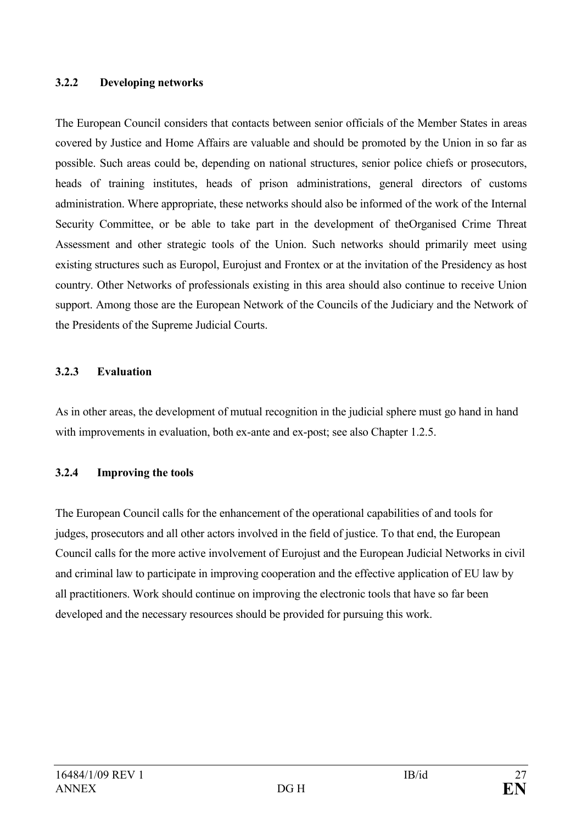### 3.2.2 Developing networks

The European Council considers that contacts between senior officials of the Member States in areas covered by Justice and Home Affairs are valuable and should be promoted by the Union in so far as possible. Such areas could be, depending on national structures, senior police chiefs or prosecutors, heads of training institutes, heads of prison administrations, general directors of customs administration. Where appropriate, these networks should also be informed of the work of the Internal Security Committee, or be able to take part in the development of theOrganised Crime Threat Assessment and other strategic tools of the Union. Such networks should primarily meet using existing structures such as Europol, Eurojust and Frontex or at the invitation of the Presidency as host country. Other Networks of professionals existing in this area should also continue to receive Union support. Among those are the European Network of the Councils of the Judiciary and the Network of the Presidents of the Supreme Judicial Courts.

### 3.2.3 Evaluation

As in other areas, the development of mutual recognition in the judicial sphere must go hand in hand with improvements in evaluation, both ex-ante and ex-post; see also Chapter 1.2.5.

### 3.2.4 Improving the tools

The European Council calls for the enhancement of the operational capabilities of and tools for judges, prosecutors and all other actors involved in the field of justice. To that end, the European Council calls for the more active involvement of Eurojust and the European Judicial Networks in civil and criminal law to participate in improving cooperation and the effective application of EU law by all practitioners. Work should continue on improving the electronic tools that have so far been developed and the necessary resources should be provided for pursuing this work.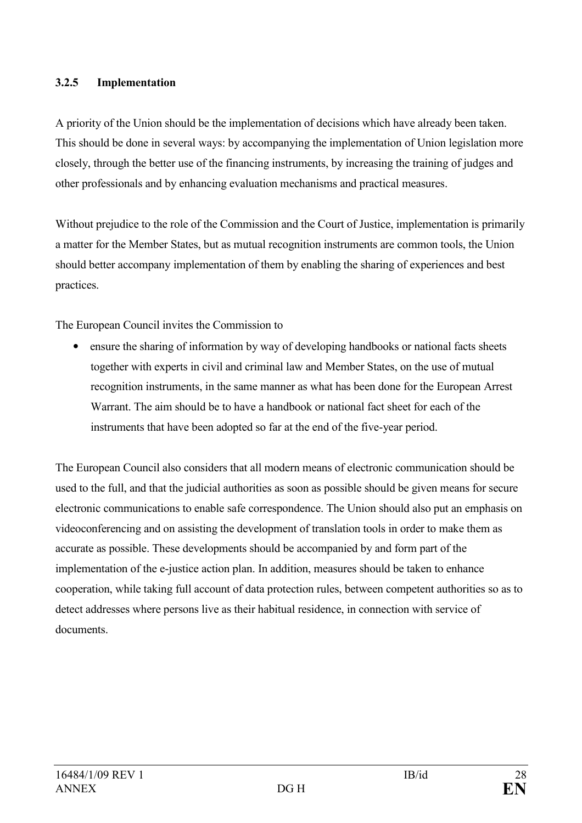### 3.2.5 Implementation

A priority of the Union should be the implementation of decisions which have already been taken. This should be done in several ways: by accompanying the implementation of Union legislation more closely, through the better use of the financing instruments, by increasing the training of judges and other professionals and by enhancing evaluation mechanisms and practical measures.

Without prejudice to the role of the Commission and the Court of Justice, implementation is primarily a matter for the Member States, but as mutual recognition instruments are common tools, the Union should better accompany implementation of them by enabling the sharing of experiences and best practices.

The European Council invites the Commission to

• ensure the sharing of information by way of developing handbooks or national facts sheets together with experts in civil and criminal law and Member States, on the use of mutual recognition instruments, in the same manner as what has been done for the European Arrest Warrant. The aim should be to have a handbook or national fact sheet for each of the instruments that have been adopted so far at the end of the five-year period.

The European Council also considers that all modern means of electronic communication should be used to the full, and that the judicial authorities as soon as possible should be given means for secure electronic communications to enable safe correspondence. The Union should also put an emphasis on videoconferencing and on assisting the development of translation tools in order to make them as accurate as possible. These developments should be accompanied by and form part of the implementation of the e-justice action plan. In addition, measures should be taken to enhance cooperation, while taking full account of data protection rules, between competent authorities so as to detect addresses where persons live as their habitual residence, in connection with service of documents.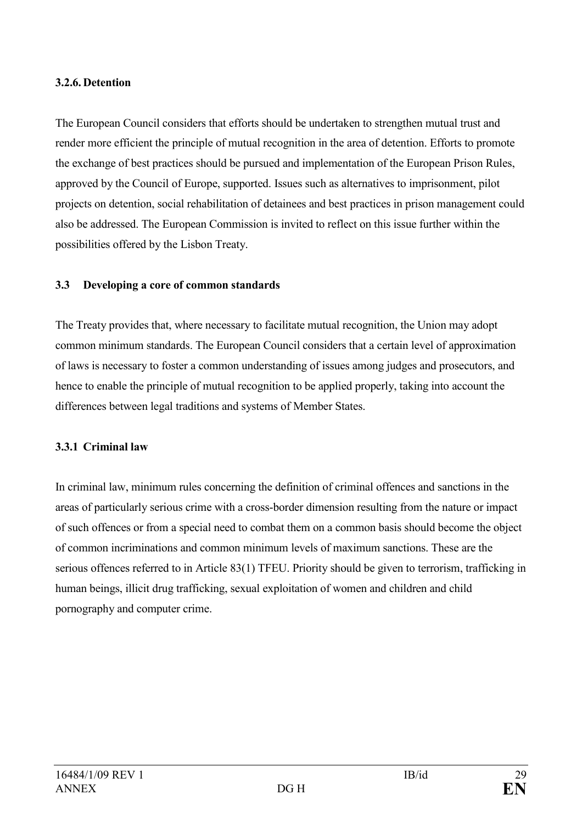### 3.2.6. Detention

The European Council considers that efforts should be undertaken to strengthen mutual trust and render more efficient the principle of mutual recognition in the area of detention. Efforts to promote the exchange of best practices should be pursued and implementation of the European Prison Rules, approved by the Council of Europe, supported. Issues such as alternatives to imprisonment, pilot projects on detention, social rehabilitation of detainees and best practices in prison management could also be addressed. The European Commission is invited to reflect on this issue further within the possibilities offered by the Lisbon Treaty.

# 3.3 Developing a core of common standards

The Treaty provides that, where necessary to facilitate mutual recognition, the Union may adopt common minimum standards. The European Council considers that a certain level of approximation of laws is necessary to foster a common understanding of issues among judges and prosecutors, and hence to enable the principle of mutual recognition to be applied properly, taking into account the differences between legal traditions and systems of Member States.

# 3.3.1 Criminal law

In criminal law, minimum rules concerning the definition of criminal offences and sanctions in the areas of particularly serious crime with a cross-border dimension resulting from the nature or impact of such offences or from a special need to combat them on a common basis should become the object of common incriminations and common minimum levels of maximum sanctions. These are the serious offences referred to in Article 83(1) TFEU. Priority should be given to terrorism, trafficking in human beings, illicit drug trafficking, sexual exploitation of women and children and child pornography and computer crime.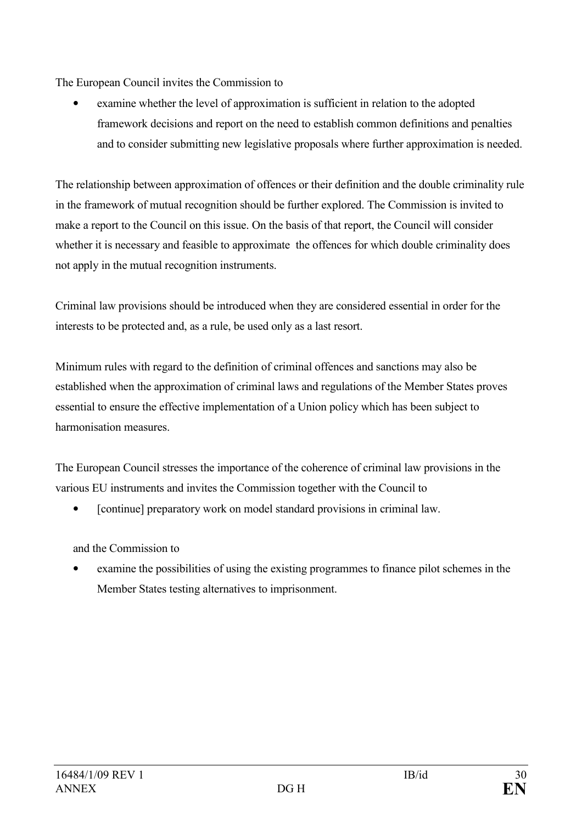The European Council invites the Commission to

• examine whether the level of approximation is sufficient in relation to the adopted framework decisions and report on the need to establish common definitions and penalties and to consider submitting new legislative proposals where further approximation is needed.

The relationship between approximation of offences or their definition and the double criminality rule in the framework of mutual recognition should be further explored. The Commission is invited to make a report to the Council on this issue. On the basis of that report, the Council will consider whether it is necessary and feasible to approximate the offences for which double criminality does not apply in the mutual recognition instruments.

Criminal law provisions should be introduced when they are considered essential in order for the interests to be protected and, as a rule, be used only as a last resort.

Minimum rules with regard to the definition of criminal offences and sanctions may also be established when the approximation of criminal laws and regulations of the Member States proves essential to ensure the effective implementation of a Union policy which has been subject to harmonisation measures.

The European Council stresses the importance of the coherence of criminal law provisions in the various EU instruments and invites the Commission together with the Council to

• [continue] preparatory work on model standard provisions in criminal law.

and the Commission to

• examine the possibilities of using the existing programmes to finance pilot schemes in the Member States testing alternatives to imprisonment.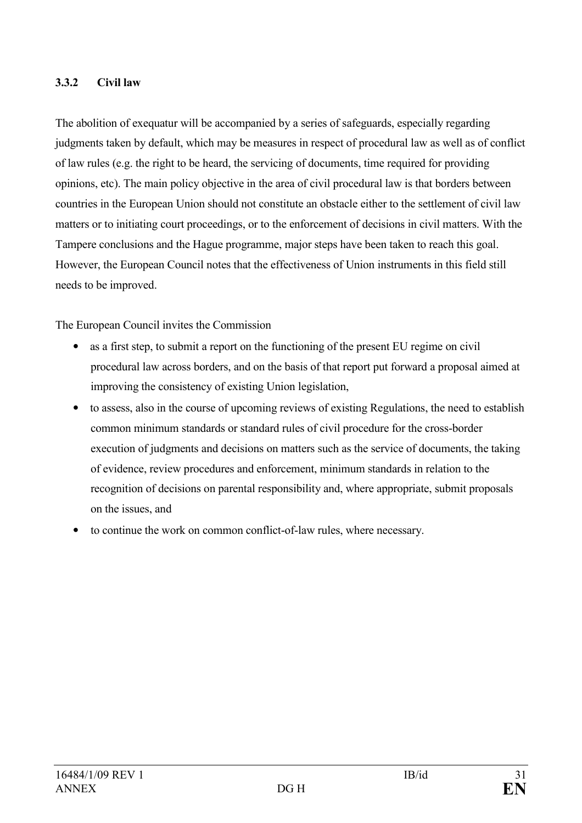### 3.3.2 Civil law

The abolition of exequatur will be accompanied by a series of safeguards, especially regarding judgments taken by default, which may be measures in respect of procedural law as well as of conflict of law rules (e.g. the right to be heard, the servicing of documents, time required for providing opinions, etc). The main policy objective in the area of civil procedural law is that borders between countries in the European Union should not constitute an obstacle either to the settlement of civil law matters or to initiating court proceedings, or to the enforcement of decisions in civil matters. With the Tampere conclusions and the Hague programme, major steps have been taken to reach this goal. However, the European Council notes that the effectiveness of Union instruments in this field still needs to be improved.

The European Council invites the Commission

- as a first step, to submit a report on the functioning of the present EU regime on civil procedural law across borders, and on the basis of that report put forward a proposal aimed at improving the consistency of existing Union legislation,
- to assess, also in the course of upcoming reviews of existing Regulations, the need to establish common minimum standards or standard rules of civil procedure for the cross-border execution of judgments and decisions on matters such as the service of documents, the taking of evidence, review procedures and enforcement, minimum standards in relation to the recognition of decisions on parental responsibility and, where appropriate, submit proposals on the issues, and
- to continue the work on common conflict-of-law rules, where necessary.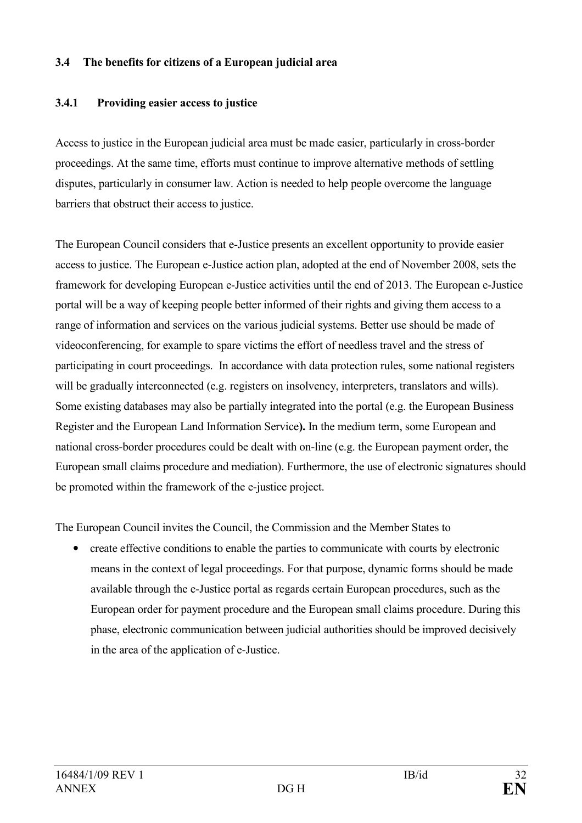#### 3.4 The benefits for citizens of a European judicial area

#### 3.4.1 Providing easier access to justice

Access to justice in the European judicial area must be made easier, particularly in cross-border proceedings. At the same time, efforts must continue to improve alternative methods of settling disputes, particularly in consumer law. Action is needed to help people overcome the language barriers that obstruct their access to justice.

The European Council considers that e-Justice presents an excellent opportunity to provide easier access to justice. The European e-Justice action plan, adopted at the end of November 2008, sets the framework for developing European e-Justice activities until the end of 2013. The European e-Justice portal will be a way of keeping people better informed of their rights and giving them access to a range of information and services on the various judicial systems. Better use should be made of videoconferencing, for example to spare victims the effort of needless travel and the stress of participating in court proceedings. In accordance with data protection rules, some national registers will be gradually interconnected (e.g. registers on insolvency, interpreters, translators and wills). Some existing databases may also be partially integrated into the portal (e.g. the European Business Register and the European Land Information Service). In the medium term, some European and national cross-border procedures could be dealt with on-line (e.g. the European payment order, the European small claims procedure and mediation). Furthermore, the use of electronic signatures should be promoted within the framework of the e-justice project.

The European Council invites the Council, the Commission and the Member States to

• create effective conditions to enable the parties to communicate with courts by electronic means in the context of legal proceedings. For that purpose, dynamic forms should be made available through the e-Justice portal as regards certain European procedures, such as the European order for payment procedure and the European small claims procedure. During this phase, electronic communication between judicial authorities should be improved decisively in the area of the application of e-Justice.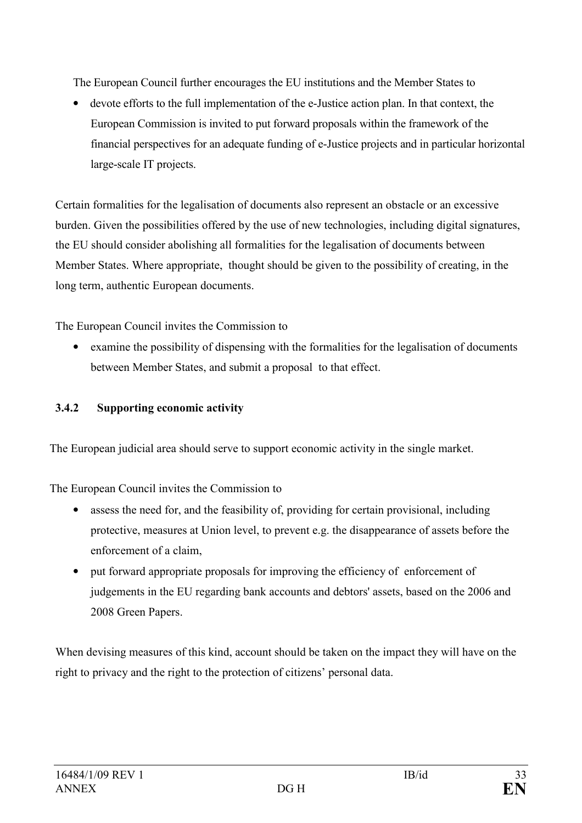The European Council further encourages the EU institutions and the Member States to

• devote efforts to the full implementation of the e-Justice action plan. In that context, the European Commission is invited to put forward proposals within the framework of the financial perspectives for an adequate funding of e-Justice projects and in particular horizontal large-scale IT projects.

Certain formalities for the legalisation of documents also represent an obstacle or an excessive burden. Given the possibilities offered by the use of new technologies, including digital signatures, the EU should consider abolishing all formalities for the legalisation of documents between Member States. Where appropriate, thought should be given to the possibility of creating, in the long term, authentic European documents.

The European Council invites the Commission to

examine the possibility of dispensing with the formalities for the legalisation of documents between Member States, and submit a proposal to that effect.

# 3.4.2 Supporting economic activity

The European judicial area should serve to support economic activity in the single market.

The European Council invites the Commission to

- assess the need for, and the feasibility of, providing for certain provisional, including protective, measures at Union level, to prevent e.g. the disappearance of assets before the enforcement of a claim,
- put forward appropriate proposals for improving the efficiency of enforcement of judgements in the EU regarding bank accounts and debtors' assets, based on the 2006 and 2008 Green Papers.

When devising measures of this kind, account should be taken on the impact they will have on the right to privacy and the right to the protection of citizens' personal data.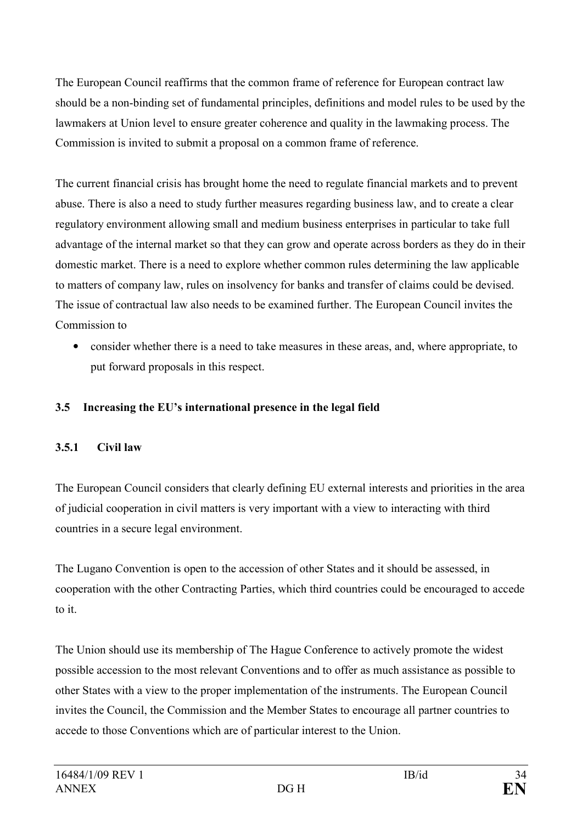The European Council reaffirms that the common frame of reference for European contract law should be a non-binding set of fundamental principles, definitions and model rules to be used by the lawmakers at Union level to ensure greater coherence and quality in the lawmaking process. The Commission is invited to submit a proposal on a common frame of reference.

The current financial crisis has brought home the need to regulate financial markets and to prevent abuse. There is also a need to study further measures regarding business law, and to create a clear regulatory environment allowing small and medium business enterprises in particular to take full advantage of the internal market so that they can grow and operate across borders as they do in their domestic market. There is a need to explore whether common rules determining the law applicable to matters of company law, rules on insolvency for banks and transfer of claims could be devised. The issue of contractual law also needs to be examined further. The European Council invites the Commission to

• consider whether there is a need to take measures in these areas, and, where appropriate, to put forward proposals in this respect.

# 3.5 Increasing the EU's international presence in the legal field

# 3.5.1 Civil law

The European Council considers that clearly defining EU external interests and priorities in the area of judicial cooperation in civil matters is very important with a view to interacting with third countries in a secure legal environment.

The Lugano Convention is open to the accession of other States and it should be assessed, in cooperation with the other Contracting Parties, which third countries could be encouraged to accede to it.

The Union should use its membership of The Hague Conference to actively promote the widest possible accession to the most relevant Conventions and to offer as much assistance as possible to other States with a view to the proper implementation of the instruments. The European Council invites the Council, the Commission and the Member States to encourage all partner countries to accede to those Conventions which are of particular interest to the Union.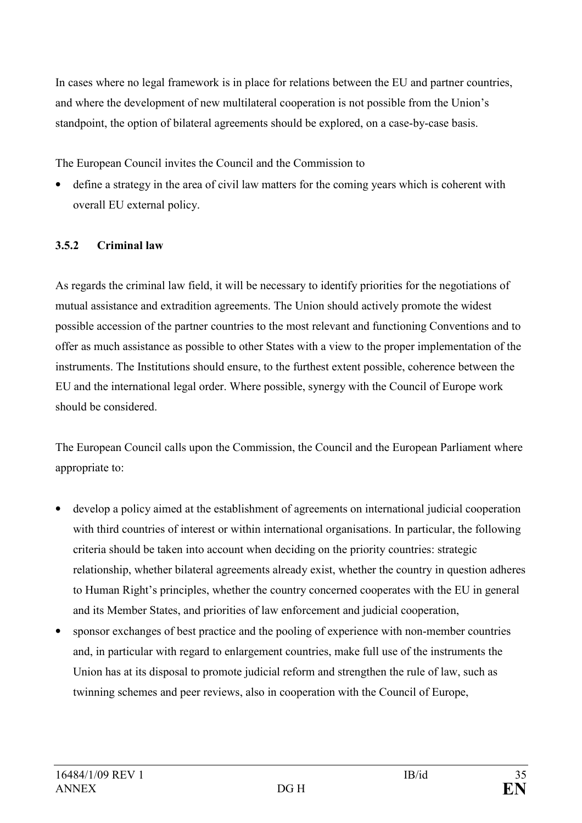In cases where no legal framework is in place for relations between the EU and partner countries, and where the development of new multilateral cooperation is not possible from the Union's standpoint, the option of bilateral agreements should be explored, on a case-by-case basis.

The European Council invites the Council and the Commission to

• define a strategy in the area of civil law matters for the coming years which is coherent with overall EU external policy.

# 3.5.2 Criminal law

As regards the criminal law field, it will be necessary to identify priorities for the negotiations of mutual assistance and extradition agreements. The Union should actively promote the widest possible accession of the partner countries to the most relevant and functioning Conventions and to offer as much assistance as possible to other States with a view to the proper implementation of the instruments. The Institutions should ensure, to the furthest extent possible, coherence between the EU and the international legal order. Where possible, synergy with the Council of Europe work should be considered.

The European Council calls upon the Commission, the Council and the European Parliament where appropriate to:

- develop a policy aimed at the establishment of agreements on international judicial cooperation with third countries of interest or within international organisations. In particular, the following criteria should be taken into account when deciding on the priority countries: strategic relationship, whether bilateral agreements already exist, whether the country in question adheres to Human Right's principles, whether the country concerned cooperates with the EU in general and its Member States, and priorities of law enforcement and judicial cooperation,
- sponsor exchanges of best practice and the pooling of experience with non-member countries and, in particular with regard to enlargement countries, make full use of the instruments the Union has at its disposal to promote judicial reform and strengthen the rule of law, such as twinning schemes and peer reviews, also in cooperation with the Council of Europe,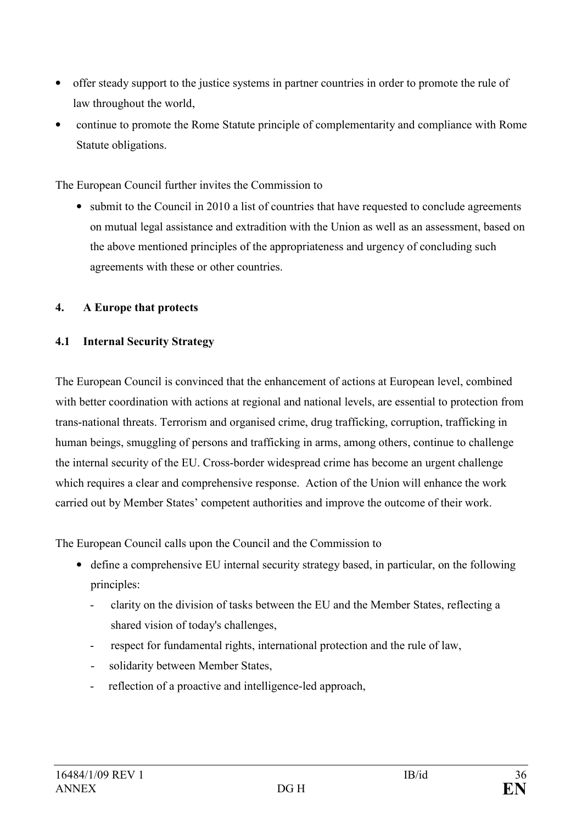- offer steady support to the justice systems in partner countries in order to promote the rule of law throughout the world,
- continue to promote the Rome Statute principle of complementarity and compliance with Rome Statute obligations.

The European Council further invites the Commission to

• submit to the Council in 2010 a list of countries that have requested to conclude agreements on mutual legal assistance and extradition with the Union as well as an assessment, based on the above mentioned principles of the appropriateness and urgency of concluding such agreements with these or other countries.

### 4. A Europe that protects

### 4.1 Internal Security Strategy

The European Council is convinced that the enhancement of actions at European level, combined with better coordination with actions at regional and national levels, are essential to protection from trans-national threats. Terrorism and organised crime, drug trafficking, corruption, trafficking in human beings, smuggling of persons and trafficking in arms, among others, continue to challenge the internal security of the EU. Cross-border widespread crime has become an urgent challenge which requires a clear and comprehensive response. Action of the Union will enhance the work carried out by Member States' competent authorities and improve the outcome of their work.

The European Council calls upon the Council and the Commission to

- define a comprehensive EU internal security strategy based, in particular, on the following principles:
	- clarity on the division of tasks between the EU and the Member States, reflecting a shared vision of today's challenges,
	- respect for fundamental rights, international protection and the rule of law,
	- solidarity between Member States,
	- reflection of a proactive and intelligence-led approach,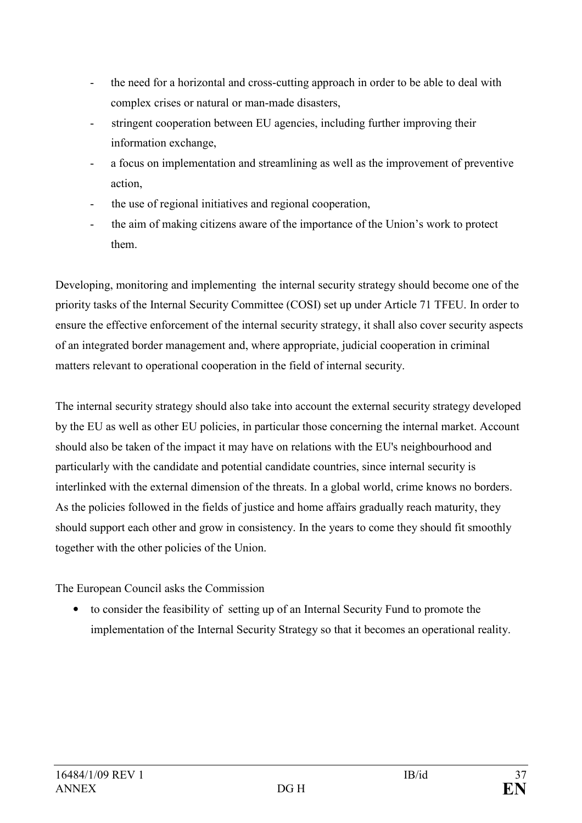- the need for a horizontal and cross-cutting approach in order to be able to deal with complex crises or natural or man-made disasters,
- stringent cooperation between EU agencies, including further improving their information exchange,
- a focus on implementation and streamlining as well as the improvement of preventive action,
- the use of regional initiatives and regional cooperation,
- the aim of making citizens aware of the importance of the Union's work to protect them.

Developing, monitoring and implementing the internal security strategy should become one of the priority tasks of the Internal Security Committee (COSI) set up under Article 71 TFEU. In order to ensure the effective enforcement of the internal security strategy, it shall also cover security aspects of an integrated border management and, where appropriate, judicial cooperation in criminal matters relevant to operational cooperation in the field of internal security.

The internal security strategy should also take into account the external security strategy developed by the EU as well as other EU policies, in particular those concerning the internal market. Account should also be taken of the impact it may have on relations with the EU's neighbourhood and particularly with the candidate and potential candidate countries, since internal security is interlinked with the external dimension of the threats. In a global world, crime knows no borders. As the policies followed in the fields of justice and home affairs gradually reach maturity, they should support each other and grow in consistency. In the years to come they should fit smoothly together with the other policies of the Union.

# The European Council asks the Commission

• to consider the feasibility of setting up of an Internal Security Fund to promote the implementation of the Internal Security Strategy so that it becomes an operational reality.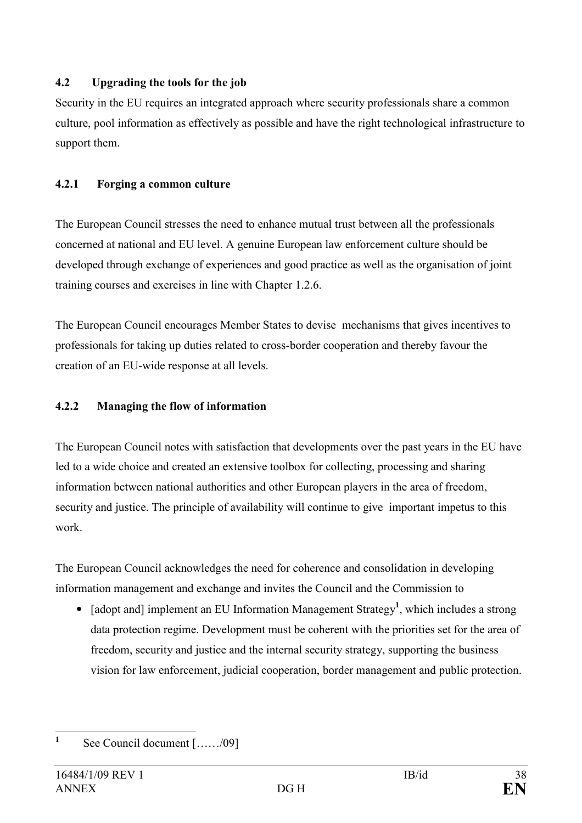# 4.2 Upgrading the tools for the job

Security in the EU requires an integrated approach where security professionals share a common culture, pool information as effectively as possible and have the right technological infrastructure to support them.

### 4.2.1 Forging a common culture

The European Council stresses the need to enhance mutual trust between all the professionals concerned at national and EU level. A genuine European law enforcement culture should be developed through exchange of experiences and good practice as well as the organisation of joint training courses and exercises in line with Chapter 1.2.6.

The European Council encourages Member States to devise mechanisms that gives incentives to professionals for taking up duties related to cross-border cooperation and thereby favour the creation of an EU-wide response at all levels.

### 4.2.2 Managing the flow of information

The European Council notes with satisfaction that developments over the past years in the EU have led to a wide choice and created an extensive toolbox for collecting, processing and sharing information between national authorities and other European players in the area of freedom, security and justice. The principle of availability will continue to give important impetus to this work.

The European Council acknowledges the need for coherence and consolidation in developing information management and exchange and invites the Council and the Commission to

• [adopt and] implement an EU Information Management Strategy<sup>1</sup>, which includes a strong data protection regime. Development must be coherent with the priorities set for the area of freedom, security and justice and the internal security strategy, supporting the business vision for law enforcement, judicial cooperation, border management and public protection.

 $\frac{1}{1}$ See Council document [……/09]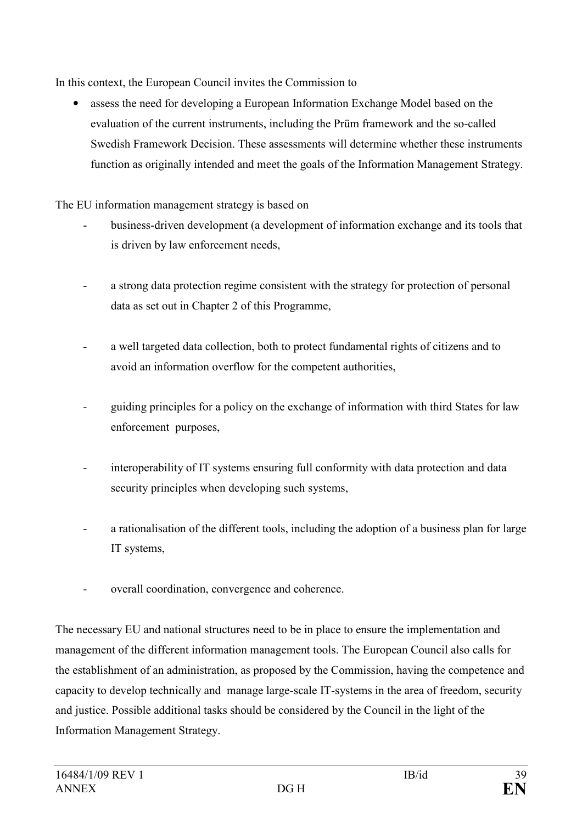In this context, the European Council invites the Commission to

• assess the need for developing a European Information Exchange Model based on the evaluation of the current instruments, including the Prüm framework and the so-called Swedish Framework Decision. These assessments will determine whether these instruments function as originally intended and meet the goals of the Information Management Strategy.

The EU information management strategy is based on

- business-driven development (a development of information exchange and its tools that is driven by law enforcement needs,
- a strong data protection regime consistent with the strategy for protection of personal data as set out in Chapter 2 of this Programme,
- a well targeted data collection, both to protect fundamental rights of citizens and to avoid an information overflow for the competent authorities,
- guiding principles for a policy on the exchange of information with third States for law enforcement purposes,
- interoperability of IT systems ensuring full conformity with data protection and data security principles when developing such systems,
- a rationalisation of the different tools, including the adoption of a business plan for large IT systems,
- overall coordination, convergence and coherence.

The necessary EU and national structures need to be in place to ensure the implementation and management of the different information management tools. The European Council also calls for the establishment of an administration, as proposed by the Commission, having the competence and capacity to develop technically and manage large-scale IT-systems in the area of freedom, security and justice. Possible additional tasks should be considered by the Council in the light of the Information Management Strategy.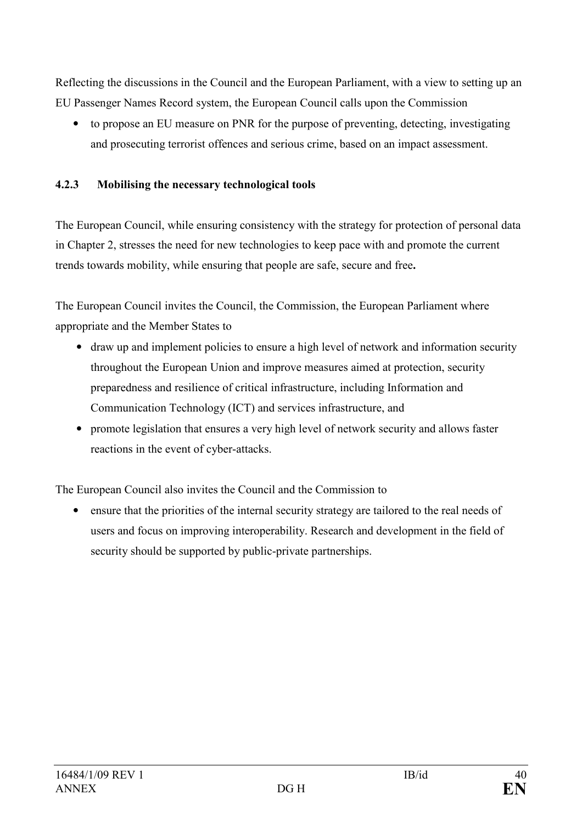Reflecting the discussions in the Council and the European Parliament, with a view to setting up an EU Passenger Names Record system, the European Council calls upon the Commission

• to propose an EU measure on PNR for the purpose of preventing, detecting, investigating and prosecuting terrorist offences and serious crime, based on an impact assessment.

# 4.2.3 Mobilising the necessary technological tools

The European Council, while ensuring consistency with the strategy for protection of personal data in Chapter 2, stresses the need for new technologies to keep pace with and promote the current trends towards mobility, while ensuring that people are safe, secure and free.

The European Council invites the Council, the Commission, the European Parliament where appropriate and the Member States to

- draw up and implement policies to ensure a high level of network and information security throughout the European Union and improve measures aimed at protection, security preparedness and resilience of critical infrastructure, including Information and Communication Technology (ICT) and services infrastructure, and
- promote legislation that ensures a very high level of network security and allows faster reactions in the event of cyber-attacks.

The European Council also invites the Council and the Commission to

• ensure that the priorities of the internal security strategy are tailored to the real needs of users and focus on improving interoperability. Research and development in the field of security should be supported by public-private partnerships.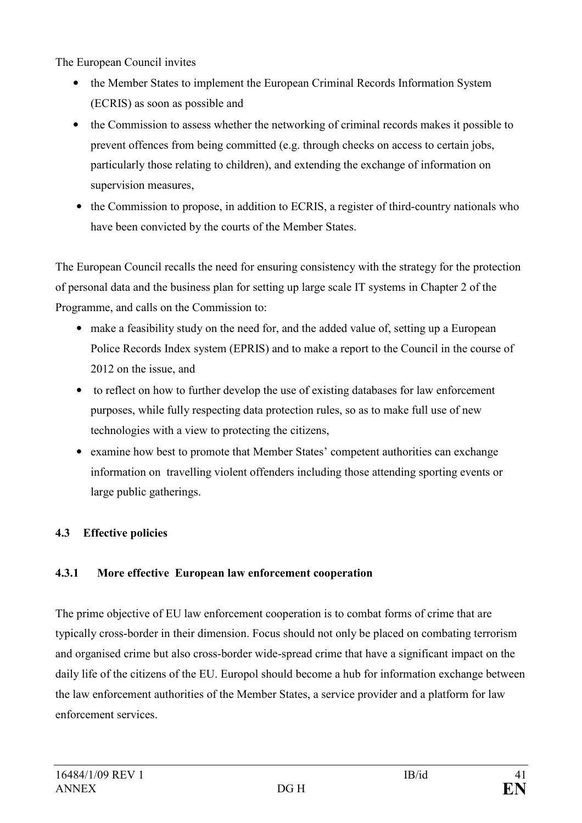The European Council invites

- the Member States to implement the European Criminal Records Information System (ECRIS) as soon as possible and
- the Commission to assess whether the networking of criminal records makes it possible to prevent offences from being committed (e.g. through checks on access to certain jobs, particularly those relating to children), and extending the exchange of information on supervision measures,
- the Commission to propose, in addition to ECRIS, a register of third-country nationals who have been convicted by the courts of the Member States.

The European Council recalls the need for ensuring consistency with the strategy for the protection of personal data and the business plan for setting up large scale IT systems in Chapter 2 of the Programme, and calls on the Commission to:

- make a feasibility study on the need for, and the added value of, setting up a European Police Records Index system (EPRIS) and to make a report to the Council in the course of 2012 on the issue, and
- to reflect on how to further develop the use of existing databases for law enforcement purposes, while fully respecting data protection rules, so as to make full use of new technologies with a view to protecting the citizens,
- examine how best to promote that Member States' competent authorities can exchange information on travelling violent offenders including those attending sporting events or large public gatherings.

# 4.3 Effective policies

# 4.3.1 More effective European law enforcement cooperation

The prime objective of EU law enforcement cooperation is to combat forms of crime that are typically cross-border in their dimension. Focus should not only be placed on combating terrorism and organised crime but also cross-border wide-spread crime that have a significant impact on the daily life of the citizens of the EU. Europol should become a hub for information exchange between the law enforcement authorities of the Member States, a service provider and a platform for law enforcement services.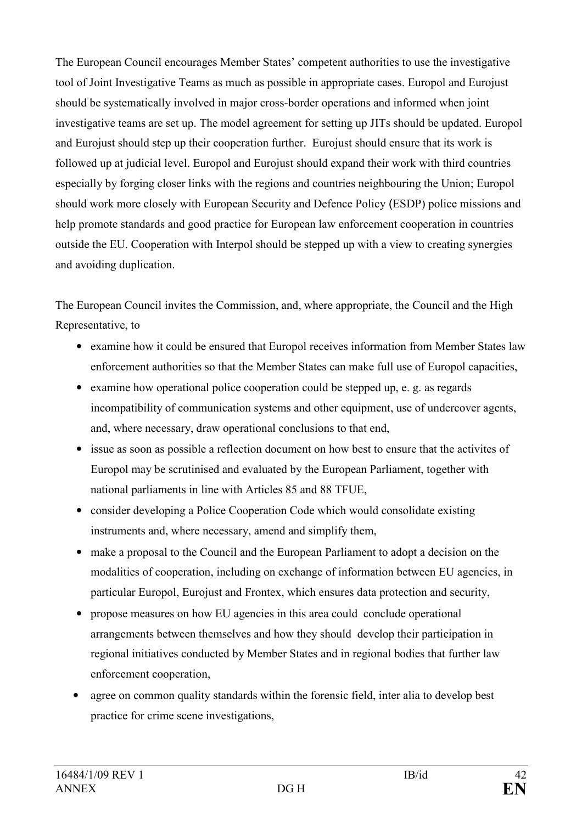The European Council encourages Member States' competent authorities to use the investigative tool of Joint Investigative Teams as much as possible in appropriate cases. Europol and Eurojust should be systematically involved in major cross-border operations and informed when joint investigative teams are set up. The model agreement for setting up JITs should be updated. Europol and Eurojust should step up their cooperation further. Eurojust should ensure that its work is followed up at judicial level. Europol and Eurojust should expand their work with third countries especially by forging closer links with the regions and countries neighbouring the Union; Europol should work more closely with European Security and Defence Policy (ESDP) police missions and help promote standards and good practice for European law enforcement cooperation in countries outside the EU. Cooperation with Interpol should be stepped up with a view to creating synergies and avoiding duplication.

The European Council invites the Commission, and, where appropriate, the Council and the High Representative, to

- examine how it could be ensured that Europol receives information from Member States law enforcement authorities so that the Member States can make full use of Europol capacities,
- examine how operational police cooperation could be stepped up, e. g. as regards incompatibility of communication systems and other equipment, use of undercover agents, and, where necessary, draw operational conclusions to that end,
- issue as soon as possible a reflection document on how best to ensure that the activites of Europol may be scrutinised and evaluated by the European Parliament, together with national parliaments in line with Articles 85 and 88 TFUE,
- consider developing a Police Cooperation Code which would consolidate existing instruments and, where necessary, amend and simplify them,
- make a proposal to the Council and the European Parliament to adopt a decision on the modalities of cooperation, including on exchange of information between EU agencies, in particular Europol, Eurojust and Frontex, which ensures data protection and security,
- propose measures on how EU agencies in this area could conclude operational arrangements between themselves and how they should develop their participation in regional initiatives conducted by Member States and in regional bodies that further law enforcement cooperation,
- agree on common quality standards within the forensic field, inter alia to develop best practice for crime scene investigations,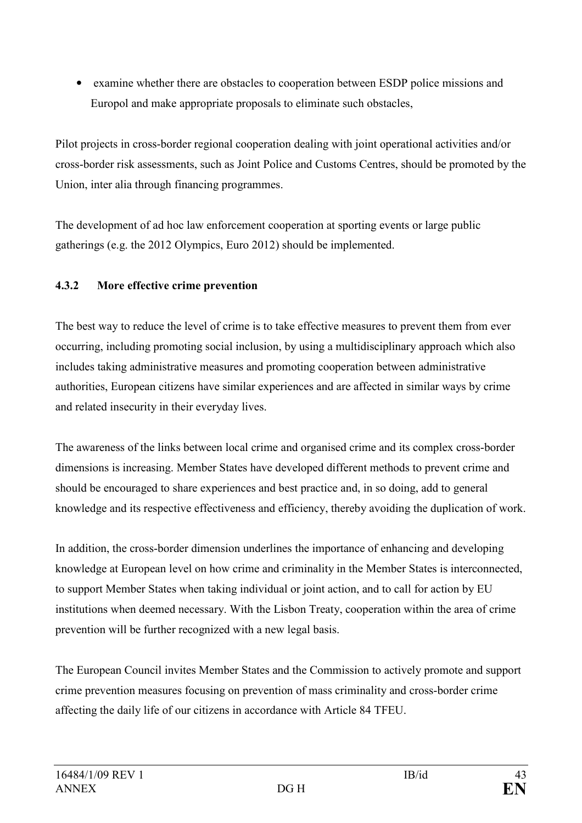• examine whether there are obstacles to cooperation between ESDP police missions and Europol and make appropriate proposals to eliminate such obstacles,

Pilot projects in cross-border regional cooperation dealing with joint operational activities and/or cross-border risk assessments, such as Joint Police and Customs Centres, should be promoted by the Union, inter alia through financing programmes.

The development of ad hoc law enforcement cooperation at sporting events or large public gatherings (e.g. the 2012 Olympics, Euro 2012) should be implemented.

# 4.3.2 More effective crime prevention

The best way to reduce the level of crime is to take effective measures to prevent them from ever occurring, including promoting social inclusion, by using a multidisciplinary approach which also includes taking administrative measures and promoting cooperation between administrative authorities, European citizens have similar experiences and are affected in similar ways by crime and related insecurity in their everyday lives.

The awareness of the links between local crime and organised crime and its complex cross-border dimensions is increasing. Member States have developed different methods to prevent crime and should be encouraged to share experiences and best practice and, in so doing, add to general knowledge and its respective effectiveness and efficiency, thereby avoiding the duplication of work.

In addition, the cross-border dimension underlines the importance of enhancing and developing knowledge at European level on how crime and criminality in the Member States is interconnected, to support Member States when taking individual or joint action, and to call for action by EU institutions when deemed necessary. With the Lisbon Treaty, cooperation within the area of crime prevention will be further recognized with a new legal basis.

The European Council invites Member States and the Commission to actively promote and support crime prevention measures focusing on prevention of mass criminality and cross-border crime affecting the daily life of our citizens in accordance with Article 84 TFEU.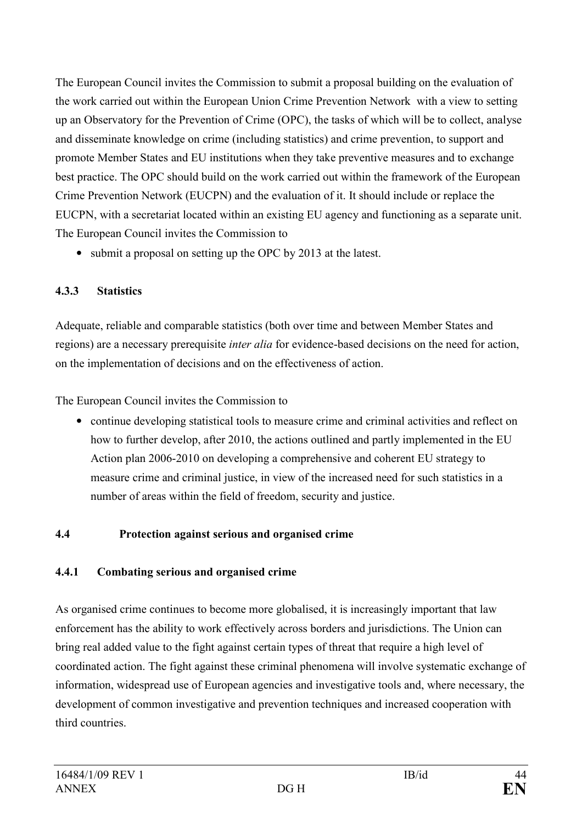The European Council invites the Commission to submit a proposal building on the evaluation of the work carried out within the European Union Crime Prevention Network with a view to setting up an Observatory for the Prevention of Crime (OPC), the tasks of which will be to collect, analyse and disseminate knowledge on crime (including statistics) and crime prevention, to support and promote Member States and EU institutions when they take preventive measures and to exchange best practice. The OPC should build on the work carried out within the framework of the European Crime Prevention Network (EUCPN) and the evaluation of it. It should include or replace the EUCPN, with a secretariat located within an existing EU agency and functioning as a separate unit. The European Council invites the Commission to

• submit a proposal on setting up the OPC by 2013 at the latest.

# 4.3.3 Statistics

Adequate, reliable and comparable statistics (both over time and between Member States and regions) are a necessary prerequisite inter alia for evidence-based decisions on the need for action, on the implementation of decisions and on the effectiveness of action.

The European Council invites the Commission to

• continue developing statistical tools to measure crime and criminal activities and reflect on how to further develop, after 2010, the actions outlined and partly implemented in the EU Action plan 2006-2010 on developing a comprehensive and coherent EU strategy to measure crime and criminal justice, in view of the increased need for such statistics in a number of areas within the field of freedom, security and justice.

# 4.4 Protection against serious and organised crime

# 4.4.1 Combating serious and organised crime

As organised crime continues to become more globalised, it is increasingly important that law enforcement has the ability to work effectively across borders and jurisdictions. The Union can bring real added value to the fight against certain types of threat that require a high level of coordinated action. The fight against these criminal phenomena will involve systematic exchange of information, widespread use of European agencies and investigative tools and, where necessary, the development of common investigative and prevention techniques and increased cooperation with third countries.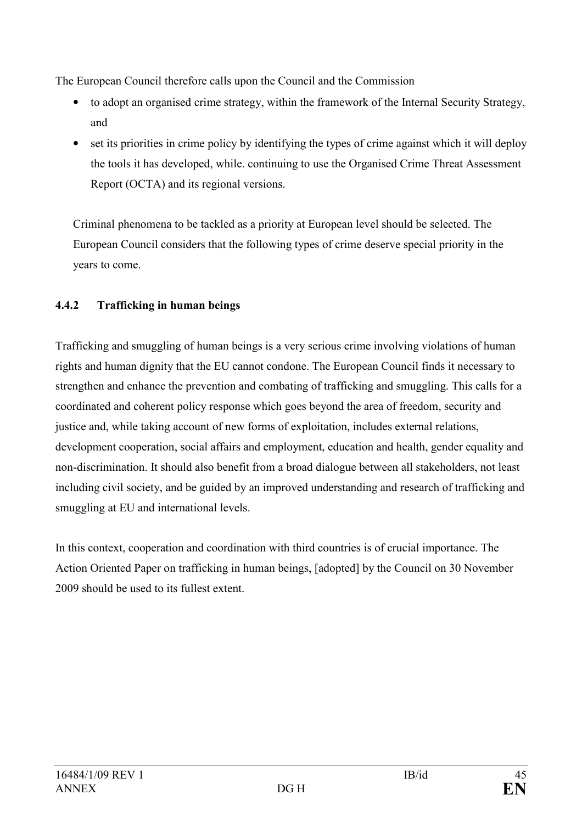The European Council therefore calls upon the Council and the Commission

- to adopt an organised crime strategy, within the framework of the Internal Security Strategy, and
- set its priorities in crime policy by identifying the types of crime against which it will deploy the tools it has developed, while. continuing to use the Organised Crime Threat Assessment Report (OCTA) and its regional versions.

Criminal phenomena to be tackled as a priority at European level should be selected. The European Council considers that the following types of crime deserve special priority in the years to come.

# 4.4.2 Trafficking in human beings

Trafficking and smuggling of human beings is a very serious crime involving violations of human rights and human dignity that the EU cannot condone. The European Council finds it necessary to strengthen and enhance the prevention and combating of trafficking and smuggling. This calls for a coordinated and coherent policy response which goes beyond the area of freedom, security and justice and, while taking account of new forms of exploitation, includes external relations, development cooperation, social affairs and employment, education and health, gender equality and non-discrimination. It should also benefit from a broad dialogue between all stakeholders, not least including civil society, and be guided by an improved understanding and research of trafficking and smuggling at EU and international levels.

In this context, cooperation and coordination with third countries is of crucial importance. The Action Oriented Paper on trafficking in human beings, [adopted] by the Council on 30 November 2009 should be used to its fullest extent.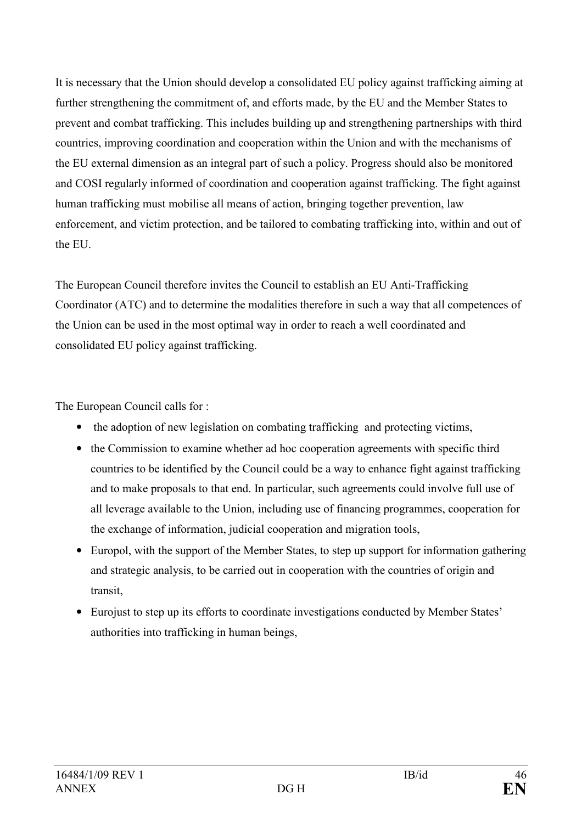It is necessary that the Union should develop a consolidated EU policy against trafficking aiming at further strengthening the commitment of, and efforts made, by the EU and the Member States to prevent and combat trafficking. This includes building up and strengthening partnerships with third countries, improving coordination and cooperation within the Union and with the mechanisms of the EU external dimension as an integral part of such a policy. Progress should also be monitored and COSI regularly informed of coordination and cooperation against trafficking. The fight against human trafficking must mobilise all means of action, bringing together prevention, law enforcement, and victim protection, and be tailored to combating trafficking into, within and out of the EU.

The European Council therefore invites the Council to establish an EU Anti-Trafficking Coordinator (ATC) and to determine the modalities therefore in such a way that all competences of the Union can be used in the most optimal way in order to reach a well coordinated and consolidated EU policy against trafficking.

The European Council calls for :

- the adoption of new legislation on combating trafficking and protecting victims,
- the Commission to examine whether ad hoc cooperation agreements with specific third countries to be identified by the Council could be a way to enhance fight against trafficking and to make proposals to that end. In particular, such agreements could involve full use of all leverage available to the Union, including use of financing programmes, cooperation for the exchange of information, judicial cooperation and migration tools,
- Europol, with the support of the Member States, to step up support for information gathering and strategic analysis, to be carried out in cooperation with the countries of origin and transit,
- Eurojust to step up its efforts to coordinate investigations conducted by Member States' authorities into trafficking in human beings,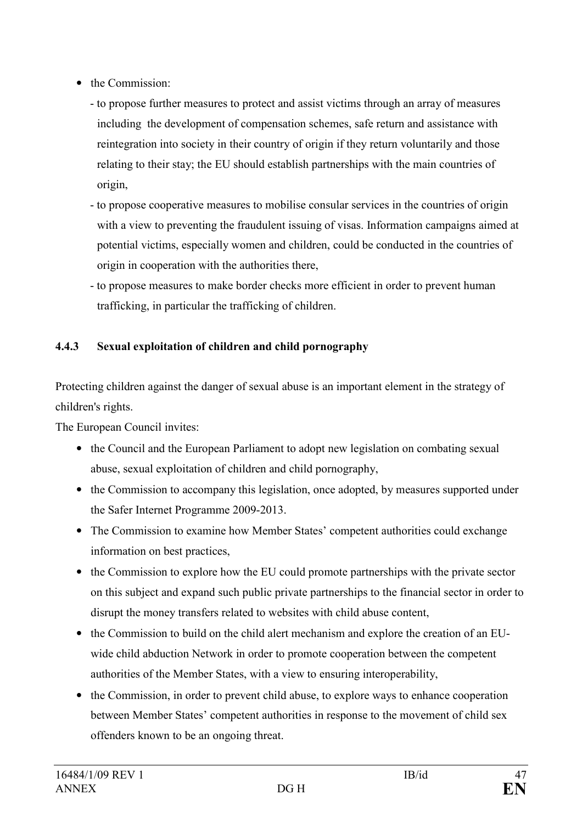- the Commission:
	- to propose further measures to protect and assist victims through an array of measures including the development of compensation schemes, safe return and assistance with reintegration into society in their country of origin if they return voluntarily and those relating to their stay; the EU should establish partnerships with the main countries of origin,
	- to propose cooperative measures to mobilise consular services in the countries of origin with a view to preventing the fraudulent issuing of visas. Information campaigns aimed at potential victims, especially women and children, could be conducted in the countries of origin in cooperation with the authorities there,
	- to propose measures to make border checks more efficient in order to prevent human trafficking, in particular the trafficking of children.

# 4.4.3 Sexual exploitation of children and child pornography

Protecting children against the danger of sexual abuse is an important element in the strategy of children's rights.

The European Council invites:

- the Council and the European Parliament to adopt new legislation on combating sexual abuse, sexual exploitation of children and child pornography,
- the Commission to accompany this legislation, once adopted, by measures supported under the Safer Internet Programme 2009-2013.
- The Commission to examine how Member States' competent authorities could exchange information on best practices,
- the Commission to explore how the EU could promote partnerships with the private sector on this subject and expand such public private partnerships to the financial sector in order to disrupt the money transfers related to websites with child abuse content,
- the Commission to build on the child alert mechanism and explore the creation of an EUwide child abduction Network in order to promote cooperation between the competent authorities of the Member States, with a view to ensuring interoperability,
- the Commission, in order to prevent child abuse, to explore ways to enhance cooperation between Member States' competent authorities in response to the movement of child sex offenders known to be an ongoing threat.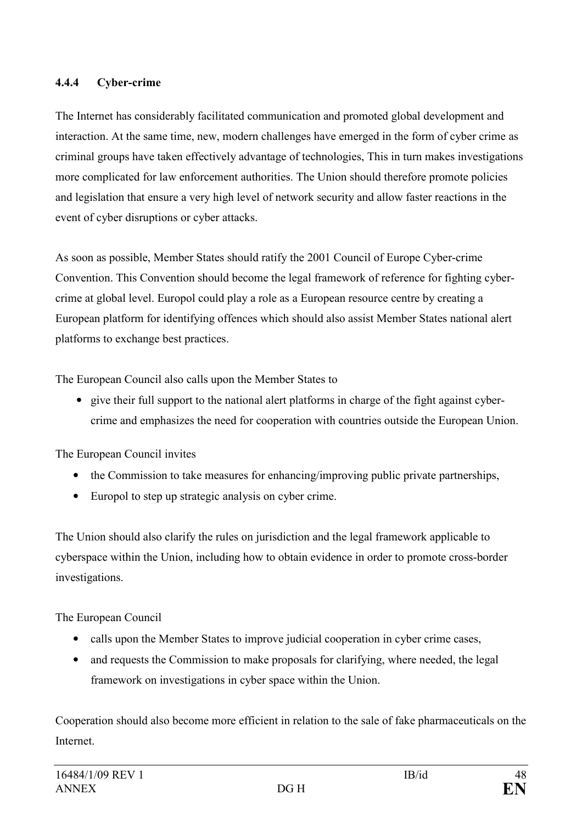#### 4.4.4 Cyber-crime

The Internet has considerably facilitated communication and promoted global development and interaction. At the same time, new, modern challenges have emerged in the form of cyber crime as criminal groups have taken effectively advantage of technologies, This in turn makes investigations more complicated for law enforcement authorities. The Union should therefore promote policies and legislation that ensure a very high level of network security and allow faster reactions in the event of cyber disruptions or cyber attacks.

As soon as possible, Member States should ratify the 2001 Council of Europe Cyber-crime Convention. This Convention should become the legal framework of reference for fighting cybercrime at global level. Europol could play a role as a European resource centre by creating a European platform for identifying offences which should also assist Member States national alert platforms to exchange best practices.

The European Council also calls upon the Member States to

• give their full support to the national alert platforms in charge of the fight against cybercrime and emphasizes the need for cooperation with countries outside the European Union.

The European Council invites

- the Commission to take measures for enhancing/improving public private partnerships,
- Europol to step up strategic analysis on cyber crime.

The Union should also clarify the rules on jurisdiction and the legal framework applicable to cyberspace within the Union, including how to obtain evidence in order to promote cross-border investigations.

The European Council

- calls upon the Member States to improve judicial cooperation in cyber crime cases,
- and requests the Commission to make proposals for clarifying, where needed, the legal framework on investigations in cyber space within the Union.

Cooperation should also become more efficient in relation to the sale of fake pharmaceuticals on the **Internet**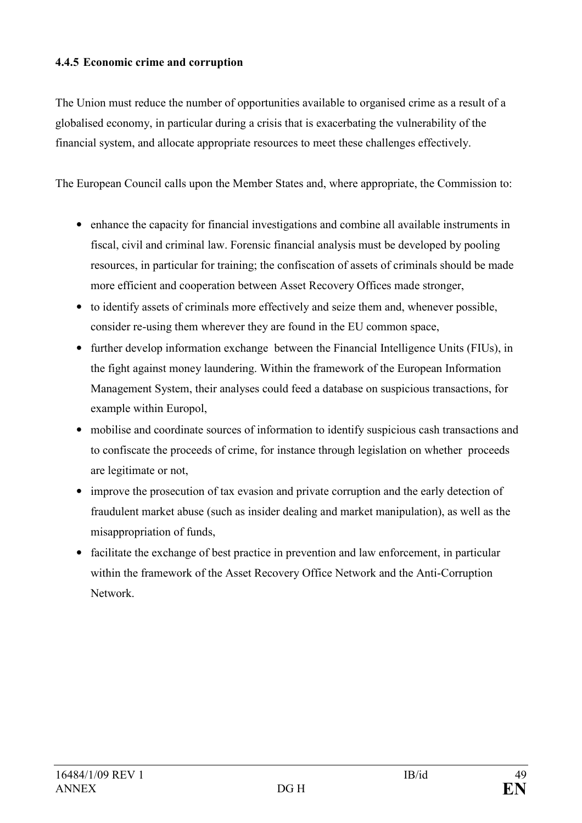#### 4.4.5 Economic crime and corruption

The Union must reduce the number of opportunities available to organised crime as a result of a globalised economy, in particular during a crisis that is exacerbating the vulnerability of the financial system, and allocate appropriate resources to meet these challenges effectively.

The European Council calls upon the Member States and, where appropriate, the Commission to:

- enhance the capacity for financial investigations and combine all available instruments in fiscal, civil and criminal law. Forensic financial analysis must be developed by pooling resources, in particular for training; the confiscation of assets of criminals should be made more efficient and cooperation between Asset Recovery Offices made stronger,
- to identify assets of criminals more effectively and seize them and, whenever possible, consider re-using them wherever they are found in the EU common space,
- further develop information exchange between the Financial Intelligence Units (FIUs), in the fight against money laundering. Within the framework of the European Information Management System, their analyses could feed a database on suspicious transactions, for example within Europol,
- mobilise and coordinate sources of information to identify suspicious cash transactions and to confiscate the proceeds of crime, for instance through legislation on whether proceeds are legitimate or not,
- improve the prosecution of tax evasion and private corruption and the early detection of fraudulent market abuse (such as insider dealing and market manipulation), as well as the misappropriation of funds,
- facilitate the exchange of best practice in prevention and law enforcement, in particular within the framework of the Asset Recovery Office Network and the Anti-Corruption Network.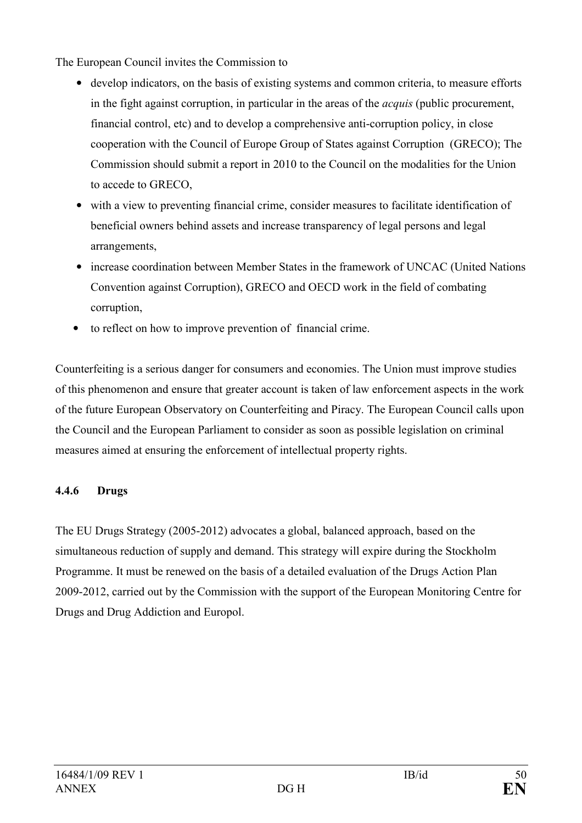The European Council invites the Commission to

- develop indicators, on the basis of existing systems and common criteria, to measure efforts in the fight against corruption, in particular in the areas of the acquis (public procurement, financial control, etc) and to develop a comprehensive anti-corruption policy, in close cooperation with the Council of Europe Group of States against Corruption (GRECO); The Commission should submit a report in 2010 to the Council on the modalities for the Union to accede to GRECO,
- with a view to preventing financial crime, consider measures to facilitate identification of beneficial owners behind assets and increase transparency of legal persons and legal arrangements,
- increase coordination between Member States in the framework of UNCAC (United Nations Convention against Corruption), GRECO and OECD work in the field of combating corruption,
- to reflect on how to improve prevention of financial crime.

Counterfeiting is a serious danger for consumers and economies. The Union must improve studies of this phenomenon and ensure that greater account is taken of law enforcement aspects in the work of the future European Observatory on Counterfeiting and Piracy. The European Council calls upon the Council and the European Parliament to consider as soon as possible legislation on criminal measures aimed at ensuring the enforcement of intellectual property rights.

# 4.4.6 Drugs

The EU Drugs Strategy (2005-2012) advocates a global, balanced approach, based on the simultaneous reduction of supply and demand. This strategy will expire during the Stockholm Programme. It must be renewed on the basis of a detailed evaluation of the Drugs Action Plan 2009-2012, carried out by the Commission with the support of the European Monitoring Centre for Drugs and Drug Addiction and Europol.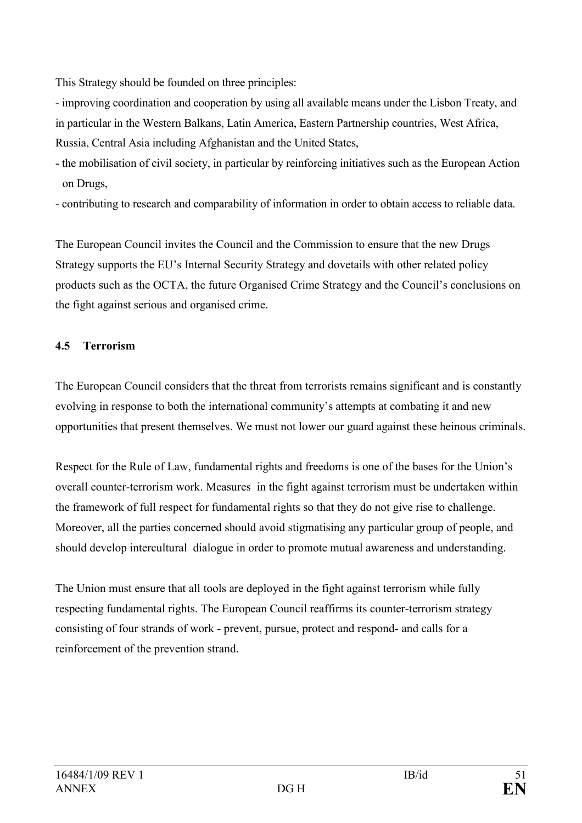This Strategy should be founded on three principles:

- improving coordination and cooperation by using all available means under the Lisbon Treaty, and in particular in the Western Balkans, Latin America, Eastern Partnership countries, West Africa, Russia, Central Asia including Afghanistan and the United States,

- the mobilisation of civil society, in particular by reinforcing initiatives such as the European Action on Drugs,
- contributing to research and comparability of information in order to obtain access to reliable data.

The European Council invites the Council and the Commission to ensure that the new Drugs Strategy supports the EU's Internal Security Strategy and dovetails with other related policy products such as the OCTA, the future Organised Crime Strategy and the Council's conclusions on the fight against serious and organised crime.

# 4.5 Terrorism

The European Council considers that the threat from terrorists remains significant and is constantly evolving in response to both the international community's attempts at combating it and new opportunities that present themselves. We must not lower our guard against these heinous criminals.

Respect for the Rule of Law, fundamental rights and freedoms is one of the bases for the Union's overall counter-terrorism work. Measures in the fight against terrorism must be undertaken within the framework of full respect for fundamental rights so that they do not give rise to challenge. Moreover, all the parties concerned should avoid stigmatising any particular group of people, and should develop intercultural dialogue in order to promote mutual awareness and understanding.

The Union must ensure that all tools are deployed in the fight against terrorism while fully respecting fundamental rights. The European Council reaffirms its counter-terrorism strategy consisting of four strands of work - prevent, pursue, protect and respond- and calls for a reinforcement of the prevention strand.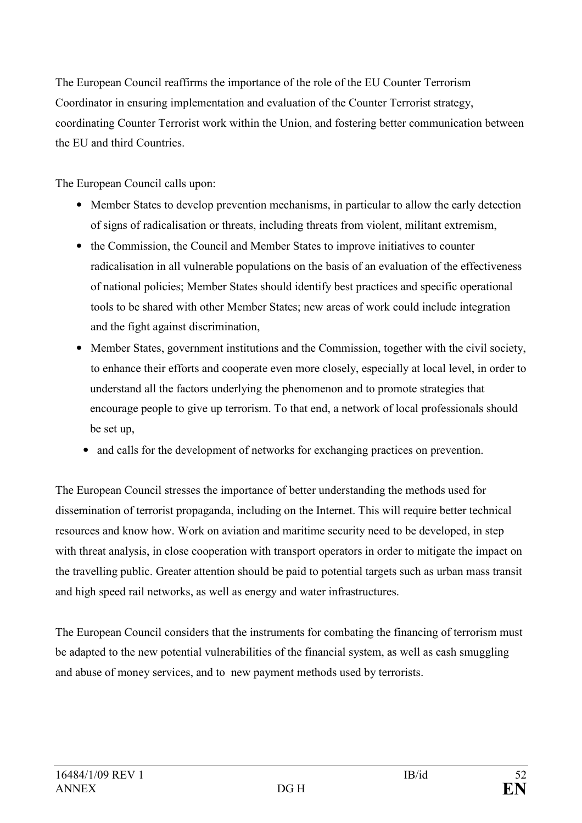The European Council reaffirms the importance of the role of the EU Counter Terrorism Coordinator in ensuring implementation and evaluation of the Counter Terrorist strategy, coordinating Counter Terrorist work within the Union, and fostering better communication between the EU and third Countries.

The European Council calls upon:

- Member States to develop prevention mechanisms, in particular to allow the early detection of signs of radicalisation or threats, including threats from violent, militant extremism,
- the Commission, the Council and Member States to improve initiatives to counter radicalisation in all vulnerable populations on the basis of an evaluation of the effectiveness of national policies; Member States should identify best practices and specific operational tools to be shared with other Member States; new areas of work could include integration and the fight against discrimination,
- Member States, government institutions and the Commission, together with the civil society, to enhance their efforts and cooperate even more closely, especially at local level, in order to understand all the factors underlying the phenomenon and to promote strategies that encourage people to give up terrorism. To that end, a network of local professionals should be set up,
- and calls for the development of networks for exchanging practices on prevention.

The European Council stresses the importance of better understanding the methods used for dissemination of terrorist propaganda, including on the Internet. This will require better technical resources and know how. Work on aviation and maritime security need to be developed, in step with threat analysis, in close cooperation with transport operators in order to mitigate the impact on the travelling public. Greater attention should be paid to potential targets such as urban mass transit and high speed rail networks, as well as energy and water infrastructures.

The European Council considers that the instruments for combating the financing of terrorism must be adapted to the new potential vulnerabilities of the financial system, as well as cash smuggling and abuse of money services, and to new payment methods used by terrorists.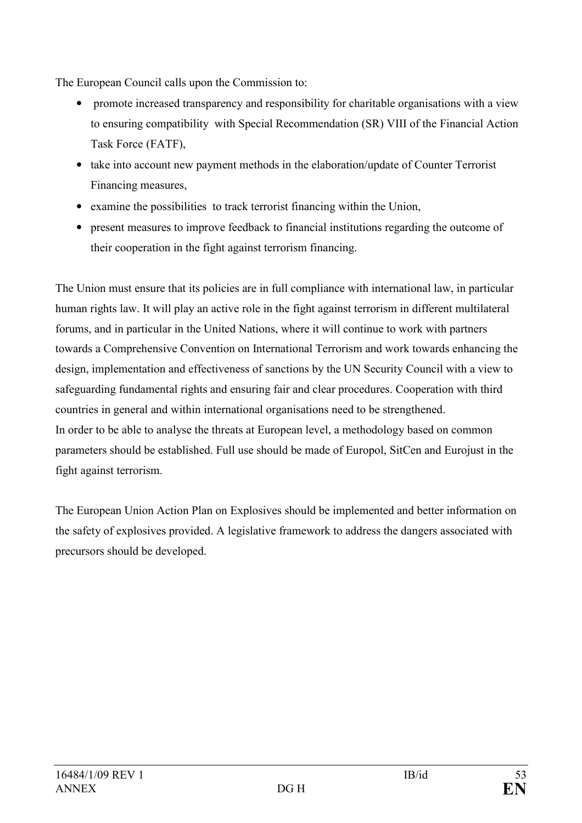The European Council calls upon the Commission to:

- promote increased transparency and responsibility for charitable organisations with a view to ensuring compatibility with Special Recommendation (SR) VIII of the Financial Action Task Force (FATF),
- take into account new payment methods in the elaboration/update of Counter Terrorist Financing measures,
- examine the possibilities to track terrorist financing within the Union,
- present measures to improve feedback to financial institutions regarding the outcome of their cooperation in the fight against terrorism financing.

The Union must ensure that its policies are in full compliance with international law, in particular human rights law. It will play an active role in the fight against terrorism in different multilateral forums, and in particular in the United Nations, where it will continue to work with partners towards a Comprehensive Convention on International Terrorism and work towards enhancing the design, implementation and effectiveness of sanctions by the UN Security Council with a view to safeguarding fundamental rights and ensuring fair and clear procedures. Cooperation with third countries in general and within international organisations need to be strengthened. In order to be able to analyse the threats at European level, a methodology based on common parameters should be established. Full use should be made of Europol, SitCen and Eurojust in the fight against terrorism.

The European Union Action Plan on Explosives should be implemented and better information on the safety of explosives provided. A legislative framework to address the dangers associated with precursors should be developed.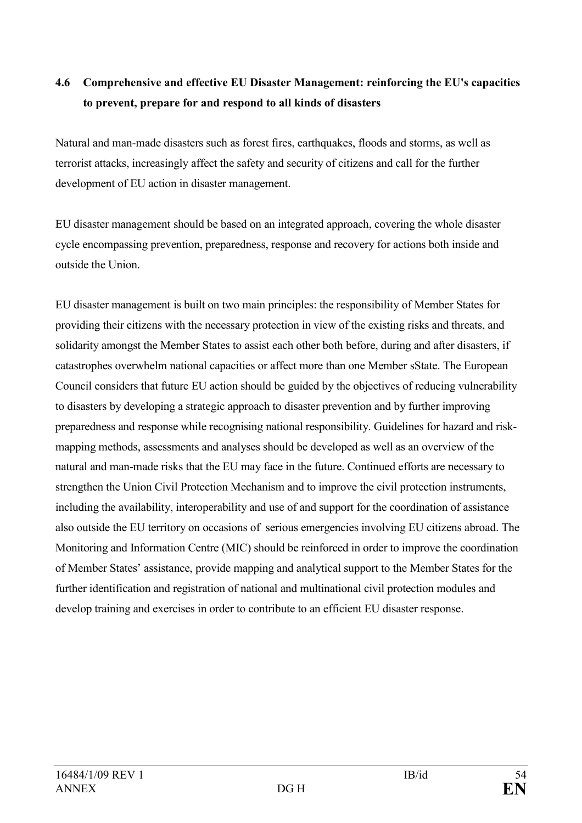# 4.6 Comprehensive and effective EU Disaster Management: reinforcing the EU's capacities to prevent, prepare for and respond to all kinds of disasters

Natural and man-made disasters such as forest fires, earthquakes, floods and storms, as well as terrorist attacks, increasingly affect the safety and security of citizens and call for the further development of EU action in disaster management.

EU disaster management should be based on an integrated approach, covering the whole disaster cycle encompassing prevention, preparedness, response and recovery for actions both inside and outside the Union.

EU disaster management is built on two main principles: the responsibility of Member States for providing their citizens with the necessary protection in view of the existing risks and threats, and solidarity amongst the Member States to assist each other both before, during and after disasters, if catastrophes overwhelm national capacities or affect more than one Member sState. The European Council considers that future EU action should be guided by the objectives of reducing vulnerability to disasters by developing a strategic approach to disaster prevention and by further improving preparedness and response while recognising national responsibility. Guidelines for hazard and riskmapping methods, assessments and analyses should be developed as well as an overview of the natural and man-made risks that the EU may face in the future. Continued efforts are necessary to strengthen the Union Civil Protection Mechanism and to improve the civil protection instruments, including the availability, interoperability and use of and support for the coordination of assistance also outside the EU territory on occasions of serious emergencies involving EU citizens abroad. The Monitoring and Information Centre (MIC) should be reinforced in order to improve the coordination of Member States' assistance, provide mapping and analytical support to the Member States for the further identification and registration of national and multinational civil protection modules and develop training and exercises in order to contribute to an efficient EU disaster response.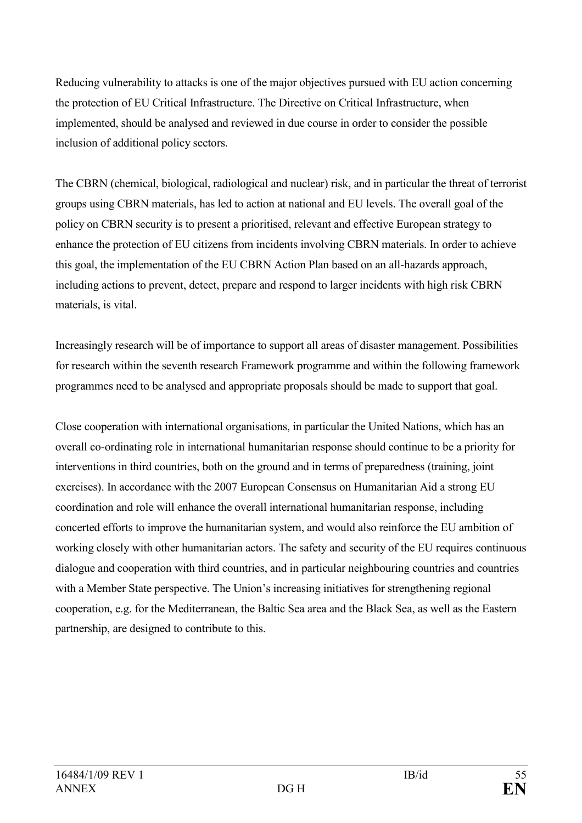Reducing vulnerability to attacks is one of the major objectives pursued with EU action concerning the protection of EU Critical Infrastructure. The Directive on Critical Infrastructure, when implemented, should be analysed and reviewed in due course in order to consider the possible inclusion of additional policy sectors.

The CBRN (chemical, biological, radiological and nuclear) risk, and in particular the threat of terrorist groups using CBRN materials, has led to action at national and EU levels. The overall goal of the policy on CBRN security is to present a prioritised, relevant and effective European strategy to enhance the protection of EU citizens from incidents involving CBRN materials. In order to achieve this goal, the implementation of the EU CBRN Action Plan based on an all-hazards approach, including actions to prevent, detect, prepare and respond to larger incidents with high risk CBRN materials, is vital.

Increasingly research will be of importance to support all areas of disaster management. Possibilities for research within the seventh research Framework programme and within the following framework programmes need to be analysed and appropriate proposals should be made to support that goal.

Close cooperation with international organisations, in particular the United Nations, which has an overall co-ordinating role in international humanitarian response should continue to be a priority for interventions in third countries, both on the ground and in terms of preparedness (training, joint exercises). In accordance with the 2007 European Consensus on Humanitarian Aid a strong EU coordination and role will enhance the overall international humanitarian response, including concerted efforts to improve the humanitarian system, and would also reinforce the EU ambition of working closely with other humanitarian actors. The safety and security of the EU requires continuous dialogue and cooperation with third countries, and in particular neighbouring countries and countries with a Member State perspective. The Union's increasing initiatives for strengthening regional cooperation, e.g. for the Mediterranean, the Baltic Sea area and the Black Sea, as well as the Eastern partnership, are designed to contribute to this.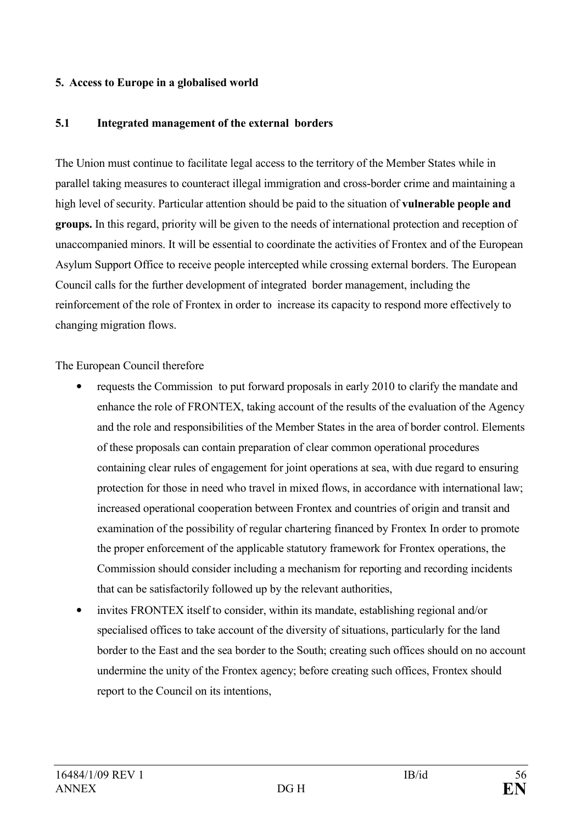#### 5. Access to Europe in a globalised world

#### 5.1 Integrated management of the external borders

The Union must continue to facilitate legal access to the territory of the Member States while in parallel taking measures to counteract illegal immigration and cross-border crime and maintaining a high level of security. Particular attention should be paid to the situation of vulnerable people and groups. In this regard, priority will be given to the needs of international protection and reception of unaccompanied minors. It will be essential to coordinate the activities of Frontex and of the European Asylum Support Office to receive people intercepted while crossing external borders. The European Council calls for the further development of integrated border management, including the reinforcement of the role of Frontex in order to increase its capacity to respond more effectively to changing migration flows.

The European Council therefore

- requests the Commission to put forward proposals in early 2010 to clarify the mandate and enhance the role of FRONTEX, taking account of the results of the evaluation of the Agency and the role and responsibilities of the Member States in the area of border control. Elements of these proposals can contain preparation of clear common operational procedures containing clear rules of engagement for joint operations at sea, with due regard to ensuring protection for those in need who travel in mixed flows, in accordance with international law; increased operational cooperation between Frontex and countries of origin and transit and examination of the possibility of regular chartering financed by Frontex In order to promote the proper enforcement of the applicable statutory framework for Frontex operations, the Commission should consider including a mechanism for reporting and recording incidents that can be satisfactorily followed up by the relevant authorities,
- invites FRONTEX itself to consider, within its mandate, establishing regional and/or specialised offices to take account of the diversity of situations, particularly for the land border to the East and the sea border to the South; creating such offices should on no account undermine the unity of the Frontex agency; before creating such offices, Frontex should report to the Council on its intentions,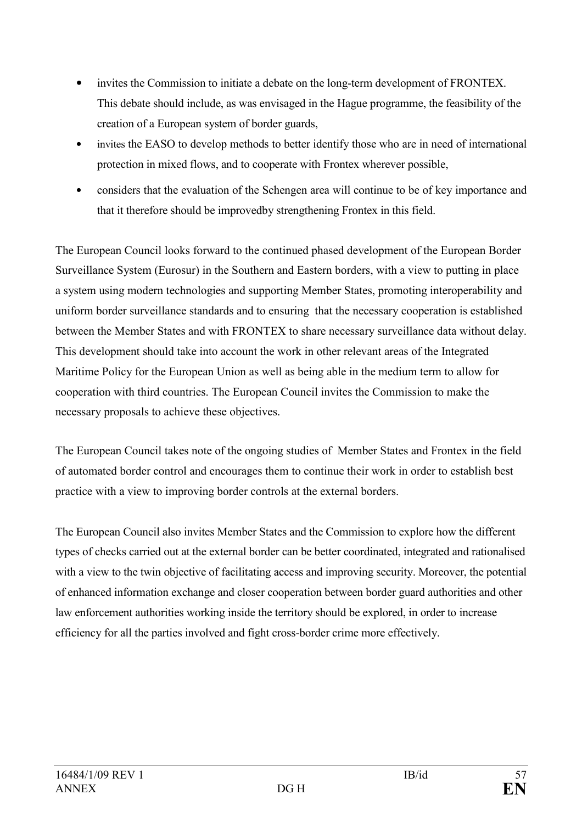- invites the Commission to initiate a debate on the long-term development of FRONTEX. This debate should include, as was envisaged in the Hague programme, the feasibility of the creation of a European system of border guards,
- invites the EASO to develop methods to better identify those who are in need of international protection in mixed flows, and to cooperate with Frontex wherever possible,
- considers that the evaluation of the Schengen area will continue to be of key importance and that it therefore should be improvedby strengthening Frontex in this field.

The European Council looks forward to the continued phased development of the European Border Surveillance System (Eurosur) in the Southern and Eastern borders, with a view to putting in place a system using modern technologies and supporting Member States, promoting interoperability and uniform border surveillance standards and to ensuring that the necessary cooperation is established between the Member States and with FRONTEX to share necessary surveillance data without delay. This development should take into account the work in other relevant areas of the Integrated Maritime Policy for the European Union as well as being able in the medium term to allow for cooperation with third countries. The European Council invites the Commission to make the necessary proposals to achieve these objectives.

The European Council takes note of the ongoing studies of Member States and Frontex in the field of automated border control and encourages them to continue their work in order to establish best practice with a view to improving border controls at the external borders.

The European Council also invites Member States and the Commission to explore how the different types of checks carried out at the external border can be better coordinated, integrated and rationalised with a view to the twin objective of facilitating access and improving security. Moreover, the potential of enhanced information exchange and closer cooperation between border guard authorities and other law enforcement authorities working inside the territory should be explored, in order to increase efficiency for all the parties involved and fight cross-border crime more effectively.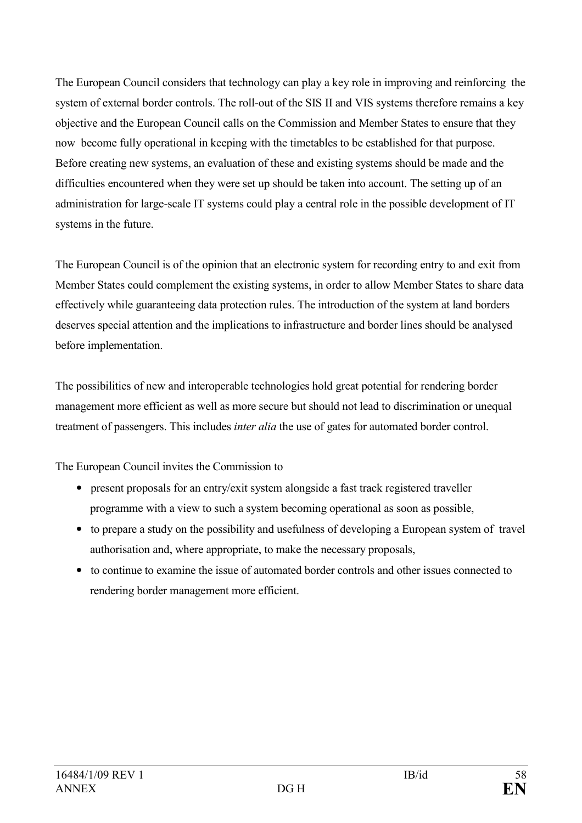The European Council considers that technology can play a key role in improving and reinforcing the system of external border controls. The roll-out of the SIS II and VIS systems therefore remains a key objective and the European Council calls on the Commission and Member States to ensure that they now become fully operational in keeping with the timetables to be established for that purpose. Before creating new systems, an evaluation of these and existing systems should be made and the difficulties encountered when they were set up should be taken into account. The setting up of an administration for large-scale IT systems could play a central role in the possible development of IT systems in the future.

The European Council is of the opinion that an electronic system for recording entry to and exit from Member States could complement the existing systems, in order to allow Member States to share data effectively while guaranteeing data protection rules. The introduction of the system at land borders deserves special attention and the implications to infrastructure and border lines should be analysed before implementation.

The possibilities of new and interoperable technologies hold great potential for rendering border management more efficient as well as more secure but should not lead to discrimination or unequal treatment of passengers. This includes inter alia the use of gates for automated border control.

The European Council invites the Commission to

- present proposals for an entry/exit system alongside a fast track registered traveller programme with a view to such a system becoming operational as soon as possible,
- to prepare a study on the possibility and usefulness of developing a European system of travel authorisation and, where appropriate, to make the necessary proposals,
- to continue to examine the issue of automated border controls and other issues connected to rendering border management more efficient.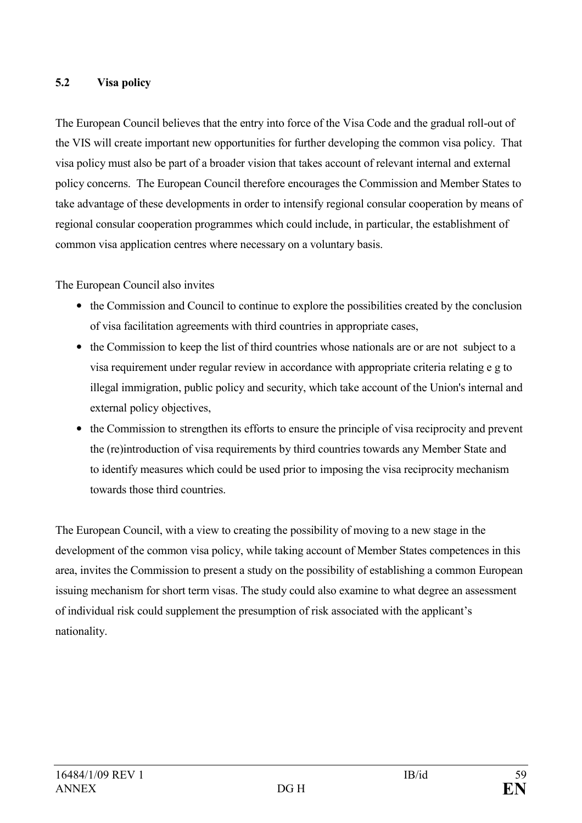#### 5.2 Visa policy

The European Council believes that the entry into force of the Visa Code and the gradual roll-out of the VIS will create important new opportunities for further developing the common visa policy. That visa policy must also be part of a broader vision that takes account of relevant internal and external policy concerns. The European Council therefore encourages the Commission and Member States to take advantage of these developments in order to intensify regional consular cooperation by means of regional consular cooperation programmes which could include, in particular, the establishment of common visa application centres where necessary on a voluntary basis.

# The European Council also invites

- the Commission and Council to continue to explore the possibilities created by the conclusion of visa facilitation agreements with third countries in appropriate cases,
- the Commission to keep the list of third countries whose nationals are or are not subject to a visa requirement under regular review in accordance with appropriate criteria relating e g to illegal immigration, public policy and security, which take account of the Union's internal and external policy objectives,
- the Commission to strengthen its efforts to ensure the principle of visa reciprocity and prevent the (re)introduction of visa requirements by third countries towards any Member State and to identify measures which could be used prior to imposing the visa reciprocity mechanism towards those third countries.

The European Council, with a view to creating the possibility of moving to a new stage in the development of the common visa policy, while taking account of Member States competences in this area, invites the Commission to present a study on the possibility of establishing a common European issuing mechanism for short term visas. The study could also examine to what degree an assessment of individual risk could supplement the presumption of risk associated with the applicant's nationality.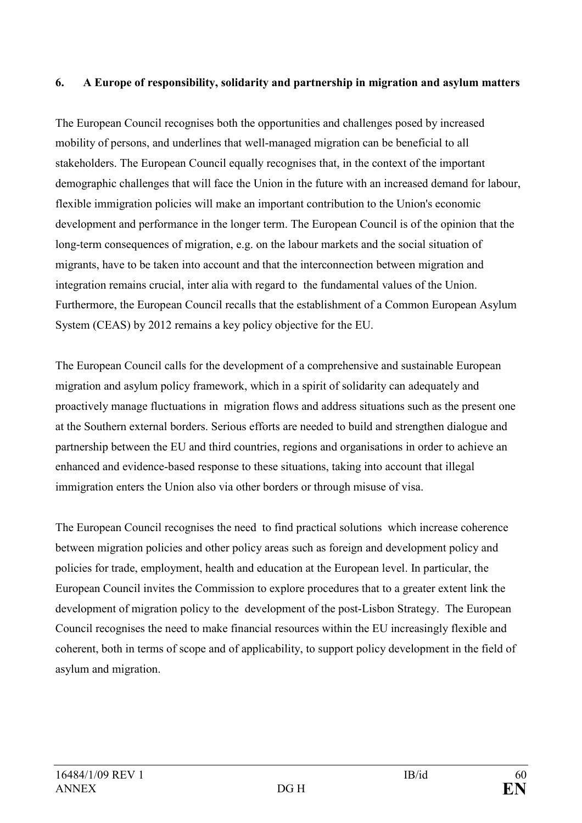#### 6. A Europe of responsibility, solidarity and partnership in migration and asylum matters

The European Council recognises both the opportunities and challenges posed by increased mobility of persons, and underlines that well-managed migration can be beneficial to all stakeholders. The European Council equally recognises that, in the context of the important demographic challenges that will face the Union in the future with an increased demand for labour, flexible immigration policies will make an important contribution to the Union's economic development and performance in the longer term. The European Council is of the opinion that the long-term consequences of migration, e.g. on the labour markets and the social situation of migrants, have to be taken into account and that the interconnection between migration and integration remains crucial, inter alia with regard to the fundamental values of the Union. Furthermore, the European Council recalls that the establishment of a Common European Asylum System (CEAS) by 2012 remains a key policy objective for the EU.

The European Council calls for the development of a comprehensive and sustainable European migration and asylum policy framework, which in a spirit of solidarity can adequately and proactively manage fluctuations in migration flows and address situations such as the present one at the Southern external borders. Serious efforts are needed to build and strengthen dialogue and partnership between the EU and third countries, regions and organisations in order to achieve an enhanced and evidence-based response to these situations, taking into account that illegal immigration enters the Union also via other borders or through misuse of visa.

The European Council recognises the need to find practical solutions which increase coherence between migration policies and other policy areas such as foreign and development policy and policies for trade, employment, health and education at the European level. In particular, the European Council invites the Commission to explore procedures that to a greater extent link the development of migration policy to the development of the post-Lisbon Strategy. The European Council recognises the need to make financial resources within the EU increasingly flexible and coherent, both in terms of scope and of applicability, to support policy development in the field of asylum and migration.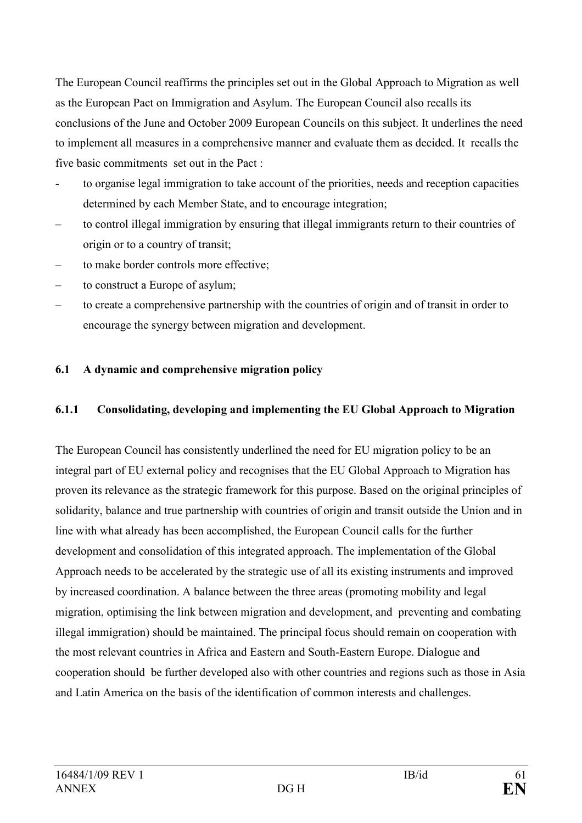The European Council reaffirms the principles set out in the Global Approach to Migration as well as the European Pact on Immigration and Asylum. The European Council also recalls its conclusions of the June and October 2009 European Councils on this subject. It underlines the need to implement all measures in a comprehensive manner and evaluate them as decided. It recalls the five basic commitments set out in the Pact :

- to organise legal immigration to take account of the priorities, needs and reception capacities determined by each Member State, and to encourage integration;
- to control illegal immigration by ensuring that illegal immigrants return to their countries of origin or to a country of transit;
- to make border controls more effective;
- to construct a Europe of asylum;
- to create a comprehensive partnership with the countries of origin and of transit in order to encourage the synergy between migration and development.

# 6.1 A dynamic and comprehensive migration policy

### 6.1.1 Consolidating, developing and implementing the EU Global Approach to Migration

The European Council has consistently underlined the need for EU migration policy to be an integral part of EU external policy and recognises that the EU Global Approach to Migration has proven its relevance as the strategic framework for this purpose. Based on the original principles of solidarity, balance and true partnership with countries of origin and transit outside the Union and in line with what already has been accomplished, the European Council calls for the further development and consolidation of this integrated approach. The implementation of the Global Approach needs to be accelerated by the strategic use of all its existing instruments and improved by increased coordination. A balance between the three areas (promoting mobility and legal migration, optimising the link between migration and development, and preventing and combating illegal immigration) should be maintained. The principal focus should remain on cooperation with the most relevant countries in Africa and Eastern and South-Eastern Europe. Dialogue and cooperation should be further developed also with other countries and regions such as those in Asia and Latin America on the basis of the identification of common interests and challenges.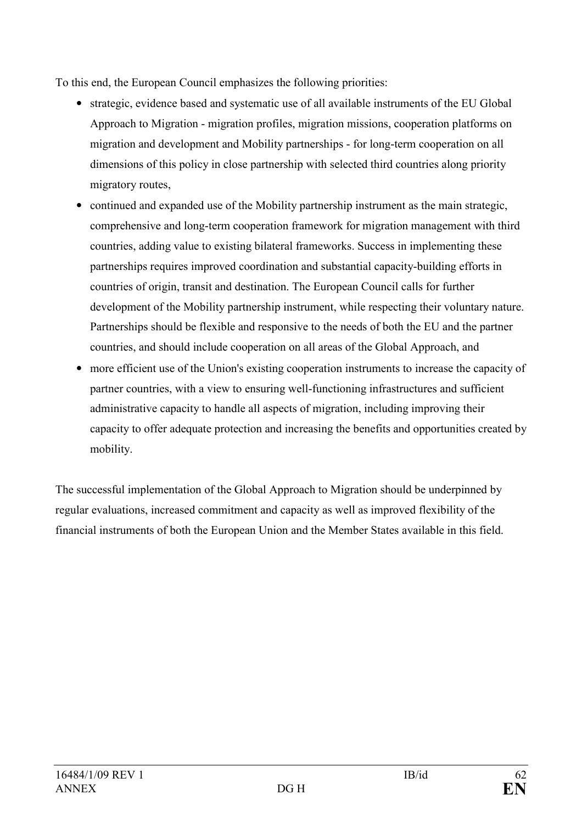To this end, the European Council emphasizes the following priorities:

- strategic, evidence based and systematic use of all available instruments of the EU Global Approach to Migration - migration profiles, migration missions, cooperation platforms on migration and development and Mobility partnerships - for long-term cooperation on all dimensions of this policy in close partnership with selected third countries along priority migratory routes,
- continued and expanded use of the Mobility partnership instrument as the main strategic, comprehensive and long-term cooperation framework for migration management with third countries, adding value to existing bilateral frameworks. Success in implementing these partnerships requires improved coordination and substantial capacity-building efforts in countries of origin, transit and destination. The European Council calls for further development of the Mobility partnership instrument, while respecting their voluntary nature. Partnerships should be flexible and responsive to the needs of both the EU and the partner countries, and should include cooperation on all areas of the Global Approach, and
- more efficient use of the Union's existing cooperation instruments to increase the capacity of partner countries, with a view to ensuring well-functioning infrastructures and sufficient administrative capacity to handle all aspects of migration, including improving their capacity to offer adequate protection and increasing the benefits and opportunities created by mobility.

The successful implementation of the Global Approach to Migration should be underpinned by regular evaluations, increased commitment and capacity as well as improved flexibility of the financial instruments of both the European Union and the Member States available in this field.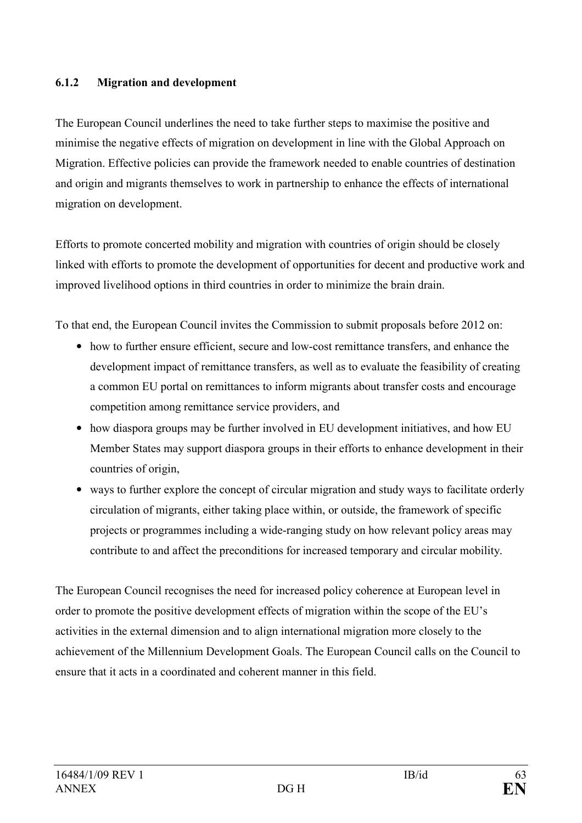### 6.1.2 Migration and development

The European Council underlines the need to take further steps to maximise the positive and minimise the negative effects of migration on development in line with the Global Approach on Migration. Effective policies can provide the framework needed to enable countries of destination and origin and migrants themselves to work in partnership to enhance the effects of international migration on development.

Efforts to promote concerted mobility and migration with countries of origin should be closely linked with efforts to promote the development of opportunities for decent and productive work and improved livelihood options in third countries in order to minimize the brain drain.

To that end, the European Council invites the Commission to submit proposals before 2012 on:

- how to further ensure efficient, secure and low-cost remittance transfers, and enhance the development impact of remittance transfers, as well as to evaluate the feasibility of creating a common EU portal on remittances to inform migrants about transfer costs and encourage competition among remittance service providers, and
- how diaspora groups may be further involved in EU development initiatives, and how EU Member States may support diaspora groups in their efforts to enhance development in their countries of origin,
- ways to further explore the concept of circular migration and study ways to facilitate orderly circulation of migrants, either taking place within, or outside, the framework of specific projects or programmes including a wide-ranging study on how relevant policy areas may contribute to and affect the preconditions for increased temporary and circular mobility.

The European Council recognises the need for increased policy coherence at European level in order to promote the positive development effects of migration within the scope of the EU's activities in the external dimension and to align international migration more closely to the achievement of the Millennium Development Goals. The European Council calls on the Council to ensure that it acts in a coordinated and coherent manner in this field.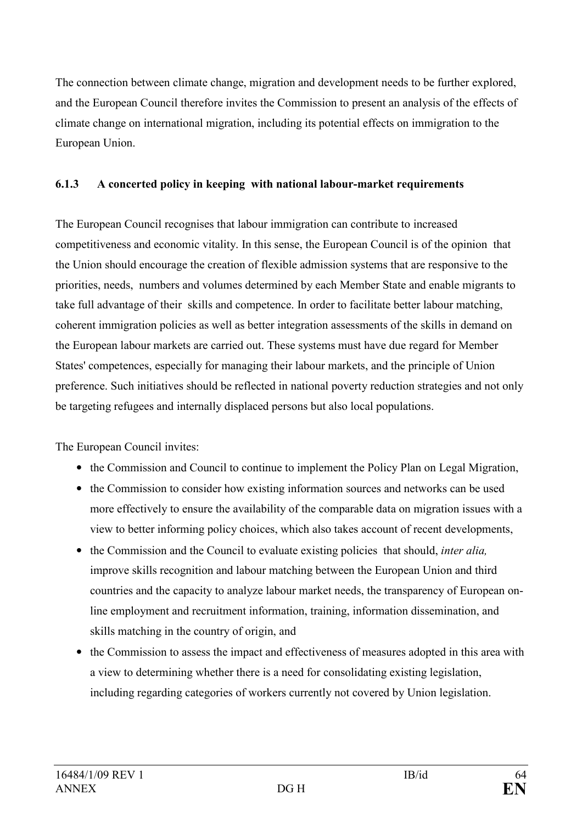The connection between climate change, migration and development needs to be further explored, and the European Council therefore invites the Commission to present an analysis of the effects of climate change on international migration, including its potential effects on immigration to the European Union.

### 6.1.3 A concerted policy in keeping with national labour-market requirements

The European Council recognises that labour immigration can contribute to increased competitiveness and economic vitality. In this sense, the European Council is of the opinion that the Union should encourage the creation of flexible admission systems that are responsive to the priorities, needs, numbers and volumes determined by each Member State and enable migrants to take full advantage of their skills and competence. In order to facilitate better labour matching, coherent immigration policies as well as better integration assessments of the skills in demand on the European labour markets are carried out. These systems must have due regard for Member States' competences, especially for managing their labour markets, and the principle of Union preference. Such initiatives should be reflected in national poverty reduction strategies and not only be targeting refugees and internally displaced persons but also local populations.

The European Council invites:

- the Commission and Council to continue to implement the Policy Plan on Legal Migration,
- the Commission to consider how existing information sources and networks can be used more effectively to ensure the availability of the comparable data on migration issues with a view to better informing policy choices, which also takes account of recent developments,
- the Commission and the Council to evaluate existing policies that should, *inter alia*, improve skills recognition and labour matching between the European Union and third countries and the capacity to analyze labour market needs, the transparency of European online employment and recruitment information, training, information dissemination, and skills matching in the country of origin, and
- the Commission to assess the impact and effectiveness of measures adopted in this area with a view to determining whether there is a need for consolidating existing legislation, including regarding categories of workers currently not covered by Union legislation.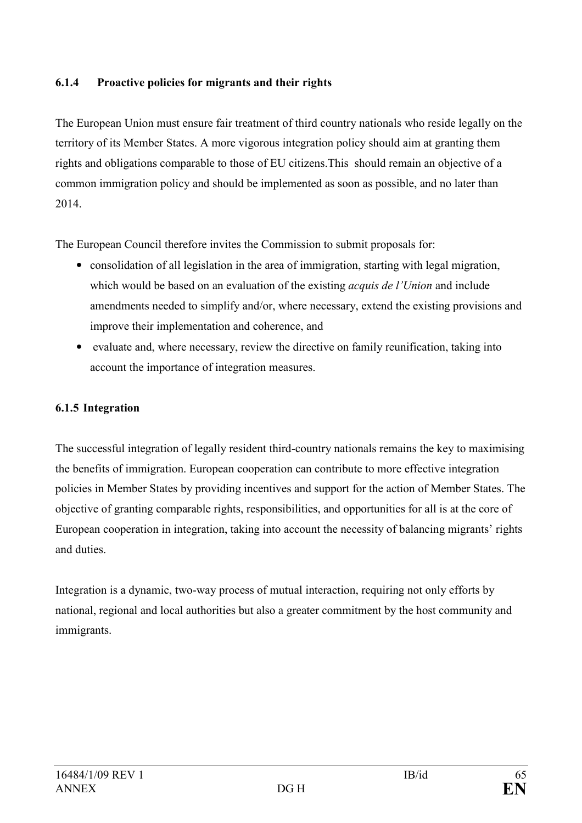# 6.1.4 Proactive policies for migrants and their rights

The European Union must ensure fair treatment of third country nationals who reside legally on the territory of its Member States. A more vigorous integration policy should aim at granting them rights and obligations comparable to those of EU citizens.This should remain an objective of a common immigration policy and should be implemented as soon as possible, and no later than 2014.

The European Council therefore invites the Commission to submit proposals for:

- consolidation of all legislation in the area of immigration, starting with legal migration, which would be based on an evaluation of the existing *acquis de l'Union* and include amendments needed to simplify and/or, where necessary, extend the existing provisions and improve their implementation and coherence, and
- evaluate and, where necessary, review the directive on family reunification, taking into account the importance of integration measures.

#### 6.1.5 Integration

The successful integration of legally resident third-country nationals remains the key to maximising the benefits of immigration. European cooperation can contribute to more effective integration policies in Member States by providing incentives and support for the action of Member States. The objective of granting comparable rights, responsibilities, and opportunities for all is at the core of European cooperation in integration, taking into account the necessity of balancing migrants' rights and duties.

Integration is a dynamic, two-way process of mutual interaction, requiring not only efforts by national, regional and local authorities but also a greater commitment by the host community and immigrants.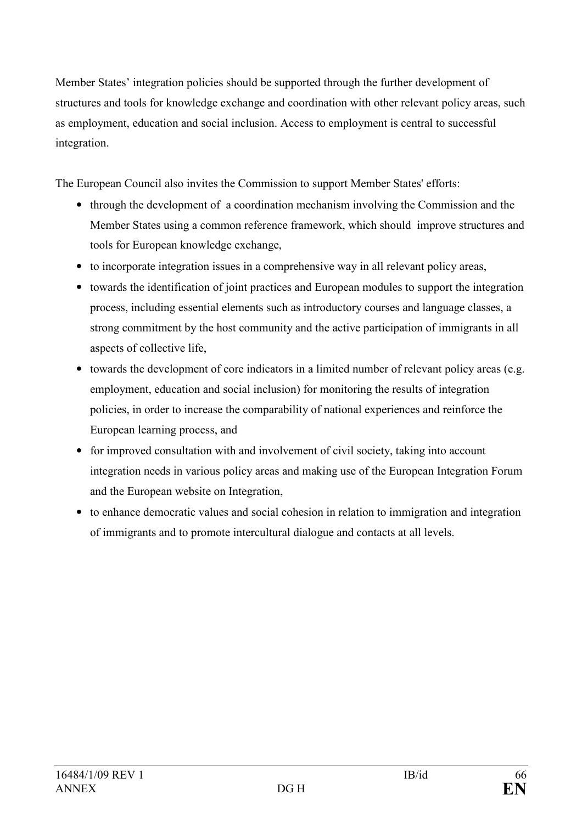Member States' integration policies should be supported through the further development of structures and tools for knowledge exchange and coordination with other relevant policy areas, such as employment, education and social inclusion. Access to employment is central to successful integration.

The European Council also invites the Commission to support Member States' efforts:

- through the development of a coordination mechanism involving the Commission and the Member States using a common reference framework, which should improve structures and tools for European knowledge exchange,
- to incorporate integration issues in a comprehensive way in all relevant policy areas,
- towards the identification of joint practices and European modules to support the integration process, including essential elements such as introductory courses and language classes, a strong commitment by the host community and the active participation of immigrants in all aspects of collective life,
- towards the development of core indicators in a limited number of relevant policy areas (e.g. employment, education and social inclusion) for monitoring the results of integration policies, in order to increase the comparability of national experiences and reinforce the European learning process, and
- for improved consultation with and involvement of civil society, taking into account integration needs in various policy areas and making use of the European Integration Forum and the European website on Integration,
- to enhance democratic values and social cohesion in relation to immigration and integration of immigrants and to promote intercultural dialogue and contacts at all levels.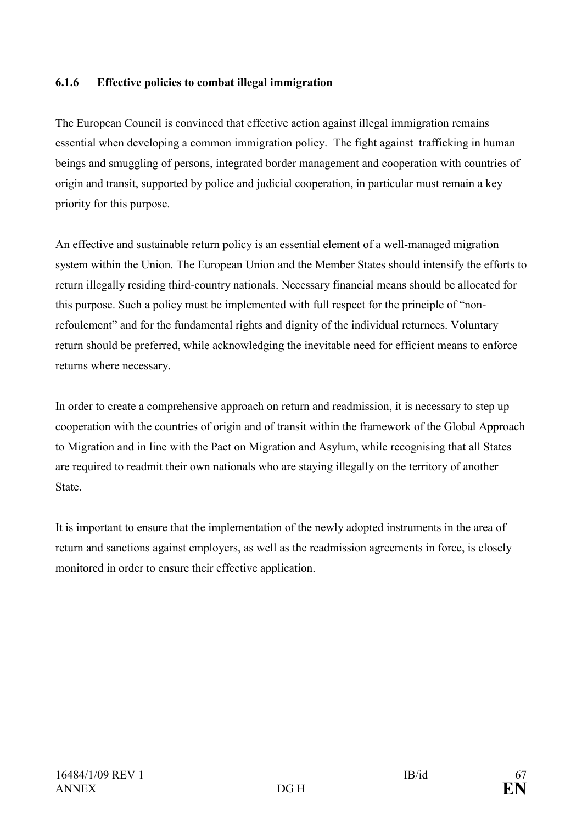# 6.1.6 Effective policies to combat illegal immigration

The European Council is convinced that effective action against illegal immigration remains essential when developing a common immigration policy. The fight against trafficking in human beings and smuggling of persons, integrated border management and cooperation with countries of origin and transit, supported by police and judicial cooperation, in particular must remain a key priority for this purpose.

An effective and sustainable return policy is an essential element of a well-managed migration system within the Union. The European Union and the Member States should intensify the efforts to return illegally residing third-country nationals. Necessary financial means should be allocated for this purpose. Such a policy must be implemented with full respect for the principle of "nonrefoulement" and for the fundamental rights and dignity of the individual returnees. Voluntary return should be preferred, while acknowledging the inevitable need for efficient means to enforce returns where necessary.

In order to create a comprehensive approach on return and readmission, it is necessary to step up cooperation with the countries of origin and of transit within the framework of the Global Approach to Migration and in line with the Pact on Migration and Asylum, while recognising that all States are required to readmit their own nationals who are staying illegally on the territory of another State.

It is important to ensure that the implementation of the newly adopted instruments in the area of return and sanctions against employers, as well as the readmission agreements in force, is closely monitored in order to ensure their effective application.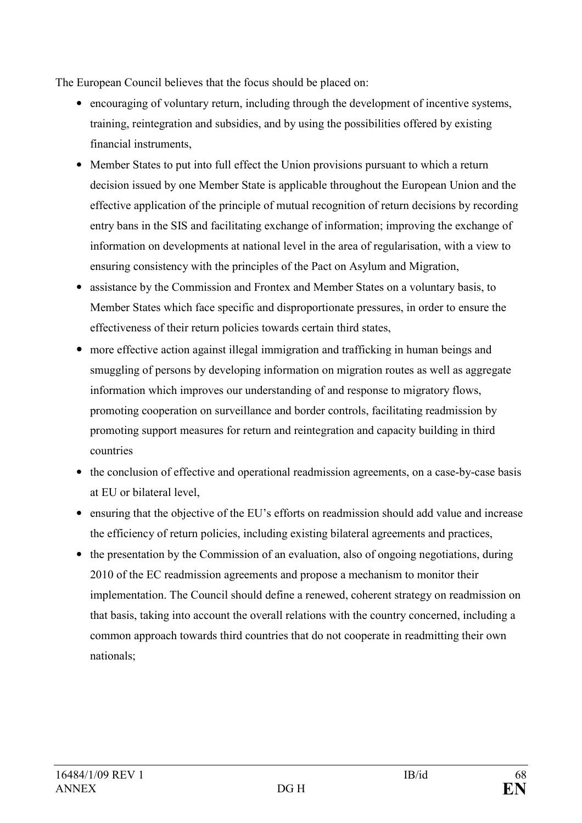The European Council believes that the focus should be placed on:

- encouraging of voluntary return, including through the development of incentive systems, training, reintegration and subsidies, and by using the possibilities offered by existing financial instruments,
- Member States to put into full effect the Union provisions pursuant to which a return decision issued by one Member State is applicable throughout the European Union and the effective application of the principle of mutual recognition of return decisions by recording entry bans in the SIS and facilitating exchange of information; improving the exchange of information on developments at national level in the area of regularisation, with a view to ensuring consistency with the principles of the Pact on Asylum and Migration,
- assistance by the Commission and Frontex and Member States on a voluntary basis, to Member States which face specific and disproportionate pressures, in order to ensure the effectiveness of their return policies towards certain third states,
- more effective action against illegal immigration and trafficking in human beings and smuggling of persons by developing information on migration routes as well as aggregate information which improves our understanding of and response to migratory flows, promoting cooperation on surveillance and border controls, facilitating readmission by promoting support measures for return and reintegration and capacity building in third countries
- the conclusion of effective and operational readmission agreements, on a case-by-case basis at EU or bilateral level,
- ensuring that the objective of the EU's efforts on readmission should add value and increase the efficiency of return policies, including existing bilateral agreements and practices,
- the presentation by the Commission of an evaluation, also of ongoing negotiations, during 2010 of the EC readmission agreements and propose a mechanism to monitor their implementation. The Council should define a renewed, coherent strategy on readmission on that basis, taking into account the overall relations with the country concerned, including a common approach towards third countries that do not cooperate in readmitting their own nationals;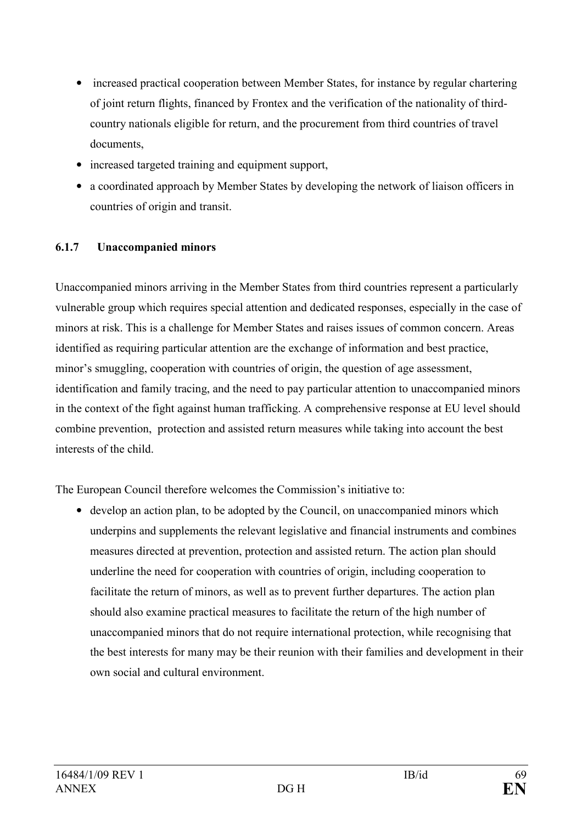- increased practical cooperation between Member States, for instance by regular chartering of joint return flights, financed by Frontex and the verification of the nationality of thirdcountry nationals eligible for return, and the procurement from third countries of travel documents,
- increased targeted training and equipment support,
- a coordinated approach by Member States by developing the network of liaison officers in countries of origin and transit.

#### 6.1.7 Unaccompanied minors

Unaccompanied minors arriving in the Member States from third countries represent a particularly vulnerable group which requires special attention and dedicated responses, especially in the case of minors at risk. This is a challenge for Member States and raises issues of common concern. Areas identified as requiring particular attention are the exchange of information and best practice, minor's smuggling, cooperation with countries of origin, the question of age assessment, identification and family tracing, and the need to pay particular attention to unaccompanied minors in the context of the fight against human trafficking. A comprehensive response at EU level should combine prevention, protection and assisted return measures while taking into account the best interests of the child.

The European Council therefore welcomes the Commission's initiative to:

• develop an action plan, to be adopted by the Council, on unaccompanied minors which underpins and supplements the relevant legislative and financial instruments and combines measures directed at prevention, protection and assisted return. The action plan should underline the need for cooperation with countries of origin, including cooperation to facilitate the return of minors, as well as to prevent further departures. The action plan should also examine practical measures to facilitate the return of the high number of unaccompanied minors that do not require international protection, while recognising that the best interests for many may be their reunion with their families and development in their own social and cultural environment.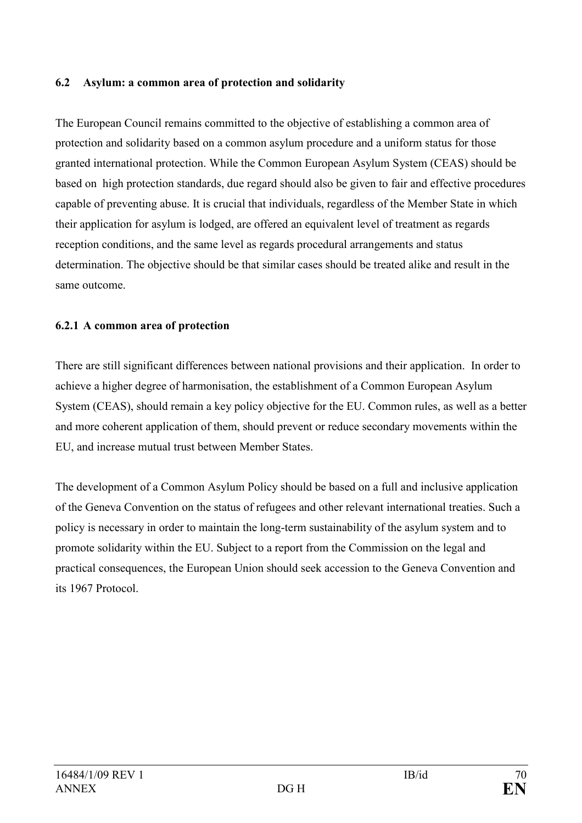#### 6.2 Asylum: a common area of protection and solidarity

The European Council remains committed to the objective of establishing a common area of protection and solidarity based on a common asylum procedure and a uniform status for those granted international protection. While the Common European Asylum System (CEAS) should be based on high protection standards, due regard should also be given to fair and effective procedures capable of preventing abuse. It is crucial that individuals, regardless of the Member State in which their application for asylum is lodged, are offered an equivalent level of treatment as regards reception conditions, and the same level as regards procedural arrangements and status determination. The objective should be that similar cases should be treated alike and result in the same outcome.

#### 6.2.1 A common area of protection

There are still significant differences between national provisions and their application. In order to achieve a higher degree of harmonisation, the establishment of a Common European Asylum System (CEAS), should remain a key policy objective for the EU. Common rules, as well as a better and more coherent application of them, should prevent or reduce secondary movements within the EU, and increase mutual trust between Member States.

The development of a Common Asylum Policy should be based on a full and inclusive application of the Geneva Convention on the status of refugees and other relevant international treaties. Such a policy is necessary in order to maintain the long-term sustainability of the asylum system and to promote solidarity within the EU. Subject to a report from the Commission on the legal and practical consequences, the European Union should seek accession to the Geneva Convention and its 1967 Protocol.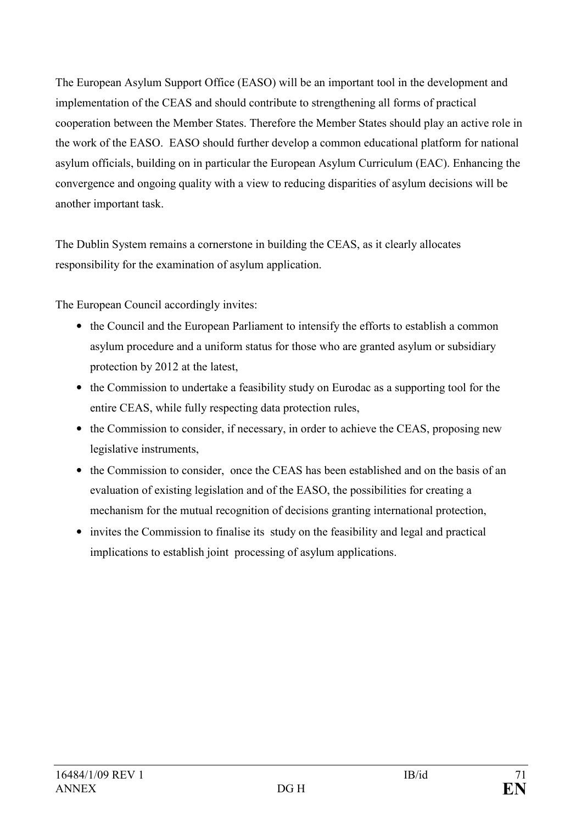The European Asylum Support Office (EASO) will be an important tool in the development and implementation of the CEAS and should contribute to strengthening all forms of practical cooperation between the Member States. Therefore the Member States should play an active role in the work of the EASO. EASO should further develop a common educational platform for national asylum officials, building on in particular the European Asylum Curriculum (EAC). Enhancing the convergence and ongoing quality with a view to reducing disparities of asylum decisions will be another important task.

The Dublin System remains a cornerstone in building the CEAS, as it clearly allocates responsibility for the examination of asylum application.

The European Council accordingly invites:

- the Council and the European Parliament to intensify the efforts to establish a common asylum procedure and a uniform status for those who are granted asylum or subsidiary protection by 2012 at the latest,
- the Commission to undertake a feasibility study on Eurodac as a supporting tool for the entire CEAS, while fully respecting data protection rules,
- the Commission to consider, if necessary, in order to achieve the CEAS, proposing new legislative instruments,
- the Commission to consider, once the CEAS has been established and on the basis of an evaluation of existing legislation and of the EASO, the possibilities for creating a mechanism for the mutual recognition of decisions granting international protection,
- invites the Commission to finalise its study on the feasibility and legal and practical implications to establish joint processing of asylum applications.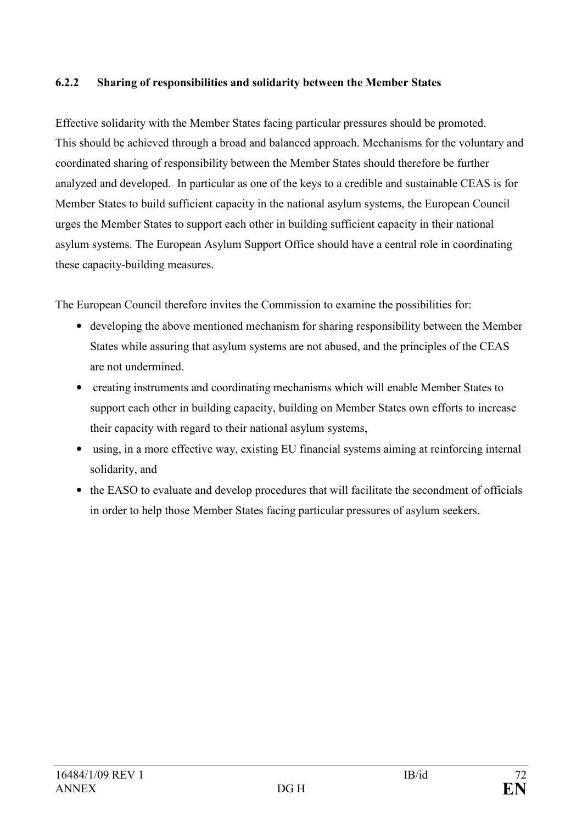#### 6.2.2 Sharing of responsibilities and solidarity between the Member States

Effective solidarity with the Member States facing particular pressures should be promoted. This should be achieved through a broad and balanced approach. Mechanisms for the voluntary and coordinated sharing of responsibility between the Member States should therefore be further analyzed and developed. In particular as one of the keys to a credible and sustainable CEAS is for Member States to build sufficient capacity in the national asylum systems, the European Council urges the Member States to support each other in building sufficient capacity in their national asylum systems. The European Asylum Support Office should have a central role in coordinating these capacity-building measures.

The European Council therefore invites the Commission to examine the possibilities for:

- developing the above mentioned mechanism for sharing responsibility between the Member States while assuring that asylum systems are not abused, and the principles of the CEAS are not undermined.
- creating instruments and coordinating mechanisms which will enable Member States to support each other in building capacity, building on Member States own efforts to increase their capacity with regard to their national asylum systems,
- using, in a more effective way, existing EU financial systems aiming at reinforcing internal solidarity, and
- the EASO to evaluate and develop procedures that will facilitate the secondment of officials in order to help those Member States facing particular pressures of asylum seekers.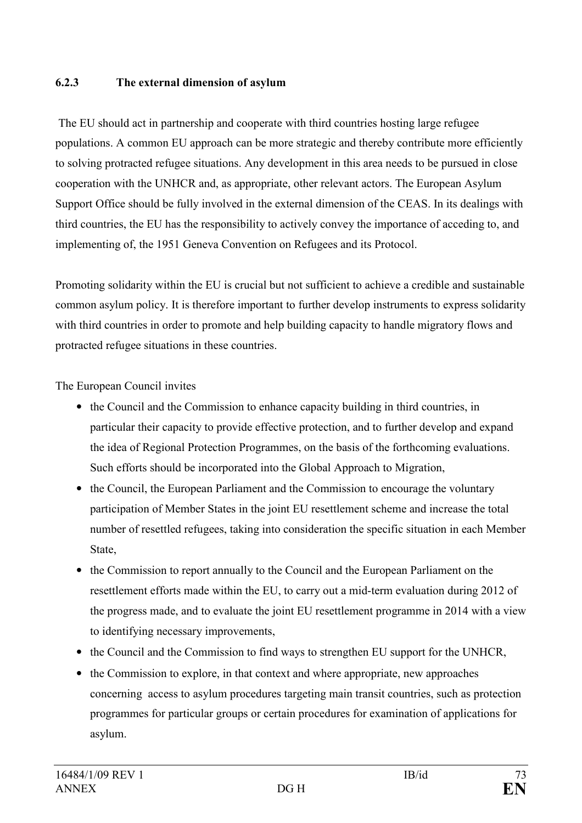# 6.2.3 The external dimension of asylum

 The EU should act in partnership and cooperate with third countries hosting large refugee populations. A common EU approach can be more strategic and thereby contribute more efficiently to solving protracted refugee situations. Any development in this area needs to be pursued in close cooperation with the UNHCR and, as appropriate, other relevant actors. The European Asylum Support Office should be fully involved in the external dimension of the CEAS. In its dealings with third countries, the EU has the responsibility to actively convey the importance of acceding to, and implementing of, the 1951 Geneva Convention on Refugees and its Protocol.

Promoting solidarity within the EU is crucial but not sufficient to achieve a credible and sustainable common asylum policy. It is therefore important to further develop instruments to express solidarity with third countries in order to promote and help building capacity to handle migratory flows and protracted refugee situations in these countries.

The European Council invites

- the Council and the Commission to enhance capacity building in third countries, in particular their capacity to provide effective protection, and to further develop and expand the idea of Regional Protection Programmes, on the basis of the forthcoming evaluations. Such efforts should be incorporated into the Global Approach to Migration,
- the Council, the European Parliament and the Commission to encourage the voluntary participation of Member States in the joint EU resettlement scheme and increase the total number of resettled refugees, taking into consideration the specific situation in each Member State,
- the Commission to report annually to the Council and the European Parliament on the resettlement efforts made within the EU, to carry out a mid-term evaluation during 2012 of the progress made, and to evaluate the joint EU resettlement programme in 2014 with a view to identifying necessary improvements,
- the Council and the Commission to find ways to strengthen EU support for the UNHCR,
- the Commission to explore, in that context and where appropriate, new approaches concerning access to asylum procedures targeting main transit countries, such as protection programmes for particular groups or certain procedures for examination of applications for asylum.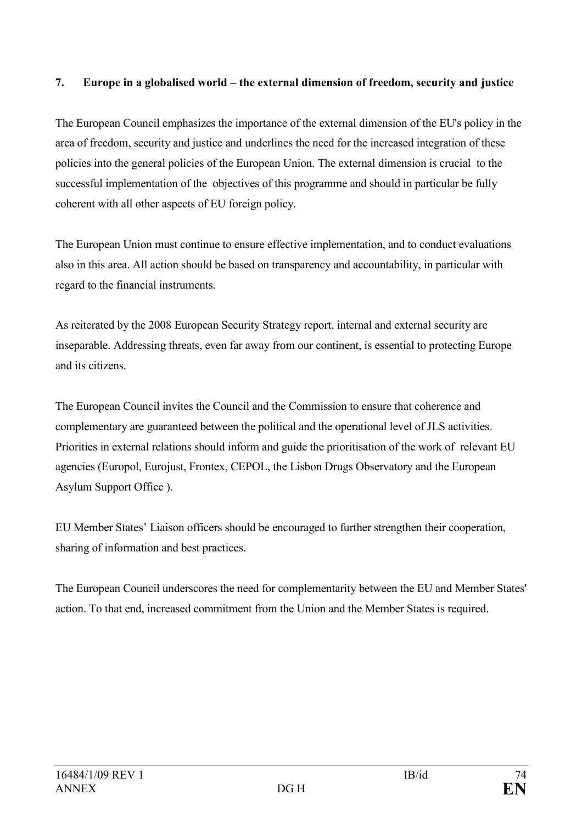## 7. Europe in a globalised world – the external dimension of freedom, security and justice

The European Council emphasizes the importance of the external dimension of the EU's policy in the area of freedom, security and justice and underlines the need for the increased integration of these policies into the general policies of the European Union. The external dimension is crucial to the successful implementation of the objectives of this programme and should in particular be fully coherent with all other aspects of EU foreign policy.

The European Union must continue to ensure effective implementation, and to conduct evaluations also in this area. All action should be based on transparency and accountability, in particular with regard to the financial instruments.

As reiterated by the 2008 European Security Strategy report, internal and external security are inseparable. Addressing threats, even far away from our continent, is essential to protecting Europe and its citizens.

The European Council invites the Council and the Commission to ensure that coherence and complementary are guaranteed between the political and the operational level of JLS activities. Priorities in external relations should inform and guide the prioritisation of the work of relevant EU agencies (Europol, Eurojust, Frontex, CEPOL, the Lisbon Drugs Observatory and the European Asylum Support Office ).

EU Member States' Liaison officers should be encouraged to further strengthen their cooperation, sharing of information and best practices.

The European Council underscores the need for complementarity between the EU and Member States' action. To that end, increased commitment from the Union and the Member States is required.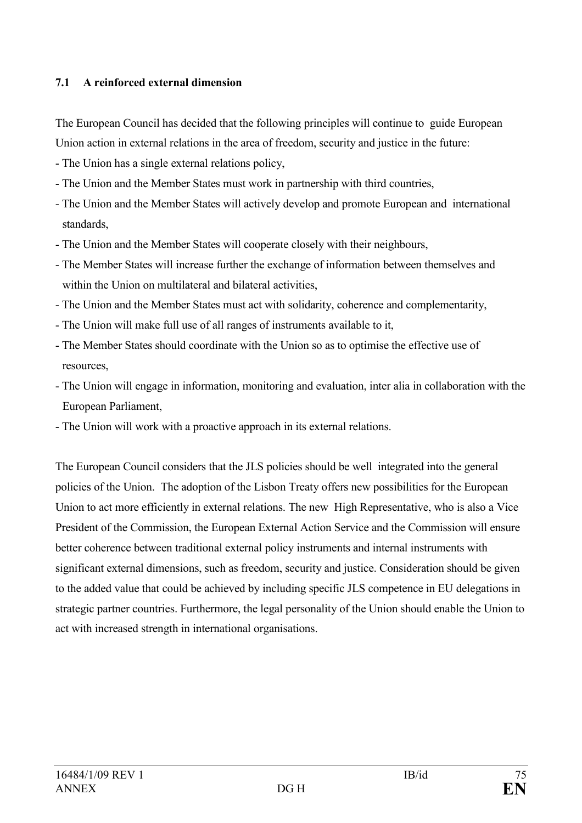# 7.1 A reinforced external dimension

The European Council has decided that the following principles will continue to guide European Union action in external relations in the area of freedom, security and justice in the future:

- The Union has a single external relations policy,
- The Union and the Member States must work in partnership with third countries,
- The Union and the Member States will actively develop and promote European and international standards,
- The Union and the Member States will cooperate closely with their neighbours,
- The Member States will increase further the exchange of information between themselves and within the Union on multilateral and bilateral activities,
- The Union and the Member States must act with solidarity, coherence and complementarity,
- The Union will make full use of all ranges of instruments available to it,
- The Member States should coordinate with the Union so as to optimise the effective use of **resources**
- The Union will engage in information, monitoring and evaluation, inter alia in collaboration with the European Parliament,
- The Union will work with a proactive approach in its external relations.

The European Council considers that the JLS policies should be well integrated into the general policies of the Union. The adoption of the Lisbon Treaty offers new possibilities for the European Union to act more efficiently in external relations. The new High Representative, who is also a Vice President of the Commission, the European External Action Service and the Commission will ensure better coherence between traditional external policy instruments and internal instruments with significant external dimensions, such as freedom, security and justice. Consideration should be given to the added value that could be achieved by including specific JLS competence in EU delegations in strategic partner countries. Furthermore, the legal personality of the Union should enable the Union to act with increased strength in international organisations.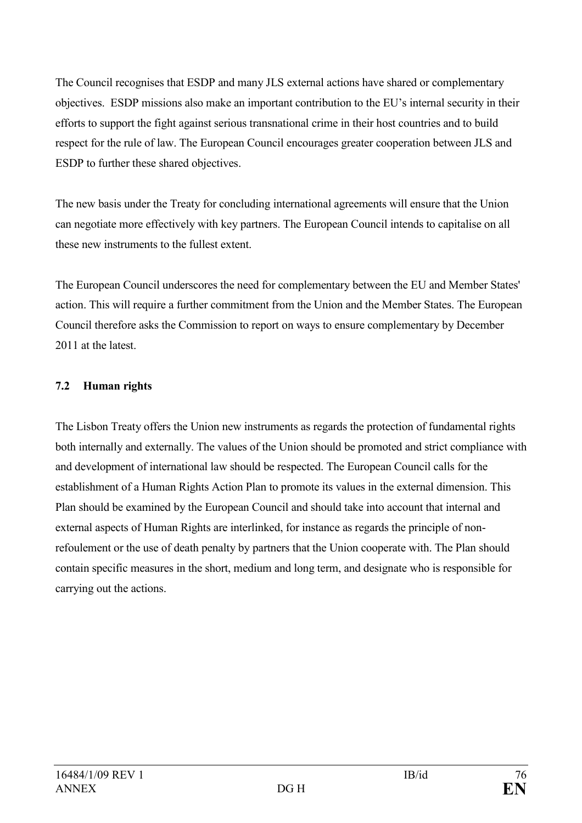The Council recognises that ESDP and many JLS external actions have shared or complementary objectives. ESDP missions also make an important contribution to the EU's internal security in their efforts to support the fight against serious transnational crime in their host countries and to build respect for the rule of law. The European Council encourages greater cooperation between JLS and ESDP to further these shared objectives.

The new basis under the Treaty for concluding international agreements will ensure that the Union can negotiate more effectively with key partners. The European Council intends to capitalise on all these new instruments to the fullest extent.

The European Council underscores the need for complementary between the EU and Member States' action. This will require a further commitment from the Union and the Member States. The European Council therefore asks the Commission to report on ways to ensure complementary by December 2011 at the latest.

# 7.2 Human rights

The Lisbon Treaty offers the Union new instruments as regards the protection of fundamental rights both internally and externally. The values of the Union should be promoted and strict compliance with and development of international law should be respected. The European Council calls for the establishment of a Human Rights Action Plan to promote its values in the external dimension. This Plan should be examined by the European Council and should take into account that internal and external aspects of Human Rights are interlinked, for instance as regards the principle of nonrefoulement or the use of death penalty by partners that the Union cooperate with. The Plan should contain specific measures in the short, medium and long term, and designate who is responsible for carrying out the actions.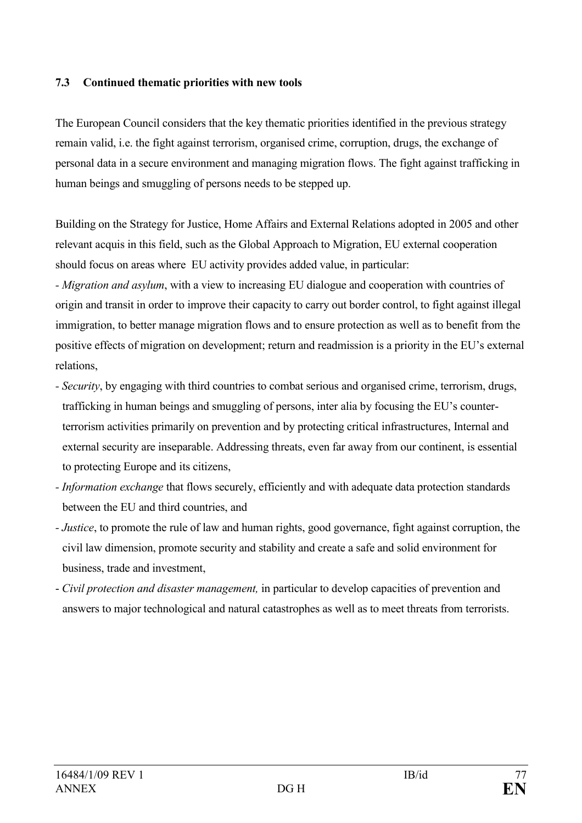#### 7.3 Continued thematic priorities with new tools

The European Council considers that the key thematic priorities identified in the previous strategy remain valid, i.e. the fight against terrorism, organised crime, corruption, drugs, the exchange of personal data in a secure environment and managing migration flows. The fight against trafficking in human beings and smuggling of persons needs to be stepped up.

Building on the Strategy for Justice, Home Affairs and External Relations adopted in 2005 and other relevant acquis in this field, such as the Global Approach to Migration, EU external cooperation should focus on areas where EU activity provides added value, in particular:

- Migration and asylum, with a view to increasing EU dialogue and cooperation with countries of origin and transit in order to improve their capacity to carry out border control, to fight against illegal immigration, to better manage migration flows and to ensure protection as well as to benefit from the positive effects of migration on development; return and readmission is a priority in the EU's external relations,

- Security, by engaging with third countries to combat serious and organised crime, terrorism, drugs, trafficking in human beings and smuggling of persons, inter alia by focusing the EU's counterterrorism activities primarily on prevention and by protecting critical infrastructures, Internal and external security are inseparable. Addressing threats, even far away from our continent, is essential to protecting Europe and its citizens,
- Information exchange that flows securely, efficiently and with adequate data protection standards between the EU and third countries, and
- Justice, to promote the rule of law and human rights, good governance, fight against corruption, the civil law dimension, promote security and stability and create a safe and solid environment for business, trade and investment,
- Civil protection and disaster management, in particular to develop capacities of prevention and answers to major technological and natural catastrophes as well as to meet threats from terrorists.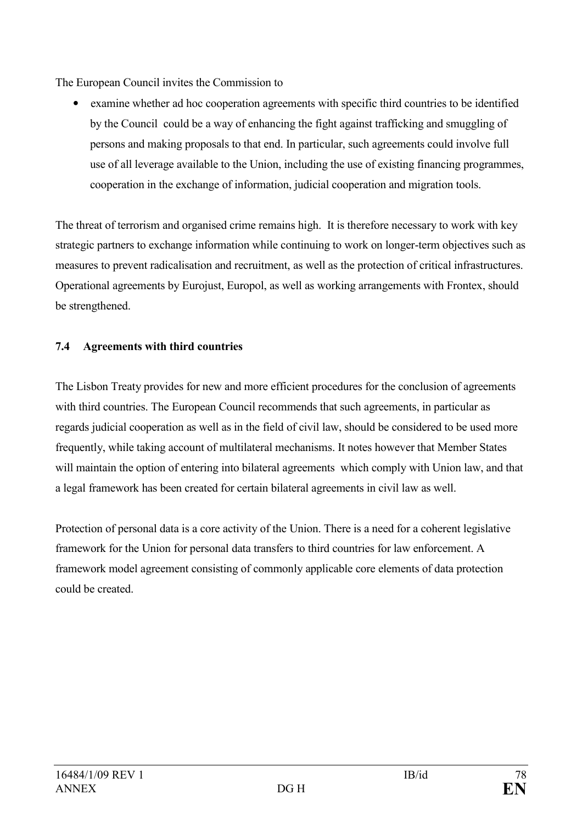The European Council invites the Commission to

examine whether ad hoc cooperation agreements with specific third countries to be identified by the Council could be a way of enhancing the fight against trafficking and smuggling of persons and making proposals to that end. In particular, such agreements could involve full use of all leverage available to the Union, including the use of existing financing programmes, cooperation in the exchange of information, judicial cooperation and migration tools.

The threat of terrorism and organised crime remains high. It is therefore necessary to work with key strategic partners to exchange information while continuing to work on longer-term objectives such as measures to prevent radicalisation and recruitment, as well as the protection of critical infrastructures. Operational agreements by Eurojust, Europol, as well as working arrangements with Frontex, should be strengthened.

# 7.4 Agreements with third countries

The Lisbon Treaty provides for new and more efficient procedures for the conclusion of agreements with third countries. The European Council recommends that such agreements, in particular as regards judicial cooperation as well as in the field of civil law, should be considered to be used more frequently, while taking account of multilateral mechanisms. It notes however that Member States will maintain the option of entering into bilateral agreements which comply with Union law, and that a legal framework has been created for certain bilateral agreements in civil law as well.

Protection of personal data is a core activity of the Union. There is a need for a coherent legislative framework for the Union for personal data transfers to third countries for law enforcement. A framework model agreement consisting of commonly applicable core elements of data protection could be created.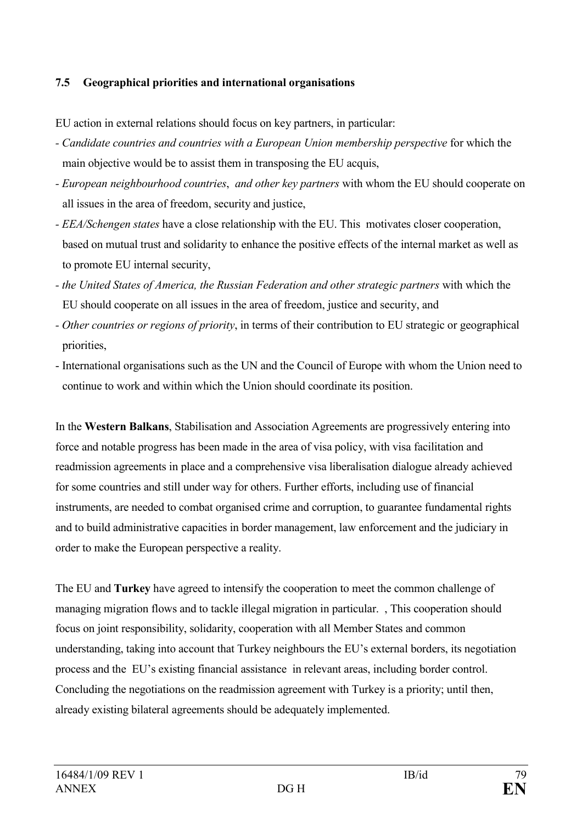## 7.5 Geographical priorities and international organisations

EU action in external relations should focus on key partners, in particular:

- Candidate countries and countries with a European Union membership perspective for which the main objective would be to assist them in transposing the EU acquis,
- European neighbourhood countries, and other key partners with whom the EU should cooperate on all issues in the area of freedom, security and justice,
- EEA/Schengen states have a close relationship with the EU. This motivates closer cooperation, based on mutual trust and solidarity to enhance the positive effects of the internal market as well as to promote EU internal security,
- the United States of America, the Russian Federation and other strategic partners with which the EU should cooperate on all issues in the area of freedom, justice and security, and
- Other countries or regions of priority, in terms of their contribution to EU strategic or geographical priorities,
- International organisations such as the UN and the Council of Europe with whom the Union need to continue to work and within which the Union should coordinate its position.

In the Western Balkans, Stabilisation and Association Agreements are progressively entering into force and notable progress has been made in the area of visa policy, with visa facilitation and readmission agreements in place and a comprehensive visa liberalisation dialogue already achieved for some countries and still under way for others. Further efforts, including use of financial instruments, are needed to combat organised crime and corruption, to guarantee fundamental rights and to build administrative capacities in border management, law enforcement and the judiciary in order to make the European perspective a reality.

The EU and Turkey have agreed to intensify the cooperation to meet the common challenge of managing migration flows and to tackle illegal migration in particular. , This cooperation should focus on joint responsibility, solidarity, cooperation with all Member States and common understanding, taking into account that Turkey neighbours the EU's external borders, its negotiation process and the EU's existing financial assistance in relevant areas, including border control. Concluding the negotiations on the readmission agreement with Turkey is a priority; until then, already existing bilateral agreements should be adequately implemented.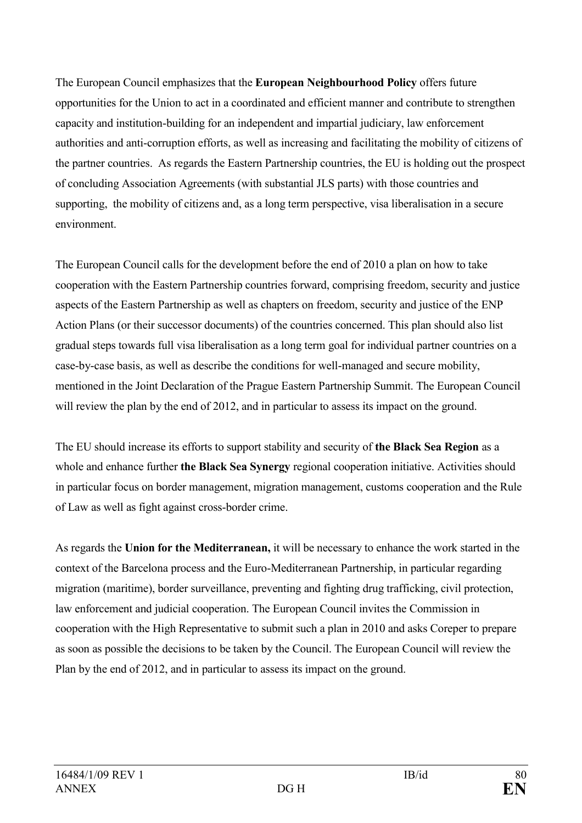The European Council emphasizes that the European Neighbourhood Policy offers future opportunities for the Union to act in a coordinated and efficient manner and contribute to strengthen capacity and institution-building for an independent and impartial judiciary, law enforcement authorities and anti-corruption efforts, as well as increasing and facilitating the mobility of citizens of the partner countries. As regards the Eastern Partnership countries, the EU is holding out the prospect of concluding Association Agreements (with substantial JLS parts) with those countries and supporting, the mobility of citizens and, as a long term perspective, visa liberalisation in a secure environment.

The European Council calls for the development before the end of 2010 a plan on how to take cooperation with the Eastern Partnership countries forward, comprising freedom, security and justice aspects of the Eastern Partnership as well as chapters on freedom, security and justice of the ENP Action Plans (or their successor documents) of the countries concerned. This plan should also list gradual steps towards full visa liberalisation as a long term goal for individual partner countries on a case-by-case basis, as well as describe the conditions for well-managed and secure mobility, mentioned in the Joint Declaration of the Prague Eastern Partnership Summit. The European Council will review the plan by the end of 2012, and in particular to assess its impact on the ground.

The EU should increase its efforts to support stability and security of the Black Sea Region as a whole and enhance further the Black Sea Synergy regional cooperation initiative. Activities should in particular focus on border management, migration management, customs cooperation and the Rule of Law as well as fight against cross-border crime.

As regards the Union for the Mediterranean, it will be necessary to enhance the work started in the context of the Barcelona process and the Euro-Mediterranean Partnership, in particular regarding migration (maritime), border surveillance, preventing and fighting drug trafficking, civil protection, law enforcement and judicial cooperation. The European Council invites the Commission in cooperation with the High Representative to submit such a plan in 2010 and asks Coreper to prepare as soon as possible the decisions to be taken by the Council. The European Council will review the Plan by the end of 2012, and in particular to assess its impact on the ground.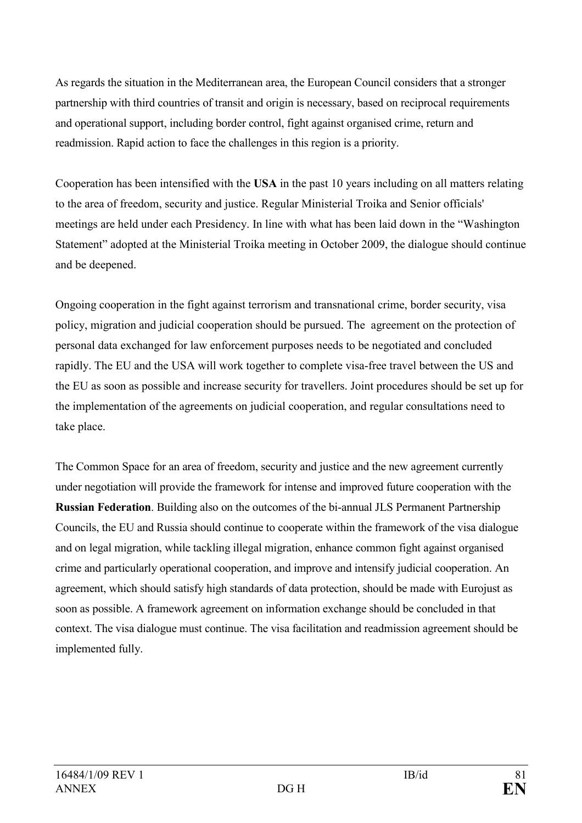As regards the situation in the Mediterranean area, the European Council considers that a stronger partnership with third countries of transit and origin is necessary, based on reciprocal requirements and operational support, including border control, fight against organised crime, return and readmission. Rapid action to face the challenges in this region is a priority.

Cooperation has been intensified with the USA in the past 10 years including on all matters relating to the area of freedom, security and justice. Regular Ministerial Troika and Senior officials' meetings are held under each Presidency. In line with what has been laid down in the "Washington Statement" adopted at the Ministerial Troika meeting in October 2009, the dialogue should continue and be deepened.

Ongoing cooperation in the fight against terrorism and transnational crime, border security, visa policy, migration and judicial cooperation should be pursued. The agreement on the protection of personal data exchanged for law enforcement purposes needs to be negotiated and concluded rapidly. The EU and the USA will work together to complete visa-free travel between the US and the EU as soon as possible and increase security for travellers. Joint procedures should be set up for the implementation of the agreements on judicial cooperation, and regular consultations need to take place.

The Common Space for an area of freedom, security and justice and the new agreement currently under negotiation will provide the framework for intense and improved future cooperation with the Russian Federation. Building also on the outcomes of the bi-annual JLS Permanent Partnership Councils, the EU and Russia should continue to cooperate within the framework of the visa dialogue and on legal migration, while tackling illegal migration, enhance common fight against organised crime and particularly operational cooperation, and improve and intensify judicial cooperation. An agreement, which should satisfy high standards of data protection, should be made with Eurojust as soon as possible. A framework agreement on information exchange should be concluded in that context. The visa dialogue must continue. The visa facilitation and readmission agreement should be implemented fully.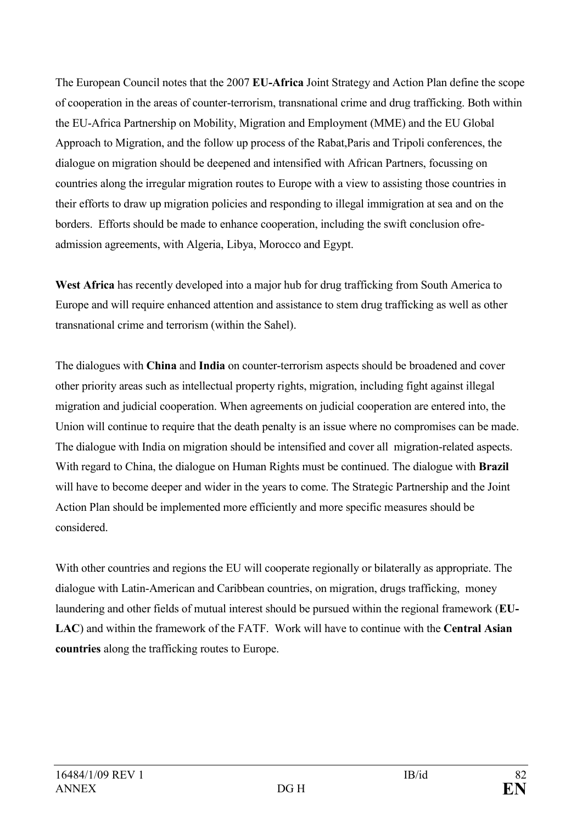The European Council notes that the 2007 EU-Africa Joint Strategy and Action Plan define the scope of cooperation in the areas of counter-terrorism, transnational crime and drug trafficking. Both within the EU-Africa Partnership on Mobility, Migration and Employment (MME) and the EU Global Approach to Migration, and the follow up process of the Rabat,Paris and Tripoli conferences, the dialogue on migration should be deepened and intensified with African Partners, focussing on countries along the irregular migration routes to Europe with a view to assisting those countries in their efforts to draw up migration policies and responding to illegal immigration at sea and on the borders. Efforts should be made to enhance cooperation, including the swift conclusion ofreadmission agreements, with Algeria, Libya, Morocco and Egypt.

West Africa has recently developed into a major hub for drug trafficking from South America to Europe and will require enhanced attention and assistance to stem drug trafficking as well as other transnational crime and terrorism (within the Sahel).

The dialogues with China and India on counter-terrorism aspects should be broadened and cover other priority areas such as intellectual property rights, migration, including fight against illegal migration and judicial cooperation. When agreements on judicial cooperation are entered into, the Union will continue to require that the death penalty is an issue where no compromises can be made. The dialogue with India on migration should be intensified and cover all migration-related aspects. With regard to China, the dialogue on Human Rights must be continued. The dialogue with **Brazil** will have to become deeper and wider in the years to come. The Strategic Partnership and the Joint Action Plan should be implemented more efficiently and more specific measures should be considered.

With other countries and regions the EU will cooperate regionally or bilaterally as appropriate. The dialogue with Latin-American and Caribbean countries, on migration, drugs trafficking, money laundering and other fields of mutual interest should be pursued within the regional framework (EU-LAC) and within the framework of the FATF. Work will have to continue with the Central Asian countries along the trafficking routes to Europe.